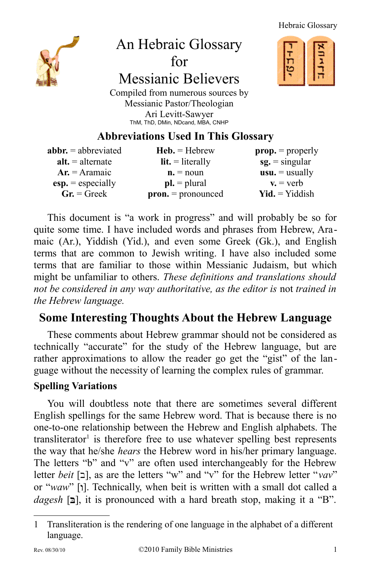

### An Hebraic Glossary for Messianic Believers



Compiled from numerous sources by Messianic Pastor/Theologian Ari Levitt-Sawyer ThM, ThD, DMin, NDcand, MBA, CNHP

### **Abbreviations Used In This Glossary**

| <b>abbr.</b> $=$ abbreviated           | $Heb. = Hebrew$                              | $prop. = properly$                           |
|----------------------------------------|----------------------------------------------|----------------------------------------------|
| $alt. = alternate$                     | $\mathbf{lit.} =$ literally                  | $sg.$ = singular                             |
| $Ar. = Aramaic$                        | $\mathbf{n}$ . = noun                        | $\mathbf{u} \mathbf{s} \mathbf{u} =$ usually |
| $\exp = \exp\{(-\exp(-\cos(\theta))\}$ | $\mathbf{p}$ <b>l</b> . = $\mathbf{p}$ lural | $v = v$ erb                                  |
| $Gr. = Greek$                          | $\mathbf{pron.}$ = pronounced                | $Yid. = Yiddish$                             |

This document is "a work in progress" and will probably be so for quite some time. I have included words and phrases from Hebrew, Aramaic (Ar.), Yiddish (Yid.), and even some Greek (Gk.), and English terms that are common to Jewish writing. I have also included some terms that are familiar to those within Messianic Judaism, but which might be unfamiliar to others. *These definitions and translations should not be considered in any way authoritative, as the editor is* not *trained in the Hebrew language.*

### **Some Interesting Thoughts About the Hebrew Language**

These comments about Hebrew grammar should not be considered as technically "accurate" for the study of the Hebrew language, but are rather approximations to allow the reader go get the "gist" of the language without the necessity of learning the complex rules of grammar.

#### **Spelling Variations**

You will doubtless note that there are sometimes several different English spellings for the same Hebrew word. That is because there is no one-to-one relationship between the Hebrew and English alphabets. The transliterator<sup>[1](#page-0-0)</sup> is therefore free to use whatever spelling best represents the way that he/she *hears* the Hebrew word in his/her primary language. The letters "b" and "v" are often used interchangeably for the Hebrew letter *beit* [**b**], as are the letters "w" and "v" for the Hebrew letter "*vav*" or "waw" [1]. Technically, when beit is written with a small dot called a *dagesh* [B], it is pronounced with a hard breath stop, making it a "B".

<span id="page-0-0"></span><sup>1</sup> Transliteration is the rendering of one language in the alphabet of a different language.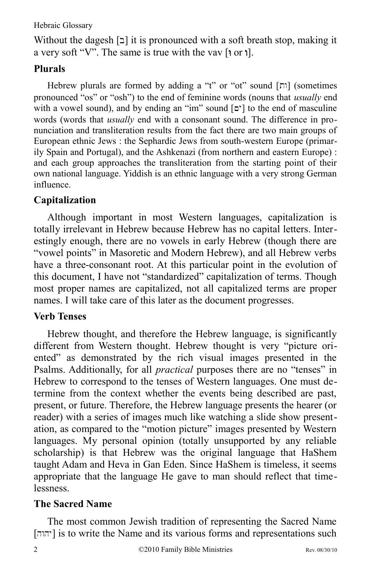Without the dagesh  $[\Box]$  it is pronounced with a soft breath stop, making it a very soft "V". The same is true with the vav  $\lceil \cdot \text{or} \cdot \cdot \rceil$ .

### **Plurals**

Hebrew plurals are formed by adding a "t" or "ot" sound  $\lceil \text{m} \rceil$  (sometimes pronounced "os" or "osh") to the end of feminine words (nouns that *usually* end with a vowel sound), and by ending an "im" sound  $[\n\infty]$  to the end of masculine words (words that *usually* end with a consonant sound. The difference in pronunciation and transliteration results from the fact there are two main groups of European ethnic Jews : the Sephardic Jews from south-western Europe (primarily Spain and Portugal), and the Ashkenazi (from northern and eastern Europe) : and each group approaches the transliteration from the starting point of their own national language. Yiddish is an ethnic language with a very strong German influence.

### **Capitalization**

Although important in most Western languages, capitalization is totally irrelevant in Hebrew because Hebrew has no capital letters. Interestingly enough, there are no vowels in early Hebrew (though there are "vowel points" in Masoretic and Modern Hebrew), and all Hebrew verbs have a three-consonant root. At this particular point in the evolution of this document, I have not "standardized" capitalization of terms. Though most proper names are capitalized, not all capitalized terms are proper names. I will take care of this later as the document progresses.

### **Verb Tenses**

Hebrew thought, and therefore the Hebrew language, is significantly different from Western thought. Hebrew thought is very "picture oriented" as demonstrated by the rich visual images presented in the Psalms. Additionally, for all *practical* purposes there are no "tenses" in Hebrew to correspond to the tenses of Western languages. One must determine from the context whether the events being described are past, present, or future. Therefore, the Hebrew language presents the hearer (or reader) with a series of images much like watching a slide show presentation, as compared to the "motion picture" images presented by Western languages. My personal opinion (totally unsupported by any reliable scholarship) is that Hebrew was the original language that HaShem taught Adam and Heva in Gan Eden. Since HaShem is timeless, it seems appropriate that the language He gave to man should reflect that timelessness.

### **The Sacred Name**

The most common Jewish tradition of representing the Sacred Name [hwhy] is to write the Name and its various forms and representations such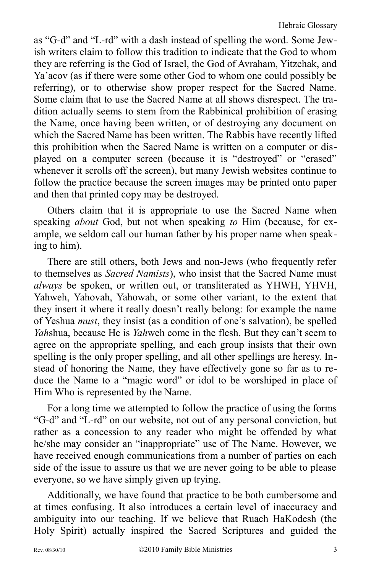as "G-d" and "L-rd" with a dash instead of spelling the word. Some Jewish writers claim to follow this tradition to indicate that the God to whom they are referring is the God of Israel, the God of Avraham, Yitzchak, and Ya'acov (as if there were some other God to whom one could possibly be referring), or to otherwise show proper respect for the Sacred Name. Some claim that to use the Sacred Name at all shows disrespect. The tradition actually seems to stem from the Rabbinical prohibition of erasing the Name, once having been written, or of destroying any document on which the Sacred Name has been written. The Rabbis have recently lifted this prohibition when the Sacred Name is written on a computer or displayed on a computer screen (because it is "destroyed" or "erased" whenever it scrolls off the screen), but many Jewish websites continue to follow the practice because the screen images may be printed onto paper and then that printed copy may be destroyed.

Others claim that it is appropriate to use the Sacred Name when speaking *about* God, but not when speaking *to* Him (because, for example, we seldom call our human father by his proper name when speaking to him).

There are still others, both Jews and non-Jews (who frequently refer to themselves as *Sacred Namists*), who insist that the Sacred Name must *always* be spoken, or written out, or transliterated as YHWH, YHVH, Yahweh, Yahovah, Yahowah, or some other variant, to the extent that they insert it where it really doesn't really belong: for example the name of Yeshua *must*, they insist (as a condition of one's salvation), be spelled *Yah*shua, because He is *Yah*weh come in the flesh. But they can't seem to agree on the appropriate spelling, and each group insists that their own spelling is the only proper spelling, and all other spellings are heresy. Instead of honoring the Name, they have effectively gone so far as to reduce the Name to a "magic word" or idol to be worshiped in place of Him Who is represented by the Name.

For a long time we attempted to follow the practice of using the forms "G-d" and "L-rd" on our website, not out of any personal conviction, but rather as a concession to any reader who might be offended by what he/she may consider an "inappropriate" use of The Name. However, we have received enough communications from a number of parties on each side of the issue to assure us that we are never going to be able to please everyone, so we have simply given up trying.

Additionally, we have found that practice to be both cumbersome and at times confusing. It also introduces a certain level of inaccuracy and ambiguity into our teaching. If we believe that Ruach HaKodesh (the Holy Spirit) actually inspired the Sacred Scriptures and guided the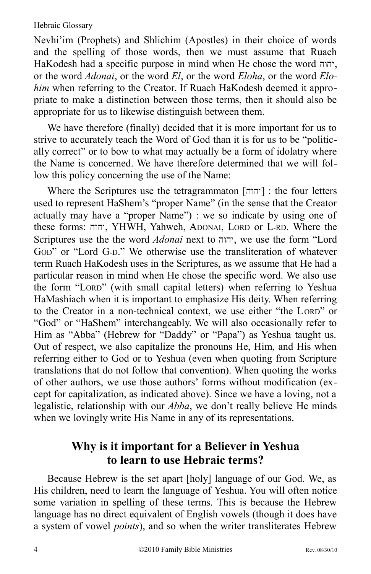Nevhi'im (Prophets) and Shlichim (Apostles) in their choice of words and the spelling of those words, then we must assume that Ruach HaKodesh had a specific purpose in mind when He chose the word יהוה, or the word *Adonai*, or the word *El*, or the word *Eloha*, or the word *Elohim* when referring to the Creator. If Ruach HaKodesh deemed it appropriate to make a distinction between those terms, then it should also be appropriate for us to likewise distinguish between them.

We have therefore (finally) decided that it is more important for us to strive to accurately teach the Word of God than it is for us to be "politically correct" or to bow to what may actually be a form of idolatry where the Name is concerned. We have therefore determined that we will follow this policy concerning the use of the Name:

Where the Scriptures use the tetragrammaton  $\lceil n\pi \rceil$  : the four letters used to represent HaShem's "proper Name" (in the sense that the Creator actually may have a "proper Name") : we so indicate by using one of these forms: hwhy, YHWH, Yahweh, ADONAI, LORD or L-RD. Where the Scriptures use the the word *Adonai* next to hwhy, we use the form "Lord GOD" or "Lord G-D." We otherwise use the transliteration of whatever term Ruach HaKodesh uses in the Scriptures, as we assume that He had a particular reason in mind when He chose the specific word. We also use the form "LORD" (with small capital letters) when referring to Yeshua HaMashiach when it is important to emphasize His deity. When referring to the Creator in a non-technical context, we use either "the LORD" or "God" or "HaShem" interchangeably. We will also occasionally refer to Him as "Abba" (Hebrew for "Daddy" or "Papa") as Yeshua taught us. Out of respect, we also capitalize the pronouns He, Him, and His when referring either to God or to Yeshua (even when quoting from Scripture translations that do not follow that convention). When quoting the works of other authors, we use those authors' forms without modification (except for capitalization, as indicated above). Since we have a loving, not a legalistic, relationship with our *Abba*, we don't really believe He minds when we lovingly write His Name in any of its representations.

### **Why is it important for a Believer in Yeshua to learn to use Hebraic terms?**

Because Hebrew is the set apart [holy] language of our God. We, as His children, need to learn the language of Yeshua. You will often notice some variation in spelling of these terms. This is because the Hebrew language has no direct equivalent of English vowels (though it does have a system of vowel *points*), and so when the writer transliterates Hebrew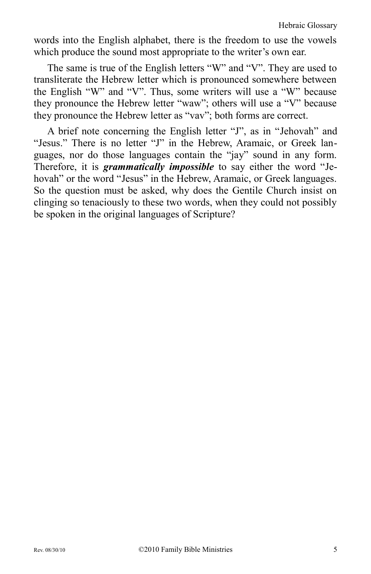words into the English alphabet, there is the freedom to use the vowels which produce the sound most appropriate to the writer's own ear.

The same is true of the English letters "W" and "V". They are used to transliterate the Hebrew letter which is pronounced somewhere between the English "W" and "V". Thus, some writers will use a "W" because they pronounce the Hebrew letter "waw"; others will use a "V" because they pronounce the Hebrew letter as "vav"; both forms are correct.

A brief note concerning the English letter "J", as in "Jehovah" and "Jesus." There is no letter "J" in the Hebrew, Aramaic, or Greek languages, nor do those languages contain the "jay" sound in any form. Therefore, it is *grammatically impossible* to say either the word "Jehovah" or the word "Jesus" in the Hebrew, Aramaic, or Greek languages. So the question must be asked, why does the Gentile Church insist on clinging so tenaciously to these two words, when they could not possibly be spoken in the original languages of Scripture?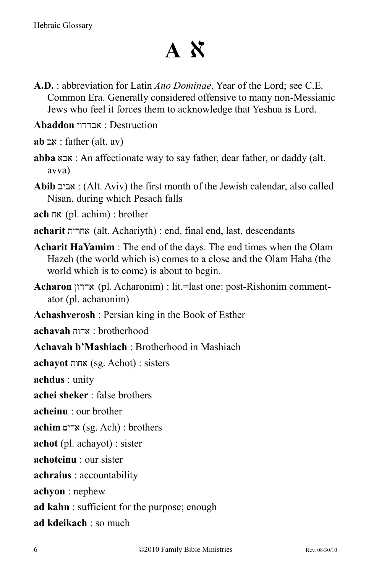## **A** a

- **A.D.** : abbreviation for Latin *Ano Dominae*, Year of the Lord; see C.E. Common Era. Generally considered offensive to many non-Messianic Jews who feel it forces them to acknowledge that Yeshua is Lord.
- $A$ baddon **Abaddon** : אבדדון
- $ab \nightharpoonup x$  : father (alt. av)
- **abba** aba : An affectionate way to say father, dear father, or daddy (alt. avva)
- **Abib** byba : (Alt. Aviv) the first month of the Jewish calendar, also called Nisan, during which Pesach falls
- **ach** xa (pl. achim) : brother
- acharit אחרית (alt. Achariyth) : end, final end, last, descendants
- **Acharit HaYamim** : The end of the days. The end times when the Olam Hazeh (the world which is) comes to a close and the Olam Haba (the world which is to come) is about to begin.
- **Acharon** !wrxa (pl. Acharonim) : lit.=last one: post-Rishonim commentator (pl. acharonim)
- **Achashverosh** : Persian king in the Book of Esther
- **achavah** ואחוה **h**rotherhood
- **Achavah b'Mashiach** : Brotherhood in Mashiach

achayot וחות (sg. Achot) : sisters

**achdus** : unity

**achei sheker** : false brothers

**acheinu** : our brother

achim אחים (sg. Ach) : brothers

**achot** (pl. achayot) : sister

**achoteinu** : our sister

**achraius** : accountability

**achyon** : nephew

**ad kahn** : sufficient for the purpose; enough

**ad kdeikach** : so much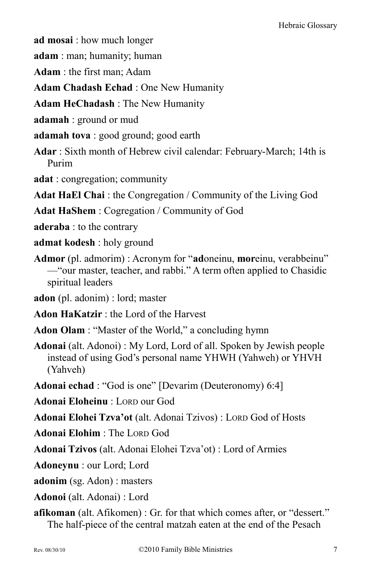- **ad mosai** : how much longer
- **adam** : man; humanity; human
- **Adam** : the first man; Adam
- **Adam Chadash Echad** : One New Humanity
- **Adam HeChadash** : The New Humanity
- **adamah** : ground or mud
- **adamah tova** : good ground; good earth
- **Adar** : Sixth month of Hebrew civil calendar: February-March; 14th is Purim
- **adat** : congregation; community
- **Adat HaEl Chai** : the Congregation / Community of the Living God
- **Adat HaShem** : Cogregation / Community of God
- **aderaba** : to the contrary
- **admat kodesh** : holy ground
- **Admor** (pl. admorim) : Acronym for "**ad**oneinu, **mor**einu, verabbeinu" —"our master, teacher, and rabbi." A term often applied to Chasidic spiritual leaders
- **adon** (pl. adonim) : lord; master
- **Adon HaKatzir** : the Lord of the Harvest
- **Adon Olam** : "Master of the World," a concluding hymn
- **Adonai** (alt. Adonoi) : My Lord, Lord of all. Spoken by Jewish people instead of using God's personal name YHWH (Yahweh) or YHVH (Yahveh)
- **Adonai echad** : "God is one" [Devarim (Deuteronomy) 6:4]
- **Adonai Eloheinu** : LORD our God
- **Adonai Elohei Tzva'ot** (alt. Adonai Tzivos) : LORD God of Hosts
- **Adonai Elohim** : The LORD God
- **Adonai Tzivos** (alt. Adonai Elohei Tzva'ot) : Lord of Armies
- **Adoneynu** : our Lord; Lord
- **adonim** (sg. Adon) : masters
- **Adonoi** (alt. Adonai) : Lord
- **afikoman** (alt. Afikomen) : Gr. for that which comes after, or "dessert." The half-piece of the central matzah eaten at the end of the Pesach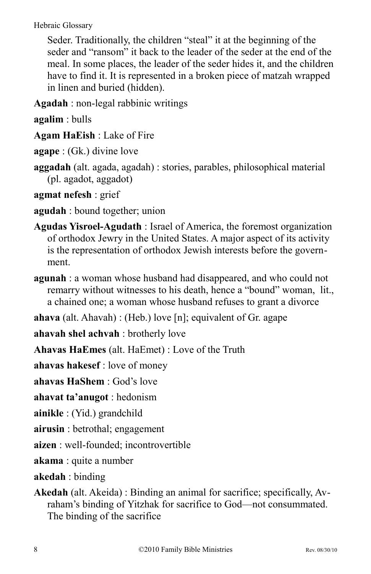Seder. Traditionally, the children "steal" it at the beginning of the seder and "ransom" it back to the leader of the seder at the end of the meal. In some places, the leader of the seder hides it, and the children have to find it. It is represented in a broken piece of matzah wrapped in linen and buried (hidden).

**Agadah** : non-legal rabbinic writings

**agalim** : bulls

**Agam HaEish** : Lake of Fire

**agape** : (Gk.) divine love

**aggadah** (alt. agada, agadah) : stories, parables, philosophical material (pl. agadot, aggadot)

**agmat nefesh** : grief

**agudah** : bound together; union

- **Agudas Yisroel-Agudath** : Israel of America, the foremost organization of orthodox Jewry in the United States. A major aspect of its activity is the representation of orthodox Jewish interests before the government.
- **agunah** : a woman whose husband had disappeared, and who could not remarry without witnesses to his death, hence a "bound" woman, lit., a chained one; a woman whose husband refuses to grant a divorce

**ahava** (alt. Ahavah) : (Heb.) love [n]; equivalent of Gr. agape

**ahavah shel achvah** : brotherly love

**Ahavas HaEmes** (alt. HaEmet) : Love of the Truth

**ahavas hakesef** : love of money

**ahavas HaShem** : God's love

**ahavat ta'anugot** : hedonism

**ainikle** : (Yid.) grandchild

**airusin** : betrothal; engagement

**aizen** : well-founded; incontrovertible

**akama** : quite a number

**akedah** : binding

**Akedah** (alt. Akeida) : Binding an animal for sacrifice; specifically, Avraham's binding of Yitzhak for sacrifice to God—not consummated. The binding of the sacrifice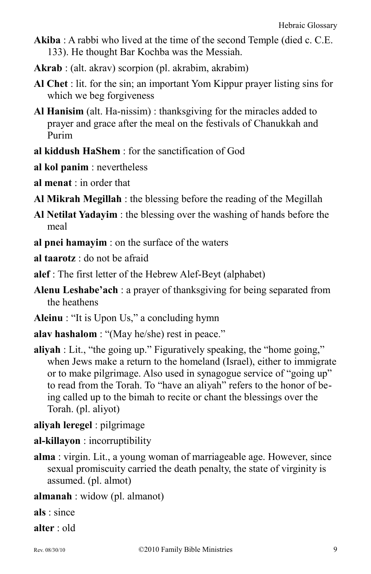- **Akiba** : A rabbi who lived at the time of the second Temple (died c. C.E. 133). He thought Bar Kochba was the Messiah.
- **Akrab** : (alt. akrav) scorpion (pl. akrabim, akrabim)
- **Al Chet** : lit. for the sin; an important Yom Kippur prayer listing sins for which we beg forgiveness
- **Al Hanisim** (alt. Ha-nissim) : thanksgiving for the miracles added to prayer and grace after the meal on the festivals of Chanukkah and Purim
- **al kiddush HaShem** : for the sanctification of God

**al kol panim** : nevertheless

**al menat** : in order that

- **Al Mikrah Megillah** : the blessing before the reading of the Megillah
- **Al Netilat Yadayim** : the blessing over the washing of hands before the meal
- **al pnei hamayim** : on the surface of the waters

**al taarotz** : do not be afraid

**alef** : The first letter of the Hebrew Alef-Beyt (alphabet)

- **Alenu Leshabe'ach** : a prayer of thanksgiving for being separated from the heathens
- **Aleinu** : "It is Upon Us," a concluding hymn
- **alav hashalom** : "(May he/she) rest in peace."
- **aliyah** : Lit., "the going up." Figuratively speaking, the "home going," when Jews make a return to the homeland (Israel), either to immigrate or to make pilgrimage. Also used in synagogue service of "going up" to read from the Torah. To "have an aliyah" refers to the honor of being called up to the bimah to recite or chant the blessings over the Torah. (pl. aliyot)

**aliyah leregel** : pilgrimage

- **al-killayon** : incorruptibility
- **alma** : virgin. Lit., a young woman of marriageable age. However, since sexual promiscuity carried the death penalty, the state of virginity is assumed. (pl. almot)

**almanah** : widow (pl. almanot)

**als** : since

**alter** : old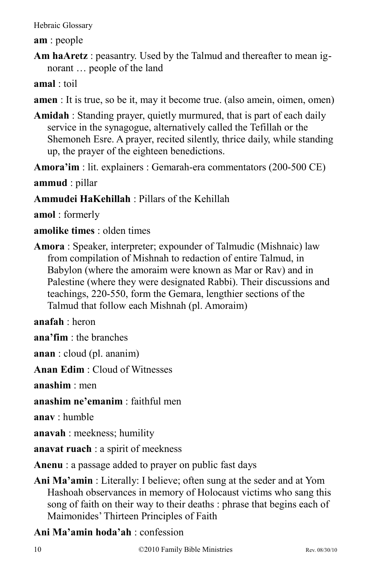**am** : people

**Am haAretz** : peasantry. Used by the Talmud and thereafter to mean ignorant … people of the land

**amal** : toil

- **amen** : It is true, so be it, may it become true. (also amein, oimen, omen)
- **Amidah** : Standing prayer, quietly murmured, that is part of each daily service in the synagogue, alternatively called the Tefillah or the Shemoneh Esre. A prayer, recited silently, thrice daily, while standing up, the prayer of the eighteen benedictions.

**Amora'im** : lit. explainers : Gemarah-era commentators (200-500 CE)

**ammud** : pillar

**Ammudei HaKehillah** : Pillars of the Kehillah

**amol** : formerly

**amolike times** : olden times

**Amora** : Speaker, interpreter; expounder of Talmudic (Mishnaic) law from compilation of Mishnah to redaction of entire Talmud, in Babylon (where the amoraim were known as Mar or Rav) and in Palestine (where they were designated Rabbi). Their discussions and teachings, 220-550, form the Gemara, lengthier sections of the Talmud that follow each Mishnah (pl. Amoraim)

**anafah** : heron

**ana'fim** : the branches

**anan** : cloud (pl. ananim)

**Anan Edim** : Cloud of Witnesses

**anashim** : men

**anashim ne'emanim** : faithful men

**anav** : humble

**anavah** : meekness; humility

**anavat ruach** : a spirit of meekness

**Anenu** : a passage added to prayer on public fast days

**Ani Ma'amin** : Literally: I believe; often sung at the seder and at Yom Hashoah observances in memory of Holocaust victims who sang this song of faith on their way to their deaths : phrase that begins each of Maimonides' Thirteen Principles of Faith

**Ani Ma'amin hoda'ah** : confession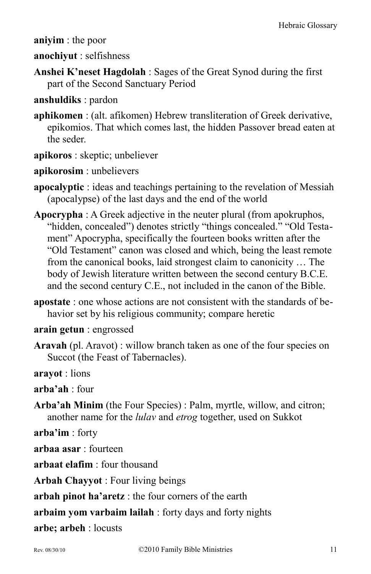**aniyim** : the poor

#### **anochiyut** : selfishness

- **Anshei K'neset Hagdolah** : Sages of the Great Synod during the first part of the Second Sanctuary Period
- **anshuldiks** : pardon
- **aphikomen** : (alt. afikomen) Hebrew transliteration of Greek derivative, epikomios. That which comes last, the hidden Passover bread eaten at the seder.
- **apikoros** : skeptic; unbeliever
- **apikorosim** : unbelievers
- **apocalyptic** : ideas and teachings pertaining to the revelation of Messiah (apocalypse) of the last days and the end of the world
- **Apocrypha** : A Greek adjective in the neuter plural (from apokruphos, "hidden, concealed") denotes strictly "things concealed." "Old Testament" Apocrypha, specifically the fourteen books written after the "Old Testament" canon was closed and which, being the least remote from the canonical books, laid strongest claim to canonicity … The body of Jewish literature written between the second century B.C.E. and the second century C.E., not included in the canon of the Bible.
- **apostate** : one whose actions are not consistent with the standards of behavior set by his religious community; compare heretic
- **arain getun** : engrossed
- **Aravah** (pl. Aravot) : willow branch taken as one of the four species on Succot (the Feast of Tabernacles).

**arayot** : lions

**arba'ah** : four

**Arba'ah Minim** (the Four Species) : Palm, myrtle, willow, and citron; another name for the *lulav* and *etrog* together, used on Sukkot

**arba'im** : forty

**arbaa asar** : fourteen

**arbaat elafim** : four thousand

**Arbah Chayyot** : Four living beings

**arbah pinot ha'aretz** : the four corners of the earth

**arbaim yom varbaim lailah** : forty days and forty nights

**arbe; arbeh** : locusts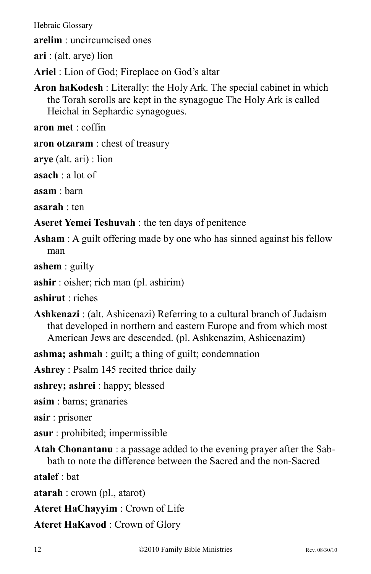**arelim** : uncircumcised ones

**ari** : (alt. arye) lion

**Ariel** : Lion of God; Fireplace on God's altar

**Aron haKodesh** : Literally: the Holy Ark. The special cabinet in which the Torah scrolls are kept in the synagogue The Holy Ark is called Heichal in Sephardic synagogues.

**aron met** : coffin

**aron otzaram** : chest of treasury

**arye** (alt. ari) : lion

**asach** : a lot of

**asam** : barn

**asarah** : ten

**Aseret Yemei Teshuvah** : the ten days of penitence

**Asham** : A guilt offering made by one who has sinned against his fellow man

**ashem** : guilty

**ashir** : oisher; rich man (pl. ashirim)

**ashirut** : riches

**Ashkenazi** : (alt. Ashicenazi) Referring to a cultural branch of Judaism that developed in northern and eastern Europe and from which most American Jews are descended. (pl. Ashkenazim, Ashicenazim)

**ashma; ashmah** : guilt; a thing of guilt; condemnation

**Ashrey** : Psalm 145 recited thrice daily

**ashrey; ashrei** : happy; blessed

**asim** : barns; granaries

**asir** : prisoner

**asur** : prohibited; impermissible

**Atah Chonantanu** : a passage added to the evening prayer after the Sabbath to note the difference between the Sacred and the non-Sacred

**atalef** : bat

**atarah** : crown (pl., atarot)

**Ateret HaChayyim** : Crown of Life

**Ateret HaKavod** : Crown of Glory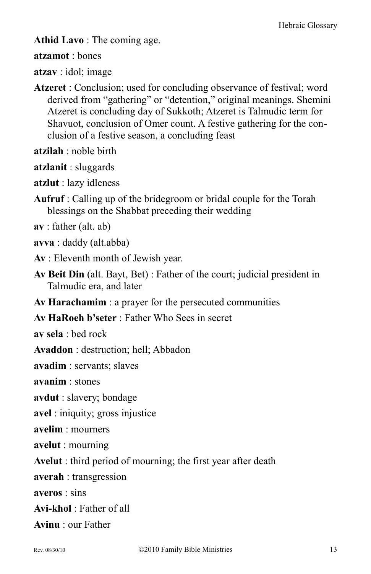**Athid Lavo** : The coming age.

**atzamot** : bones

**atzav** : idol; image

**Atzeret** : Conclusion; used for concluding observance of festival; word derived from "gathering" or "detention," original meanings. Shemini Atzeret is concluding day of Sukkoth; Atzeret is Talmudic term for Shavuot, conclusion of Omer count. A festive gathering for the conclusion of a festive season, a concluding feast

**atzilah** : noble birth

**atzlanit** : sluggards

**atzlut** : lazy idleness

**Aufruf** : Calling up of the bridegroom or bridal couple for the Torah blessings on the Shabbat preceding their wedding

**av** : father (alt. ab)

- **avva** : daddy (alt.abba)
- **Av** : Eleventh month of Jewish year.
- **Av Beit Din** (alt. Bayt, Bet) : Father of the court; judicial president in Talmudic era, and later
- **Av Harachamim** : a prayer for the persecuted communities

**Av HaRoeh b'seter** : Father Who Sees in secret

**av sela** : bed rock

**Avaddon** : destruction; hell; Abbadon

**avadim** : servants; slaves

**avanim** : stones

**avdut** : slavery; bondage

**avel** : iniquity; gross injustice

**avelim** : mourners

**avelut** : mourning

**Avelut** : third period of mourning; the first year after death

**averah** : transgression

**averos** : sins

**Avi-khol** : Father of all

**Avinu** : our Father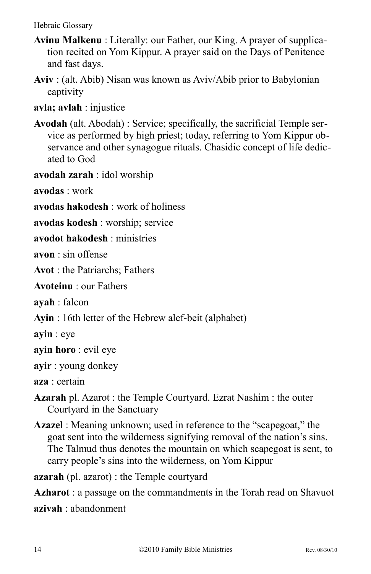- **Avinu Malkenu** : Literally: our Father, our King. A prayer of supplication recited on Yom Kippur. A prayer said on the Days of Penitence and fast days.
- **Aviv** : (alt. Abib) Nisan was known as Aviv/Abib prior to Babylonian captivity

**avla; avlah** : injustice

**Avodah** (alt. Abodah) : Service; specifically, the sacrificial Temple service as performed by high priest; today, referring to Yom Kippur observance and other synagogue rituals. Chasidic concept of life dedicated to God

**avodah zarah** : idol worship

**avodas** : work

**avodas hakodesh** : work of holiness

**avodas kodesh** : worship; service

**avodot hakodesh** : ministries

**avon** : sin offense

**Avot** : the Patriarchs; Fathers

**Avoteinu** : our Fathers

**ayah** : falcon

**Ayin** : 16th letter of the Hebrew alef-beit (alphabet)

**ayin** : eye

**ayin horo** : evil eye

**ayir** : young donkey

**aza** : certain

- **Azarah** pl. Azarot : the Temple Courtyard. Ezrat Nashim : the outer Courtyard in the Sanctuary
- **Azazel** : Meaning unknown; used in reference to the "scapegoat," the goat sent into the wilderness signifying removal of the nation's sins. The Talmud thus denotes the mountain on which scapegoat is sent, to carry people's sins into the wilderness, on Yom Kippur
- **azarah** (pl. azarot) : the Temple courtyard

**Azharot** : a passage on the commandments in the Torah read on Shavuot **azivah** : abandonment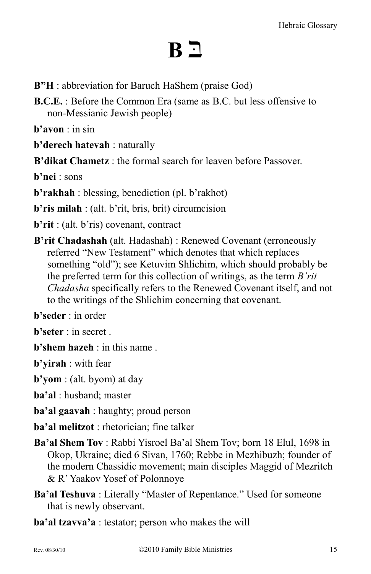## **B** B

- **B**"H: abbreviation for Baruch HaShem (praise God)
- **B.C.E.** : Before the Common Era (same as B.C. but less offensive to non-Messianic Jewish people)

**b'avon** : in sin

**b'derech hatevah** : naturally

**B'dikat Chametz** : the formal search for leaven before Passover.

**b'nei** : sons

**b'rakhah** : blessing, benediction (pl. b'rakhot)

**b'ris milah** : (alt. b'rit, bris, brit) circumcision

- **b'rit** : (alt. b'ris) covenant, contract
- **B'rit Chadashah** (alt. Hadashah) : Renewed Covenant (erroneously referred "New Testament" which denotes that which replaces something "old"); see Ketuvim Shlichim, which should probably be the preferred term for this collection of writings, as the term *B'rit Chadasha* specifically refers to the Renewed Covenant itself, and not to the writings of the Shlichim concerning that covenant.

**b'seder** : in order

**b**'seter  $\cdot$  in secret

**b'shem hazeh** : in this name .

**b'yirah** : with fear

**b'yom** : (alt. byom) at day

**ba'al** : husband; master

**ba'al gaavah** : haughty; proud person

**ba'al melitzot** : rhetorician; fine talker

- **Ba'al Shem Tov** : Rabbi Yisroel Ba'al Shem Tov; born 18 Elul, 1698 in Okop, Ukraine; died 6 Sivan, 1760; Rebbe in Mezhibuzh; founder of the modern [Chassidic](#page-24-0) movement; main disciples Maggid of Mezritch & R' Yaakov Yosef of Polonnoye
- **Ba'al Teshuva** : Literally "Master of Repentance." Used for someone that is newly observant.

**ba'al tzavva'a** : testator; person who makes the will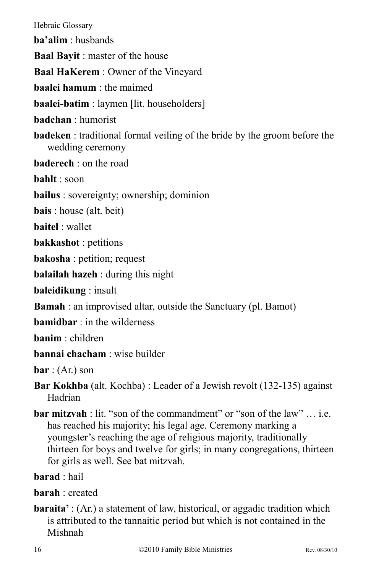**ba'alim** : husbands **Baal Bayit** : master of the house **Baal HaKerem** : Owner of the Vineyard **baalei hamum** : the maimed **baalei-batim** : laymen [lit. householders] **badchan** : humorist **badeken**: traditional formal veiling of the bride by the groom before the wedding ceremony **baderech** : on the road **bahlt** : soon **bailus** : sovereignty; ownership; dominion **bais** : house (alt. beit) **baitel** : wallet **bakkashot** : petitions **bakosha** : petition; request **balailah hazeh** : during this night **baleidikung** : insult **Bamah** : an improvised altar, outside the Sanctuary (pl. Bamot) **bamidbar** : in the wilderness

**banim** : children

**bannai chacham** : wise builder

**bar** : (Ar.) son

- **Bar Kokhba** (alt. Kochba) : Leader of a Jewish revolt (132-135) against Hadrian
- **bar mitzvah** : lit. "son of the commandment" or "son of the law" ... i.e. has reached his majority; his legal age. Ceremony marking a youngster's reaching the age of religious majority, traditionally thirteen for boys and twelve for girls; in many congregations, thirteen for girls as well. See bat mitzvah.

**barad** : hail

**barah** : created

**baraita'** : (Ar.) a statement of law, historical, or aggadic tradition which is attributed to the tannaitic period but which is not contained in the Mishnah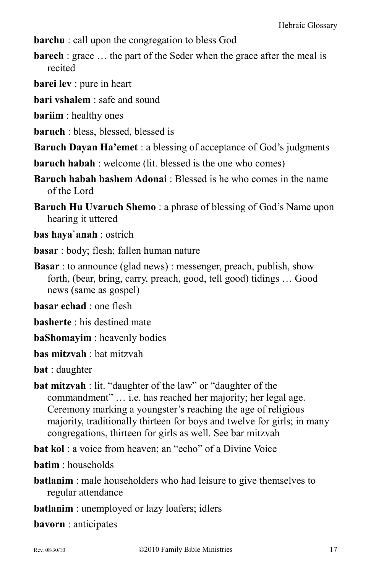**barchu**: call upon the congregation to bless God

- **barech**: grace ... the part of the Seder when the grace after the meal is recited
- **barei lev** : pure in heart
- **bari vshalem** : safe and sound
- **bariim** : healthy ones
- **baruch** : bless, blessed, blessed is
- **Baruch Dayan Ha'emet** : a blessing of acceptance of God's judgments
- **baruch habah** : welcome (lit. blessed is the one who comes)
- **Baruch habah bashem Adonai** : Blessed is he who comes in the name of the Lord
- **Baruch Hu Uvaruch Shemo** : a phrase of blessing of God's Name upon hearing it uttered
- **bas haya`anah** : ostrich
- **basar** : body; flesh; fallen human nature
- **Basar** : to announce (glad news) : messenger, preach, publish, show forth, (bear, bring, carry, preach, good, tell good) tidings … Good news (same as gospel)
- **basar echad** : one flesh
- **basherte** : his destined mate
- **baShomayim** : heavenly bodies
- **bas mitzvah** : bat mitzvah
- **bat** : daughter
- **bat mitzvah** : lit. "daughter of the law" or "daughter of the commandment" … i.e. has reached her majority; her legal age. Ceremony marking a youngster's reaching the age of religious majority, traditionally thirteen for boys and twelve for girls; in many congregations, thirteen for girls as well. See bar mitzvah
- **bat kol** : a voice from heaven; an "echo" of a Divine Voice
- **batim** : households
- **batlanim**: male householders who had leisure to give themselves to regular attendance
- **batlanim** : unemployed or lazy loafers; idlers
- **bavorn** : anticipates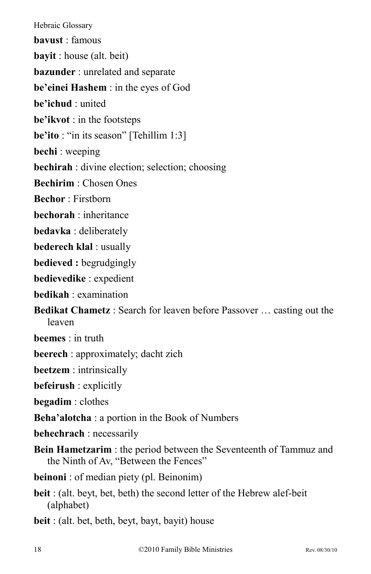**bavust** : famous

**bayit** : house (alt. beit)

**bazunder** : unrelated and separate

**be'einei Hashem** : in the eyes of God

**be'ichud** : united

**be'ikvot** : in the footsteps

**be'ito** : "in its season" [Tehillim 1:3]

**bechi** : weeping

**bechirah** : divine election; selection; choosing

**Bechirim** : Chosen Ones

**Bechor** : Firstborn

**bechorah** : inheritance

**bedavka** : deliberately

**bederech klal** : usually

**bedieved :** begrudgingly

**bedievedike** : expedient

**bedikah** : examination

**Bedikat Chametz** : Search for leaven before Passover … casting out the leaven

**beemes** : in truth

**beerech** : approximately; dacht zich

**beetzem** : intrinsically

**befeirush** : explicitly

**begadim** : clothes

**Beha'alotcha** : a portion in the Book of Numbers

**behechrach** : necessarily

**Bein Hametzarim** : the period between the Seventeenth of Tammuz and the Ninth of Av, "Between the Fences"

**beinoni** : of median piety (pl. Beinonim)

**beit** : (alt. beyt, bet, beth) the second letter of the Hebrew alef-beit (alphabet)

**beit** : (alt. bet, beth, beyt, bayt, bayit) house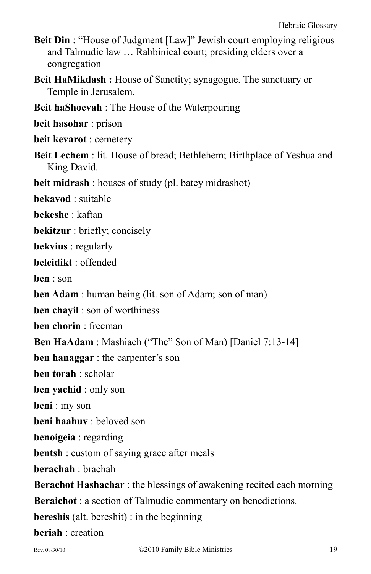- **Beit Din** : "House of Judgment [Law]" Jewish court employing religious and Talmudic law … Rabbinical court; presiding elders over a congregation
- **Beit HaMikdash :** House of Sanctity; synagogue. The sanctuary or Temple in Jerusalem.
- **Beit haShoevah** : The House of the Waterpouring
- **beit hasohar** : prison
- **beit kevarot** : cemetery
- **Beit Lechem** : lit. House of bread; Bethlehem; Birthplace of Yeshua and King David.
- **beit midrash** : houses of study (pl. batey midrashot)
- **bekavod** : suitable
- **bekeshe** : kaftan
- **bekitzur** : briefly; concisely
- **bekvius** : regularly
- **beleidikt** : offended
- **ben** : son
- **ben Adam** : human being (lit. son of Adam; son of man)
- **ben chayil** : son of worthiness
- **ben chorin** : freeman
- **Ben HaAdam** : Mashiach ("The" Son of Man) [Daniel 7:13-14]
- **ben hanaggar** : the carpenter's son
- **ben torah** : scholar
- **ben yachid** : only son
- **beni** : my son
- **beni haahuv** : beloved son
- **benoigeia** : regarding
- **bentsh** : custom of saying grace after meals
- **berachah** : brachah
- **Berachot Hashachar** : the blessings of awakening recited each morning
- **Beraichot** : a section of Talmudic commentary on benedictions.
- **bereshis** (alt. bereshit) : in the beginning
- **beriah** : creation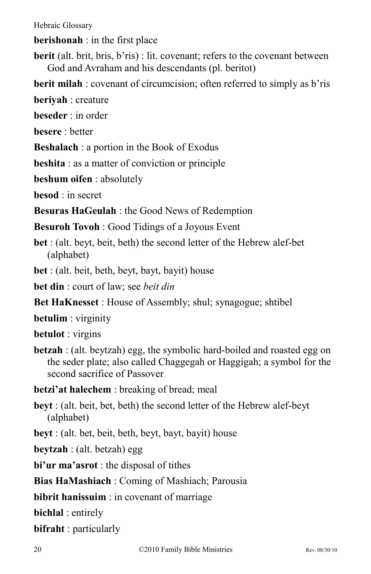**berishonah** : in the first place

**berit** (alt. brit, bris, b'ris) : lit. covenant; refers to the covenant between God and Avraham and his descendants (pl. beritot)

**berit milah** : covenant of circumcision; often referred to simply as b'ris

**beriyah** : creature

**beseder** : in order

**besere** : better

**Beshalach** : a portion in the Book of Exodus

**beshita** : as a matter of conviction or principle

**beshum oifen** : absolutely

**besod** : in secret

**Besuras HaGeulah** : the Good News of Redemption

**Besuroh Tovoh** : Good Tidings of a Joyous Event

- **bet** : (alt. beyt, beit, beth) the second letter of the Hebrew alef-bet (alphabet)
- **bet** : (alt. beit, beth, beyt, bayt, bayit) house

**bet din** : court of law; see *beit din*

**Bet HaKnesset** : House of Assembly; shul; synagogue; shtibel

**betulim** : virginity

**betulot** : virgins

- **betzah** : (alt. beytzah) egg, the symbolic hard-boiled and roasted egg on the seder plate; also called Chaggegah or Haggigah; a symbol for the second sacrifice of Passover
- **betzi'at halechem** : breaking of bread; meal
- **beyt** : (alt. beit, bet, beth) the second letter of the Hebrew alef-beyt (alphabet)
- **beyt** : (alt. bet, beit, beth, beyt, bayt, bayit) house

**beytzah** : (alt. betzah) egg

**bi'ur ma'asrot** : the disposal of tithes

**Bias HaMashiach** : Coming of Mashiach; Parousia

**bibrit hanissuim** : in covenant of marriage

**bichlal** : entirely

**bifraht** : particularly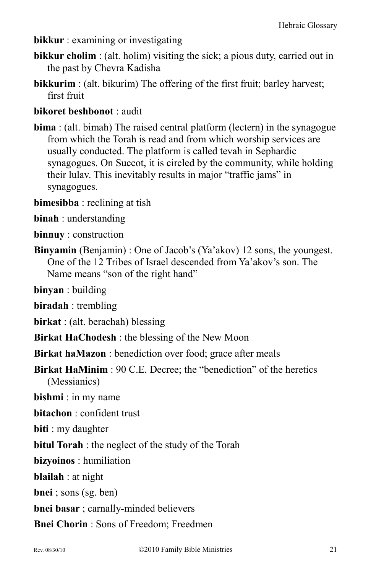**bikkur** : examining or investigating

- **bikkur cholim** : (alt. holim) visiting the sick; a pious duty, carried out in the past by Chevra Kadisha
- **bikkurim** : (alt. bikurim) The offering of the first fruit; barley harvest; first fruit

#### **bikoret beshbonot** : audit

- **bima** : (alt. bimah) The raised central platform (lectern) in the synagogue from which the Torah is read and from which worship services are usually conducted. The platform is called tevah in Sephardic synagogues. On Succot, it is circled by the community, while holding their lulav. This inevitably results in major "traffic jams" in synagogues.
- **bimesibba** : reclining at tish
- **binah** : understanding
- **binnuy** : construction
- **Binyamin** (Benjamin) : One of Jacob's (Ya'akov) 12 sons, the youngest. One of the 12 Tribes of Israel descended from Ya'akov's son. The Name means "son of the right hand"
- **binyan** : building
- **biradah** : trembling
- **birkat** : (alt. berachah) blessing
- **Birkat HaChodesh** : the blessing of the New Moon
- **Birkat haMazon** : benediction over food; grace after meals
- **Birkat HaMinim**: 90 C.E. Decree; the "benediction" of the heretics (Messianics)
- **bishmi** : in my name
- **bitachon** : confident trust

**biti** : my daughter

**bitul Torah** : the neglect of the study of the Torah

**bizyoinos** : humiliation

**blailah** : at night

**bnei** ; sons (sg. ben)

**bnei basar** ; carnally-minded believers

**Bnei Chorin** : Sons of Freedom; Freedmen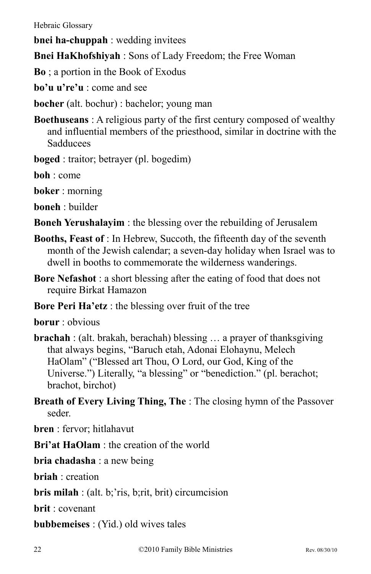**bnei ha-chuppah** : wedding invitees

**Bnei HaKhofshiyah** : Sons of Lady Freedom; the Free Woman

**Bo** ; a portion in the Book of Exodus

**bo'u u're'u** : come and see

**bocher** (alt. bochur) : bachelor; young man

- **Boethuseans** : A religious party of the first century composed of wealthy and influential members of the priesthood, similar in doctrine with the Sadducees
- **boged** : traitor; betrayer (pl. bogedim)

**boh** : come

**boker** : morning

**boneh** : builder

- **Boneh Yerushalayim** : the blessing over the rebuilding of Jerusalem
- **Booths, Feast of** : In Hebrew, Succoth, the fifteenth day of the seventh month of the Jewish calendar; a seven-day holiday when Israel was to dwell in booths to commemorate the wilderness wanderings.
- **Bore Nefashot** : a short blessing after the eating of food that does not require Birkat Hamazon
- **Bore Peri Ha'etz** : the blessing over fruit of the tree

**borur** : obvious

- **brachah** : (alt. brakah, berachah) blessing ... a prayer of thanksgiving that always begins, "Baruch etah, Adonai Elohaynu, Melech HaOlam" ("Blessed art Thou, O Lord, our God, King of the Universe.") Literally, "a blessing" or "benediction." (pl. berachot; brachot, birchot)
- **Breath of Every Living Thing, The** : The closing hymn of the Passover seder.

**bren** : fervor; hitlahavut

**Bri'at HaOlam** : the creation of the world

**bria chadasha** : a new being

**briah** : creation

**bris milah** : (alt. b;'ris, b;rit, brit) circumcision

**brit** : covenant

**bubbemeises** : (Yid.) old wives tales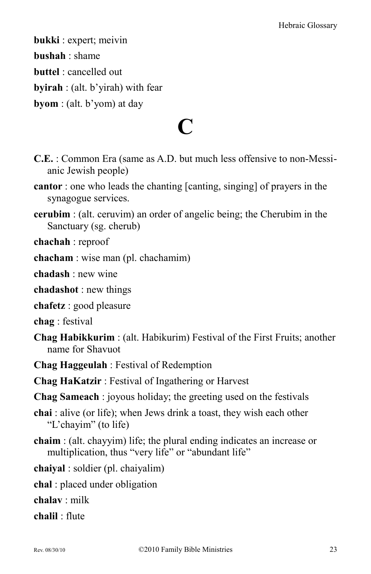**bukki** : expert; meivin

**bushah** : shame

**buttel** : cancelled out

**byirah** : (alt. b'yirah) with fear

**byom** : (alt. b'yom) at day

### **C**

- **C.E.** : Common Era (same as A.D. but much less offensive to non-Messianic Jewish people)
- **cantor** : one who leads the chanting [canting, singing] of prayers in the synagogue services.
- **cerubim** : (alt. ceruvim) an order of angelic being; the Cherubim in the Sanctuary (sg. cherub)

**chachah** : reproof

**chacham** : wise man (pl. chachamim)

**chadash** : new wine

**chadashot** : new things

**chafetz** : good pleasure

**chag** : festival

- **Chag Habikkurim** : (alt. Habikurim) Festival of the First Fruits; another name for Shavuot
- **Chag Haggeulah** : Festival of Redemption

**Chag HaKatzir** : Festival of Ingathering or Harvest

- **Chag Sameach** : joyous holiday; the greeting used on the festivals
- **chai** : alive (or life); when Jews drink a toast, they wish each other "L'chayim" (to life)
- **chaim** : (alt. chayyim) life; the plural ending indicates an increase or multiplication, thus "very life" or "abundant life"

**chaiyal** : soldier (pl. chaiyalim)

**chal** : placed under obligation

**chalav** : milk

**chalil** : flute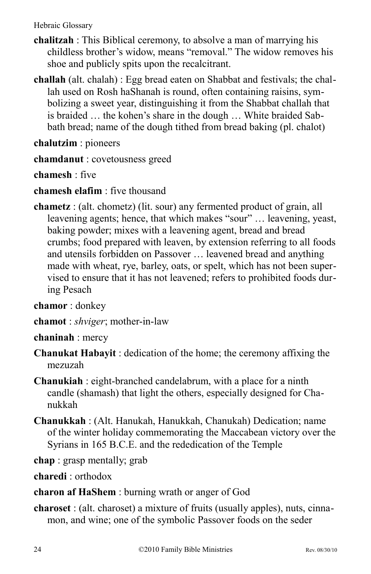**chalitzah** : This Biblical ceremony, to absolve a man of marrying his childless brother's widow, means "removal." The widow removes his shoe and publicly spits upon the recalcitrant.

**challah** (alt. chalah) : Egg bread eaten on Shabbat and festivals; the challah used on Rosh haShanah is round, often containing raisins, symbolizing a sweet year, distinguishing it from the Shabbat challah that is braided … the kohen's share in the dough … White braided Sabbath bread; name of the dough tithed from bread baking (pl. chalot)

**chalutzim** : pioneers

**chamdanut** : covetousness greed

**chamesh** : five

**chamesh elafim** : five thousand

- **chametz** : (alt. chometz) (lit. sour) any fermented product of grain, all leavening agents; hence, that which makes "sour" … leavening, yeast, baking powder; mixes with a leavening agent, bread and bread crumbs; food prepared with leaven, by extension referring to all foods and utensils forbidden on Passover … leavened bread and anything made with wheat, rye, barley, oats, or spelt, which has not been supervised to ensure that it has not leavened; refers to prohibited foods during Pesach
- **chamor** : donkey
- **chamot** : *shviger*; mother-in-law
- **chaninah** : mercy
- **Chanukat Habayit** : dedication of the home; the ceremony affixing the mezuzah
- **Chanukiah** : eight-branched candelabrum, with a place for a ninth candle (shamash) that light the others, especially designed for Chanukkah
- **Chanukkah** : (Alt. Hanukah, Hanukkah, Chanukah) Dedication; name of the winter holiday commemorating the Maccabean victory over the Syrians in 165 B.C.E. and the rededication of the Temple
- **chap** : grasp mentally; grab

**charedi** : orthodox

- **charon af HaShem** : burning wrath or anger of God
- **charoset** : (alt. charoset) a mixture of fruits (usually apples), nuts, cinnamon, and wine; one of the symbolic Passover foods on the seder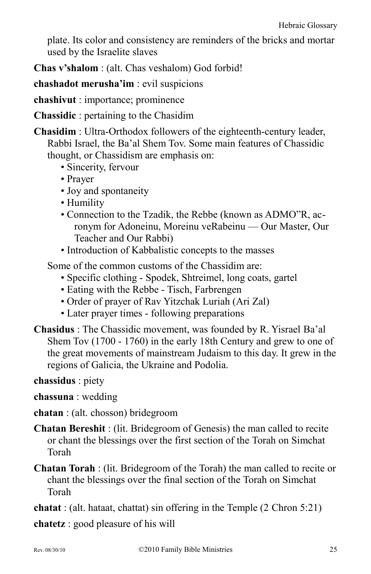plate. Its color and consistency are reminders of the bricks and mortar used by the Israelite slaves

**Chas v'shalom** : (alt. Chas veshalom) God forbid!

**chashadot merusha'im** : evil suspicions

**chashivut** : importance; prominence

- **Chassidic** : pertaining to the Chasidim
- <span id="page-24-0"></span>**Chasidim** : Ultra-Orthodox followers of the eighteenth-century leader, Rabbi Israel, the Ba'al Shem Tov. Some main features of Chassidic thought, or Chassidism are emphasis on:
	- Sincerity, fervour
	- Prayer
	- Joy and spontaneity
	- Humility
	- Connection to the Tzadik, the Rebbe (known as ADMO"R, acronym for Adoneinu, Moreinu veRabeinu — Our Master, Our Teacher and Our Rabbi)
	- Introduction of Kabbalistic concepts to the masses

Some of the common customs of the Chassidim are:

- Specific clothing Spodek, Shtreimel, long coats, gartel
- Eating with the Rebbe Tisch, Farbrengen
- Order of prayer of Rav Yitzchak Luriah (Ari Zal)
- Later prayer times following preparations
- **Chasidus** : The Chassidic movement, was founded by R. Yisrael Ba'al Shem Tov (1700 - 1760) in the early 18th Century and grew to one of the great movements of mainstream Judaism to this day. It grew in the regions of Galicia, the Ukraine and Podolia.

**chassidus** : piety

**chassuna** : wedding

**chatan** : (alt. chosson) bridegroom

- **Chatan Bereshit** : (lit. Bridegroom of Genesis) the man called to recite or chant the blessings over the first section of the Torah on Simchat Torah
- **Chatan Torah** : (lit. Bridegroom of the Torah) the man called to recite or chant the blessings over the final section of the Torah on Simchat Torah

**chatat** : (alt. hataat, chattat) sin offering in the Temple (2 Chron 5:21)

**chatetz** : good pleasure of his will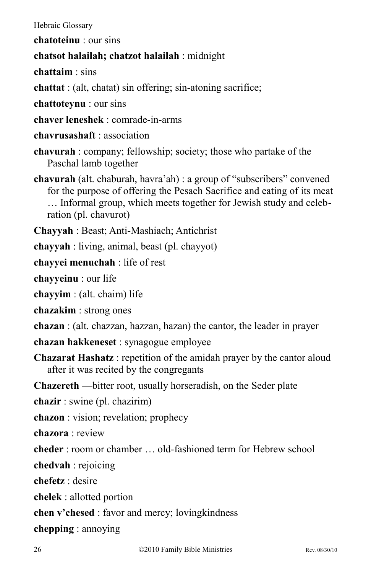**chatoteinu** : our sins

#### **chatsot halailah; chatzot halailah** : midnight

**chattaim** : sins

**chattat** : (alt, chatat) sin offering; sin-atoning sacrifice;

**chattoteynu** : our sins

- **chaver leneshek** : comrade-in-arms
- **chavrusashaft** : association
- **chavurah** : company; fellowship; society; those who partake of the Paschal lamb together
- **chavurah** (alt. chaburah, havra'ah) : a group of "subscribers" convened for the purpose of offering the Pesach Sacrifice and eating of its meat … Informal group, which meets together for Jewish study and celebration (pl. chavurot)
- **Chayyah** : Beast; Anti-Mashiach; Antichrist
- **chayyah** : living, animal, beast (pl. chayyot)
- **chayyei menuchah** : life of rest

**chayyeinu** : our life

**chayyim** : (alt. chaim) life

**chazakim** : strong ones

- **chazan** : (alt. chazzan, hazzan, hazan) the cantor, the leader in prayer
- **chazan hakkeneset** : synagogue employee
- **Chazarat Hashatz** : repetition of the amidah prayer by the cantor aloud after it was recited by the congregants
- **Chazereth** —bitter root, usually horseradish, on the Seder plate

**chazir** : swine (pl. chazirim)

**chazon** : vision; revelation; prophecy

**chazora** : review

**cheder** : room or chamber … old-fashioned term for Hebrew school

**chedvah** : rejoicing

**chefetz** : desire

**chelek** : allotted portion

**chen v'chesed** : favor and mercy; lovingkindness

**chepping** : annoying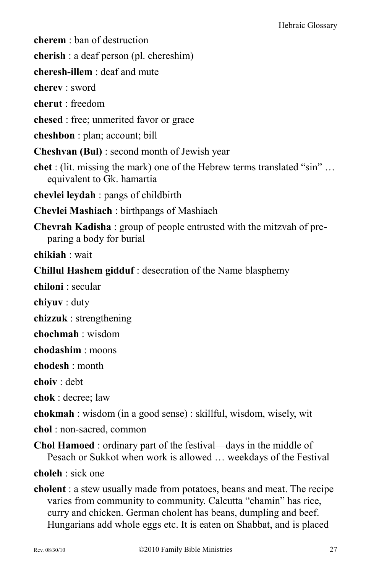**cherem** : ban of destruction **cherish** : a deaf person (pl. chereshim) **cheresh-illem** : deaf and mute **cherev** : sword **cherut** : freedom **chesed** : free; unmerited favor or grace **cheshbon** : plan; account; bill **Cheshvan (Bul)** : second month of Jewish year **chet** : (lit. missing the mark) one of the Hebrew terms translated "sin" … equivalent to Gk. hamartia **chevlei leydah** : pangs of childbirth **Chevlei Mashiach** : birthpangs of Mashiach **Chevrah Kadisha** : group of people entrusted with the mitzvah of preparing a body for burial **chikiah** : wait **Chillul Hashem gidduf** : desecration of the Name blasphemy **chiloni** : secular **chiyuv** : duty **chizzuk** : strengthening **chochmah** : wisdom **chodashim** : moons **chodesh** : month **choiv** : debt **chok** : decree; law **chokmah** : wisdom (in a good sense) : skillful, wisdom, wisely, wit **chol** : non-sacred, common **Chol Hamoed** : ordinary part of the festival—days in the middle of Pesach or Sukkot when work is allowed … weekdays of the Festival **choleh** : sick one

**cholent** : a stew usually made from potatoes, beans and meat. The recipe varies from community to community. Calcutta "chamin" has rice, curry and chicken. German cholent has beans, dumpling and beef. Hungarians add whole eggs etc. It is eaten on Shabbat, and is placed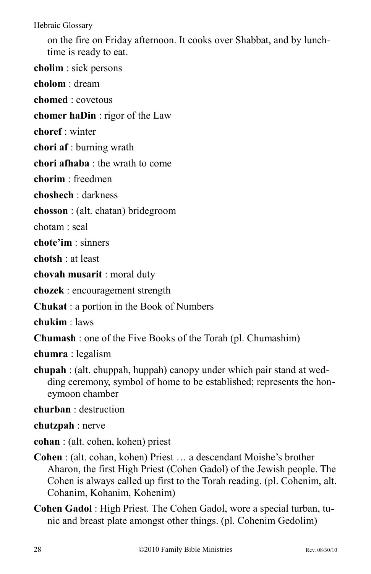on the fire on Friday afternoon. It cooks over Shabbat, and by lunchtime is ready to eat.

- **cholim** : sick persons
- **cholom** : dream
- **chomed** : covetous
- **chomer haDin** : rigor of the Law
- **choref** : winter
- **chori af** : burning wrath
- **chori afhaba** : the wrath to come
- **chorim** : freedmen
- **choshech** : darkness
- **chosson** : (alt. chatan) bridegroom
- chotam : seal
- **chote'im** : sinners
- **chotsh** : at least
- **chovah musarit** : moral duty
- **chozek** : encouragement strength
- **Chukat** : a portion in the Book of Numbers
- **chukim** : laws
- **Chumash** : one of the Five Books of the Torah (pl. Chumashim)
- **chumra** : legalism
- **chupah** : (alt. chuppah, huppah) canopy under which pair stand at wedding ceremony, symbol of home to be established; represents the honeymoon chamber
- **churban** : destruction
- **chutzpah** : nerve
- **cohan** : (alt. cohen, kohen) priest
- **Cohen** : (alt. cohan, kohen) Priest … a descendant Moishe's brother Aharon, the first High Priest (Cohen Gadol) of the Jewish people. The Cohen is always called up first to the Torah reading. (pl. Cohenim, alt. Cohanim, Kohanim, Kohenim)
- **Cohen Gadol** : High Priest. The Cohen Gadol, wore a special turban, tunic and breast plate amongst other things. (pl. Cohenim Gedolim)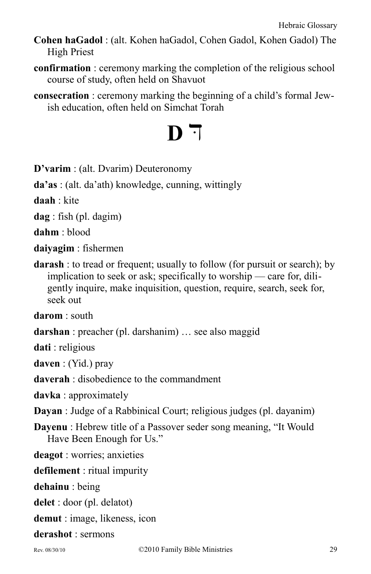**Cohen haGadol** : (alt. Kohen haGadol, Cohen Gadol, Kohen Gadol) The High Priest

- **confirmation** : ceremony marking the completion of the religious school course of study, often held on Shavuot
- **consecration** : ceremony marking the beginning of a child's formal Jewish education, often held on Simchat Torah

### **D** D

**D'varim** : (alt. Dvarim) Deuteronomy

**da'as** : (alt. da'ath) knowledge, cunning, wittingly

**daah** : kite

**dag** : fish (pl. dagim)

**dahm** : blood

**daiyagim** : fishermen

**darash** : to tread or frequent; usually to follow (for pursuit or search); by implication to seek or ask; specifically to worship — care for, diligently inquire, make inquisition, question, require, search, seek for, seek out

**darom** : south

**darshan** : preacher (pl. darshanim) … see also maggid

**dati** : religious

**daven** : (Yid.) pray

**daverah** : disobedience to the commandment

**davka** : approximately

**Dayan** : Judge of a Rabbinical Court; religious judges (pl. dayanim)

**Dayenu** : Hebrew title of a Passover seder song meaning, "It Would Have Been Enough for Us."

**deagot** : worries; anxieties

**defilement** : ritual impurity

**dehainu** : being

**delet** : door (pl. delatot)

**demut** : image, likeness, icon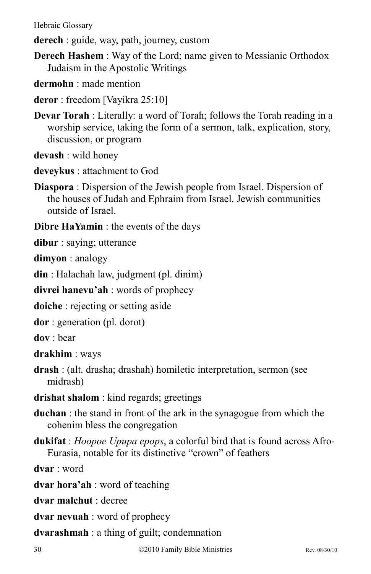- **derech** : guide, way, path, journey, custom
- **Derech Hashem** : Way of the Lord; name given to Messianic Orthodox Judaism in the Apostolic Writings
- **dermohn** : made mention
- **deror** : freedom [Vayikra 25:10]
- **Devar Torah** : Literally: a word of Torah; follows the Torah reading in a worship service, taking the form of a sermon, talk, explication, story, discussion, or program

**devash** : wild honey

- **deveykus** : attachment to God
- **Diaspora** : Dispersion of the Jewish people from Israel. Dispersion of the houses of Judah and Ephraim from Israel. Jewish communities outside of Israel.
- **Dibre HaYamin** : the events of the days

**dibur** : saying; utterance

**dimyon** : analogy

**din** : Halachah law, judgment (pl. dinim)

**divrei hanevu'ah** : words of prophecy

**doiche** : rejecting or setting aside

**dor** : generation (pl. dorot)

**dov** : bear

**drakhim** : ways

- **drash** : (alt. drasha; drashah) homiletic interpretation, sermon (see midrash)
- **drishat shalom** : kind regards; greetings
- **duchan** : the stand in front of the ark in the synagogue from which the cohenim bless the congregation
- **dukifat** : *Hoopoe Upupa epops*, a colorful bird that is found across Afro-Eurasia, notable for its distinctive "crown" of feathers

**dvar** : word

**dvar hora'ah** : word of teaching

**dvar malchut** : decree

**dvar nevuah** : word of prophecy

**dvarashmah** : a thing of guilt; condemnation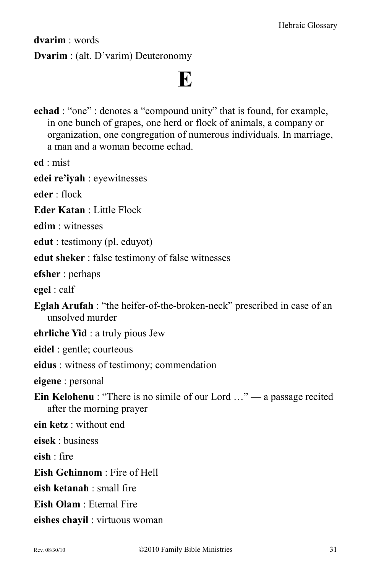**dvarim** : words **Dvarim** : (alt. D'varim) Deuteronomy

### **E**

**echad** : "one" : denotes a "compound unity" that is found, for example, in one bunch of grapes, one herd or flock of animals, a company or organization, one congregation of numerous individuals. In marriage, a man and a woman become echad.

**ed** : mist

**edei re'iyah** : eyewitnesses

**eder** : flock

**Eder Katan** : Little Flock

**edim** : witnesses

**edut** : testimony (pl. eduyot)

**edut sheker** : false testimony of false witnesses

**efsher** : perhaps

**egel** : calf

- **Eglah Arufah** : "the heifer-of-the-broken-neck" prescribed in case of an unsolved murder
- **ehrliche Yid** : a truly pious Jew

**eidel** : gentle; courteous

**eidus** : witness of testimony; commendation

**eigene** : personal

**Ein Kelohenu** : "There is no simile of our Lord …" — a passage recited after the morning prayer

**ein ketz** : without end

**eisek** : business

**eish** : fire

**Eish Gehinnom** : Fire of Hell

**eish ketanah** : small fire

**Eish Olam** : Eternal Fire

**eishes chayil** : virtuous woman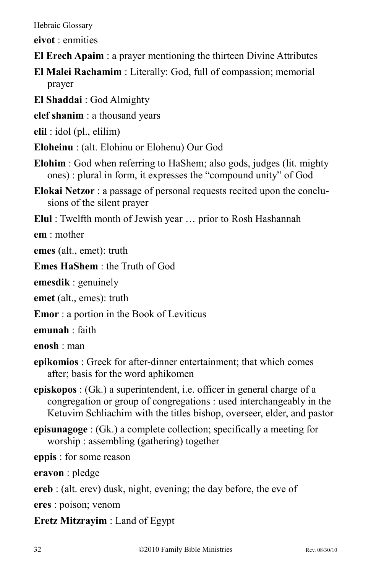**eivot** : enmities

- **El Erech Apaim** : a prayer mentioning the thirteen Divine Attributes
- **El Malei Rachamim** : Literally: God, full of compassion; memorial prayer
- **El Shaddai** : God Almighty
- **elef shanim** : a thousand years

**elil** : idol (pl., elilim)

- **Eloheinu** : (alt. Elohinu or Elohenu) Our God
- **Elohim** : God when referring to HaShem; also gods, judges (lit. mighty ones) : plural in form, it expresses the "compound unity" of God
- **Elokai Netzor** : a passage of personal requests recited upon the conclusions of the silent prayer
- **Elul** : Twelfth month of Jewish year … prior to Rosh Hashannah

**em** : mother

**emes** (alt., emet): truth

**Emes HaShem** : the Truth of God

**emesdik** : genuinely

**emet** (alt., emes): truth

**Emor** : a portion in the Book of Leviticus

**emunah** : faith

- **enosh** : man
- **epikomios** : Greek for after-dinner entertainment; that which comes after; basis for the word aphikomen
- **episkopos** : (Gk.) a superintendent, i.e. officer in general charge of a congregation or group of congregations : used interchangeably in the Ketuvim Schliachim with the titles bishop, overseer, elder, and pastor
- **episunagoge** : (Gk.) a complete collection; specifically a meeting for worship : assembling (gathering) together

**eppis** : for some reason

**eravon** : pledge

**ereb** : (alt. erev) dusk, night, evening; the day before, the eve of

**eres** : poison; venom

**Eretz Mitzrayim** : Land of Egypt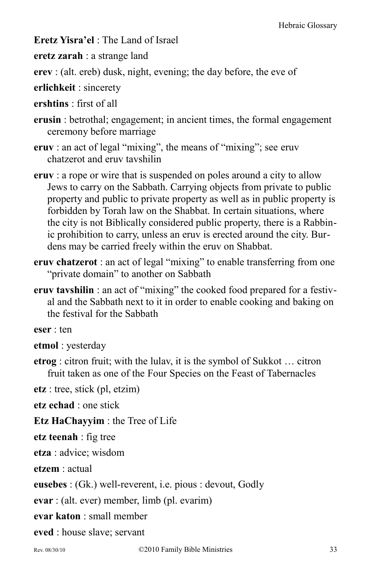**Eretz Yisra'el** : The Land of Israel

**eretz zarah** : a strange land

**erev** : (alt. ereb) dusk, night, evening; the day before, the eve of

- **erlichkeit** : sincerety
- **ershtins** : first of all
- **erusin** : betrothal; engagement; in ancient times, the formal engagement ceremony before marriage
- **eruv** : an act of legal "mixing", the means of "mixing"; see eruv chatzerot and eruv tavshilin

**eruv** : a rope or wire that is suspended on poles around a city to allow Jews to carry on the Sabbath. Carrying objects from private to public property and public to private property as well as in public property is forbidden by Torah law on the Shabbat. In certain situations, where the city is not Biblically considered public property, there is a Rabbinic prohibition to carry, unless an eruv is erected around the city. Burdens may be carried freely within the eruv on Shabbat.

- **eruv chatzerot** : an act of legal "mixing" to enable transferring from one "private domain" to another on Sabbath
- **eruv tavshilin** : an act of "mixing" the cooked food prepared for a festival and the Sabbath next to it in order to enable cooking and baking on the festival for the Sabbath

**eser** : ten

**etmol** : yesterday

**etrog** : citron fruit; with the lulav, it is the symbol of Sukkot … citron fruit taken as one of the Four Species on the Feast of Tabernacles

**etz** : tree, stick (pl, etzim)

**etz echad** : one stick

**Etz HaChayyim** : the Tree of Life

**etz teenah** : fig tree

**etza** : advice; wisdom

**etzem** : actual

**eusebes** : (Gk.) well-reverent, i.e. pious : devout, Godly

**evar** : (alt. ever) member, limb (pl. evarim)

**evar katon** : small member

**eved** : house slave; servant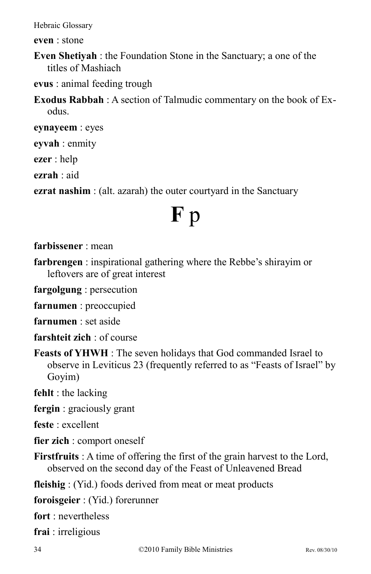**even** : stone

**Even Shetiyah** : the Foundation Stone in the Sanctuary; a one of the titles of Mashiach

**evus** : animal feeding trough

**Exodus Rabbah** : A section of Talmudic commentary on the book of Exodus.

**eynayeem** : eyes

**eyvah** : enmity

**ezer** : help

**ezrah** : aid

**ezrat nashim**: (alt. azarah) the outer courtyard in the Sanctuary

# **F** p

**farbissener** : mean

**farbrengen** : inspirational gathering where the Rebbe's shirayim or leftovers are of great interest

**fargolgung** : persecution

**farnumen** : preoccupied

**farnumen** : set aside

- **farshteit zich** : of course
- **Feasts of YHWH** : The seven holidays that God commanded Israel to observe in Leviticus 23 (frequently referred to as "Feasts of Israel" by Goyim)

**fehlt** : the lacking

**fergin** : graciously grant

**feste** : excellent

- **fier zich** : comport oneself
- **Firstfruits** : A time of offering the first of the grain harvest to the Lord, observed on the second day of the Feast of Unleavened Bread

**fleishig** : (Yid.) foods derived from meat or meat products

**foroisgeier** : (Yid.) forerunner

**fort** : nevertheless

**frai** : irreligious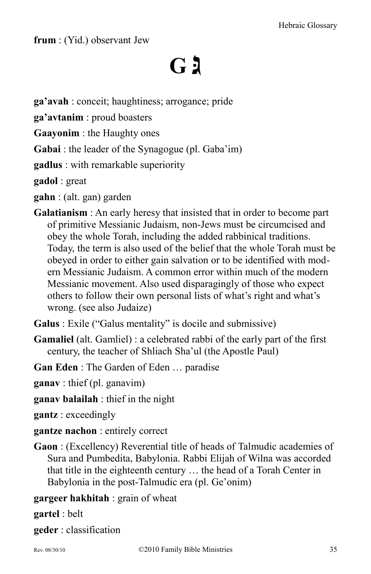**frum** : (Yid.) observant Jew

# **G** G

- **ga'avah** : conceit; haughtiness; arrogance; pride
- **ga'avtanim** : proud boasters
- **Gaayonim** : the Haughty ones
- **Gabai** : the leader of the Synagogue (pl. Gaba'im)
- **gadlus** : with remarkable superiority

**gadol** : great

- **gahn** : (alt. gan) garden
- **Galatianism** : An early heresy that insisted that in order to become part of primitive Messianic Judaism, non-Jews must be circumcised and obey the whole Torah, including the added rabbinical traditions. Today, the term is also used of the belief that the whole Torah must be obeyed in order to either gain salvation or to be identified with modern Messianic Judaism. A common error within much of the modern Messianic movement. Also used disparagingly of those who expect others to follow their own personal lists of what's right and what's wrong. (see also Judaize)
- **Galus** : Exile ("Galus mentality" is docile and submissive)
- **Gamaliel** (alt. Gamliel) : a celebrated rabbi of the early part of the first century, the teacher of Shliach Sha'ul (the Apostle Paul)
- **Gan Eden** : The Garden of Eden … paradise

**ganav** : thief (pl. ganavim)

**ganav balailah** : thief in the night

**gantz** : exceedingly

- **gantze nachon** : entirely correct
- **Gaon** : (Excellency) Reverential title of heads of Talmudic academies of Sura and Pumbedita, Babylonia. Rabbi Elijah of Wilna was accorded that title in the eighteenth century … the head of a Torah Center in Babylonia in the post-Talmudic era (pl. Ge'onim)

**gargeer hakhitah** : grain of wheat

**gartel** : belt

**geder** : classification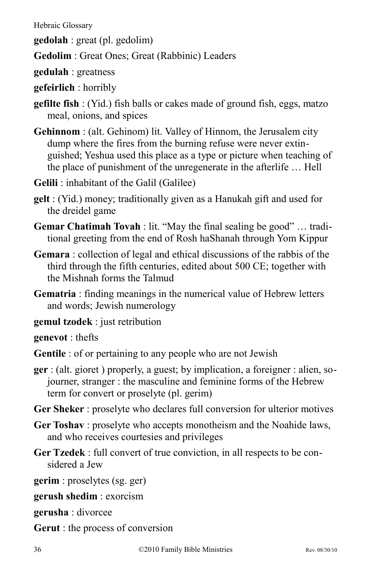**gedolah** : great (pl. gedolim)

**Gedolim** : Great Ones; Great (Rabbinic) Leaders

- **gedulah** : greatness
- **gefeirlich** : horribly
- **gefilte fish** : (Yid.) fish balls or cakes made of ground fish, eggs, matzo meal, onions, and spices
- **Gehinnom** : (alt. Gehinom) lit. Valley of Hinnom, the Jerusalem city dump where the fires from the burning refuse were never extinguished; Yeshua used this place as a type or picture when teaching of the place of punishment of the unregenerate in the afterlife … Hell
- **Gelili** : inhabitant of the Galil (Galilee)
- **gelt** : (Yid.) money; traditionally given as a Hanukah gift and used for the dreidel game
- **Gemar Chatimah Tovah** : lit. "May the final sealing be good" … traditional greeting from the end of Rosh haShanah through Yom Kippur
- **Gemara** : collection of legal and ethical discussions of the rabbis of the third through the fifth centuries, edited about 500 CE; together with the Mishnah forms the Talmud
- **Gematria** : finding meanings in the numerical value of Hebrew letters and words; Jewish numerology

**gemul tzodek** : just retribution

**genevot** : thefts

**Gentile**: of or pertaining to any people who are not Jewish

- **ger** : (alt. gioret ) properly, a guest; by implication, a foreigner : alien, sojourner, stranger : the masculine and feminine forms of the Hebrew term for convert or proselyte (pl. gerim)
- **Ger Sheker** : proselyte who declares full conversion for ulterior motives
- **Ger Toshav** : proselyte who accepts monotheism and the Noahide laws, and who receives courtesies and privileges
- **Ger Tzedek** : full convert of true conviction, in all respects to be considered a Jew
- **gerim** : proselytes (sg. ger)

**gerush shedim** : exorcism

- **gerusha** : divorcee
- **Gerut** : the process of conversion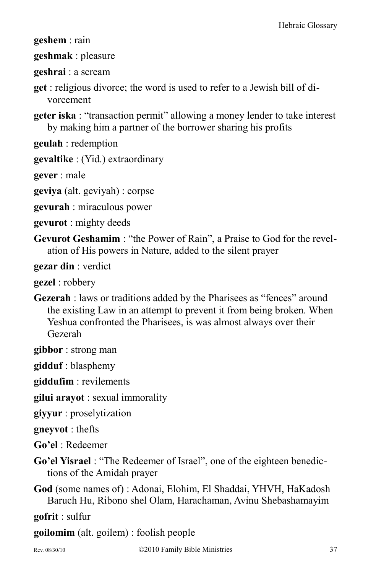**geshem** : rain

**geshmak** : pleasure

**geshrai** : a scream

- **get** : religious divorce; the word is used to refer to a Jewish bill of divorcement
- **geter iska** : "transaction permit" allowing a money lender to take interest by making him a partner of the borrower sharing his profits

**geulah** : redemption

**gevaltike** : (Yid.) extraordinary

**gever** : male

**geviya** (alt. geviyah) : corpse

**gevurah** : miraculous power

**gevurot** : mighty deeds

**Gevurot Geshamim** : "the Power of Rain", a Praise to God for the revelation of His powers in Nature, added to the silent prayer

**gezar din** : verdict

**gezel** : robbery

**Gezerah** : laws or traditions added by the Pharisees as "fences" around the existing Law in an attempt to prevent it from being broken. When Yeshua confronted the Pharisees, is was almost always over their Gezerah

**gibbor** : strong man

**gidduf** : blasphemy

**giddufim** : revilements

**gilui arayot** : sexual immorality

**giyyur** : proselytization

**gneyvot** : thefts

**Go'el** : Redeemer

- **Go'el Yisrael** : "The Redeemer of Israel", one of the eighteen benedictions of the Amidah prayer
- **God** (some names of) : Adonai, Elohim, El Shaddai, YHVH, HaKadosh Baruch Hu, Ribono shel Olam, Harachaman, Avinu Shebashamayim

**gofrit** : sulfur

**goilomim** (alt. goilem) : foolish people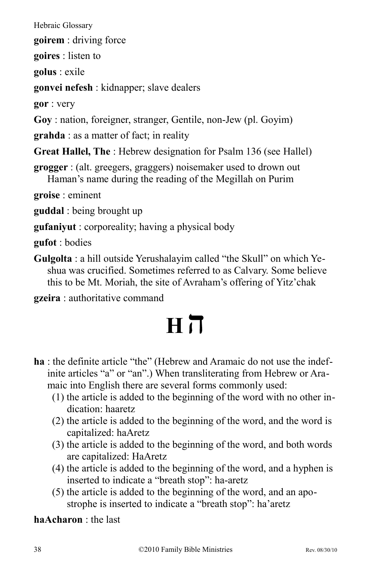**goirem** : driving force

**goires** : listen to

**golus** : exile

**gonvei nefesh** : kidnapper; slave dealers

**gor** : very

**Goy** : nation, foreigner, stranger, Gentile, non-Jew (pl. Goyim)

**grahda** : as a matter of fact; in reality

**Great Hallel, The** : Hebrew designation for Psalm 136 (see Hallel)

**grogger** : (alt. greegers, graggers) noisemaker used to drown out Haman's name during the reading of the Megillah on Purim

**groise** : eminent

**guddal** : being brought up

**gufaniyut** : corporeality; having a physical body

**gufot** : bodies

- **Gulgolta** : a hill outside Yerushalayim called "the Skull" on which Yeshua was crucified. Sometimes referred to as Calvary. Some believe this to be Mt. Moriah, the site of Avraham's offering of Yitz'chak
- **gzeira** : authoritative command

# **<sup>H</sup>**h

- **ha** : the definite article "the" (Hebrew and Aramaic do not use the indefinite articles "a" or "an".) When transliterating from Hebrew or Aramaic into English there are several forms commonly used:
	- (1) the article is added to the beginning of the word with no other indication: haaretz
	- (2) the article is added to the beginning of the word, and the word is capitalized: haAretz
	- (3) the article is added to the beginning of the word, and both words are capitalized: HaAretz
	- (4) the article is added to the beginning of the word, and a hyphen is inserted to indicate a "breath stop": ha-aretz
	- (5) the article is added to the beginning of the word, and an apostrophe is inserted to indicate a "breath stop": ha'aretz

**haAcharon** : the last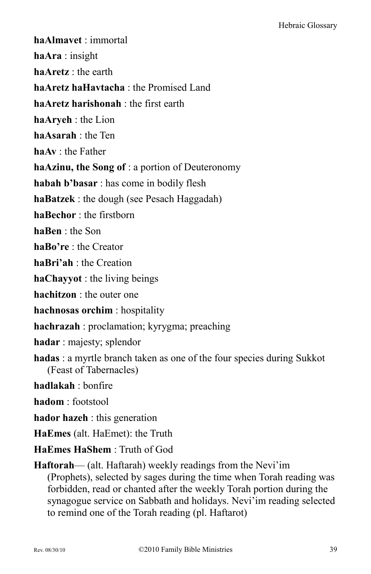**haAlmavet** : immortal **haAra** : insight **haAretz** : the earth **haAretz haHavtacha** : the Promised Land **haAretz harishonah** : the first earth **haAryeh** : the Lion **haAsarah** : the Ten **haAv** : the Father **haAzinu, the Song of** : a portion of Deuteronomy **habah b'basar** : has come in bodily flesh **haBatzek** : the dough (see Pesach Haggadah) **haBechor** : the firstborn **haBen** : the Son **haBo're** : the Creator **haBri'ah** : the Creation **haChayyot** : the living beings **hachitzon** : the outer one **hachnosas orchim** : hospitality **hachrazah** : proclamation; kyrygma; preaching **hadar** : majesty; splendor **hadas** : a myrtle branch taken as one of the four species during Sukkot (Feast of Tabernacles) **hadlakah** : bonfire **hadom** : footstool **hador hazeh** : this generation **HaEmes** (alt. HaEmet): the Truth **HaEmes HaShem** : Truth of God **Haftorah**— (alt. Haftarah) weekly readings from the Nevi'im

(Prophets), selected by sages during the time when Torah reading was forbidden, read or chanted after the weekly Torah portion during the synagogue service on Sabbath and holidays. Nevi'im reading selected to remind one of the Torah reading (pl. Haftarot)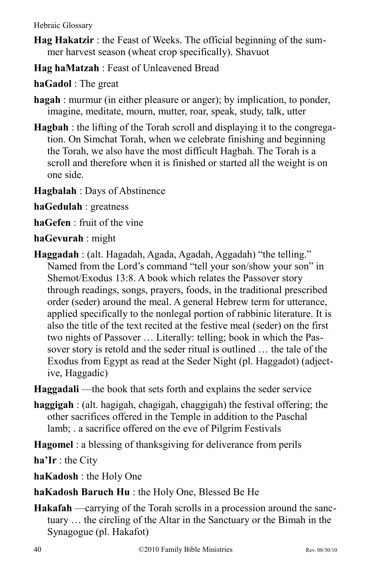**Hag Hakatzir** : the Feast of Weeks. The official beginning of the summer harvest season (wheat crop specifically). Shavuot

- **Hag haMatzah** : Feast of Unleavened Bread
- **haGadol** : The great
- **hagah** : murmur (in either pleasure or anger); by implication, to ponder, imagine, meditate, mourn, mutter, roar, speak, study, talk, utter
- **Hagbah** : the lifting of the Torah scroll and displaying it to the congregation. On Simchat Torah, when we celebrate finishing and beginning the Torah, we also have the most difficult Hagbah. The Torah is a scroll and therefore when it is finished or started all the weight is on one side.
- **Hagbalah** : Days of Abstinence
- **haGedulah** : greatness
- **haGefen** : fruit of the vine
- **haGevurah** : might
- **Haggadah** : (alt. Hagadah, Agada, Agadah, Aggadah) "the telling." Named from the Lord's command "tell your son/show your son" in Shemot/Exodus 13:8. A book which relates the Passover story through readings, songs, prayers, foods, in the traditional prescribed order (seder) around the meal. A general Hebrew term for utterance, applied specifically to the nonlegal portion of rabbinic literature. It is also the title of the text recited at the festive meal (seder) on the first two nights of Passover … Literally: telling; book in which the Passover story is retold and the seder ritual is outlined … the tale of the Exodus from Egypt as read at the Seder Night (pl. Haggadot) (adjective, Haggadic)
- **Haggadali** —the book that sets forth and explains the seder service
- **haggigah** : (alt. hagigah, chagigah, chaggigah) the festival offering; the other sacrifices offered in the Temple in addition to the Paschal lamb; . a sacrifice offered on the eve of Pilgrim Festivals
- **Hagomel** : a blessing of thanksgiving for deliverance from perils
- **ha'Ir** : the City
- **haKadosh** : the Holy One
- **haKadosh Baruch Hu** : the Holy One, Blessed Be He
- **Hakafah** —carrying of the Torah scrolls in a procession around the sanctuary … the circling of the Altar in the Sanctuary or the Bimah in the Synagogue (pl. Hakafot)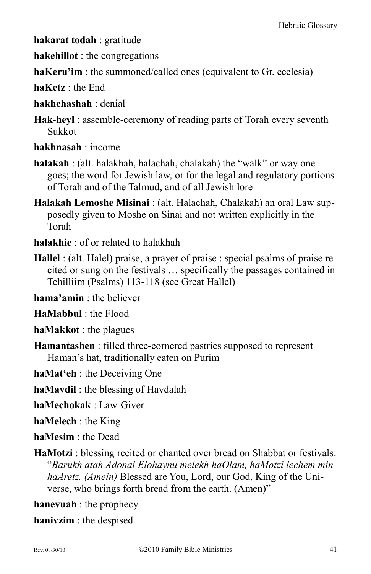**hakarat todah** : gratitude

- **hakehillot** : the congregations
- **haKeru'im**: the summoned/called ones (equivalent to Gr. ecclesia)
- **haKetz** : the End
- **hakhchashah** : denial
- **Hak-heyl** : assemble-ceremony of reading parts of Torah every seventh Sukkot
- **hakhnasah** : income
- **halakah** : (alt. halakhah, halachah, chalakah) the "walk" or way one goes; the word for Jewish law, or for the legal and regulatory portions of Torah and of the Talmud, and of all Jewish lore
- **Halakah Lemoshe Misinai** : (alt. Halachah, Chalakah) an oral Law supposedly given to Moshe on Sinai and not written explicitly in the Torah
- **halakhic** : of or related to halakhah
- **Hallel** : (alt. Halel) praise, a prayer of praise : special psalms of praise recited or sung on the festivals … specifically the passages contained in Tehilliim (Psalms) 113-118 (see Great Hallel)
- **hama'amin** : the believer
- **HaMabbul** : the Flood
- **haMakkot** : the plagues
- **Hamantashen** : filled three-cornered pastries supposed to represent Haman's hat, traditionally eaten on Purim
- **haMat'eh** : the Deceiving One
- **haMavdil** : the blessing of Havdalah
- **haMechokak** : Law-Giver
- **haMelech** : the King
- **haMesim** : the Dead
- **HaMotzi** : blessing recited or chanted over bread on Shabbat or festivals: "*Barukh atah Adonai Elohaynu melekh haOlam, haMotzi lechem min haAretz. (Amein)* Blessed are You, Lord, our God, King of the Universe, who brings forth bread from the earth. (Amen)"
- **hanevuah** : the prophecy
- **hanivzim** : the despised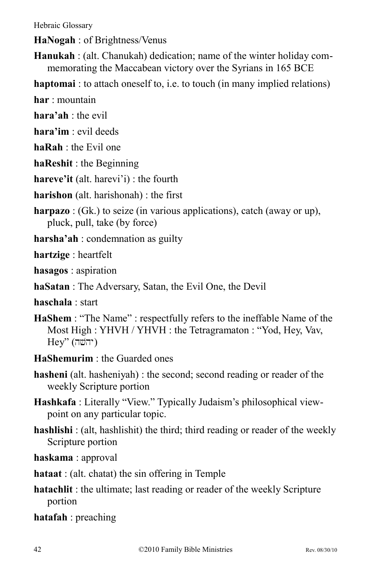- **HaNogah** : of Brightness/Venus
- **Hanukah** : (alt. Chanukah) dedication; name of the winter holiday commemorating the Maccabean victory over the Syrians in 165 BCE
- **haptomai** : to attach oneself to, i.e. to touch (in many implied relations)

**har** : mountain

**hara'ah** : the evil

**hara'im** : evil deeds

**haRah** : the Evil one

**haReshit** : the Beginning

**hareve'it** (alt. harevi'i) : the fourth

**harishon** (alt. harishonah) : the first

- **harpazo** : (Gk.) to seize (in various applications), catch (away or up), pluck, pull, take (by force)
- **harsha'ah** : condemnation as guilty

**hartzige** : heartfelt

**hasagos** : aspiration

- **haSatan** : The Adversary, Satan, the Evil One, the Devil
- **haschala** : start
- **HaShem** : "The Name" : respectfully refers to the ineffable Name of the Most High : YHVH / YHVH : the Tetragramaton : "Yod, Hey, Vav,  $\text{HeV}''(\pi\text{W})$
- **HaShemurim** : the Guarded ones
- **hasheni** (alt. hasheniyah) : the second; second reading or reader of the weekly Scripture portion
- **Hashkafa** : Literally "View." Typically Judaism's philosophical viewpoint on any particular topic.
- **hashlishi** : (alt, hashlishit) the third; third reading or reader of the weekly Scripture portion
- **haskama** : approval
- **hataat** : (alt. chatat) the sin offering in Temple
- **hatachlit**: the ultimate; last reading or reader of the weekly Scripture portion
- **hatafah** : preaching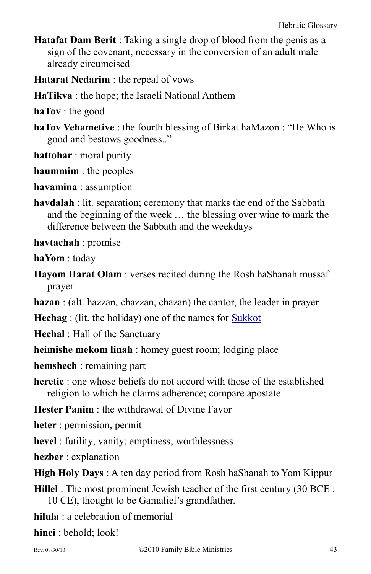**Hatafat Dam Berit** : Taking a single drop of blood from the penis as a sign of the covenant, necessary in the conversion of an adult male already circumcised

- **Hatarat Nedarim** : the repeal of vows
- **HaTikva** : the hope; the Israeli National Anthem
- **haTov** : the good
- **haTov Vehametive** : the fourth blessing of Birkat haMazon : "He Who is good and bestows goodness.."
- **hattohar** : moral purity
- **haummim** : the peoples

**havamina** : assumption

**havdalah** : lit. separation; ceremony that marks the end of the Sabbath and the beginning of the week … the blessing over wine to mark the difference between the Sabbath and the weekdays

**havtachah** : promise

**haYom** : today

- **Hayom Harat Olam** : verses recited during the Rosh haShanah mussaf prayer
- **hazan** : (alt. hazzan, chazzan, chazan) the cantor, the leader in prayer
- **Hechag** : (lit. the holiday) one of the names for **Sukkot**
- **Hechal** : Hall of the Sanctuary
- **heimishe mekom linah** : homey guest room; lodging place
- **hemshech** : remaining part
- **heretic** : one whose beliefs do not accord with those of the established religion to which he claims adherence; compare apostate
- **Hester Panim** : the withdrawal of Divine Favor

**heter** : permission, permit

- **hevel** : futility; vanity; emptiness; worthlessness
- **hezber** : explanation
- **High Holy Days** : A ten day period from Rosh haShanah to Yom Kippur
- **Hillel** : The most prominent Jewish teacher of the first century (30 BCE : 10 CE), thought to be Gamaliel's grandfather.

**hilula** : a celebration of memorial

**hinei** : behold; look!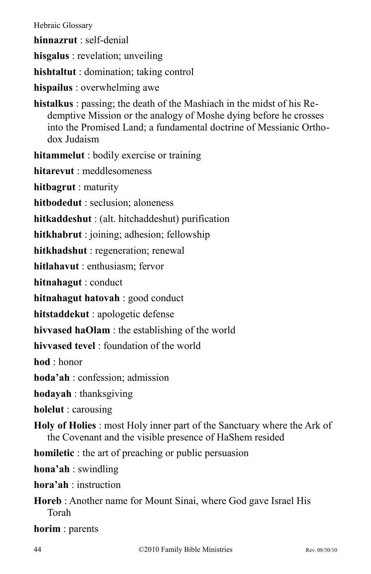**hinnazrut** : self-denial

**hisgalus** : revelation; unveiling

**hishtaltut** : domination; taking control

**hispailus** : overwhelming awe

**histalkus** : passing; the death of the Mashiach in the midst of his Redemptive Mission or the analogy of Moshe dying before he crosses into the Promised Land; a fundamental doctrine of Messianic Orthodox Judaism

**hitammelut** : bodily exercise or training

**hitarevut** : meddlesomeness

**hitbagrut** : maturity

**hitbodedut** : seclusion; aloneness

**hitkaddeshut** : (alt. hitchaddeshut) purification

**hitkhabrut** : joining; adhesion; fellowship

**hitkhadshut** : regeneration; renewal

**hitlahavut** : enthusiasm; fervor

**hitnahagut** : conduct

**hitnahagut hatovah** : good conduct

**hitstaddekut** : apologetic defense

**hivvased haOlam** : the establishing of the world

**hivvased tevel** : foundation of the world

**hod** : honor

**hoda'ah** : confession; admission

**hodayah** : thanksgiving

**holelut** : carousing

- **Holy of Holies** : most Holy inner part of the Sanctuary where the Ark of the Covenant and the visible presence of HaShem resided
- **homiletic** : the art of preaching or public persuasion

**hona'ah** : swindling

**hora'ah** : instruction

**Horeb** : Another name for Mount Sinai, where God gave Israel His Torah

**horim** : parents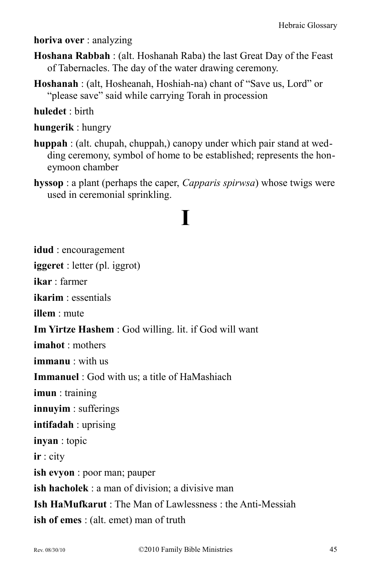#### **horiva over** : analyzing

**Hoshana Rabbah** : (alt. Hoshanah Raba) the last Great Day of the Feast of Tabernacles. The day of the water drawing ceremony.

**Hoshanah** : (alt, Hosheanah, Hoshiah-na) chant of "Save us, Lord" or "please save" said while carrying Torah in procession

**huledet** : birth

**hungerik** : hungry

- **huppah** : (alt. chupah, chuppah,) canopy under which pair stand at wedding ceremony, symbol of home to be established; represents the honeymoon chamber
- **hyssop** : a plant (perhaps the caper, *Capparis spirwsa*) whose twigs were used in ceremonial sprinkling.

### **I**

**idud** : encouragement

**iggeret** : letter (pl. iggrot)

**ikar** : farmer

**ikarim** : essentials

**illem** : mute

**Im Yirtze Hashem** : God willing. lit. if God will want

**imahot** : mothers

**immanu** : with us

**Immanuel** : God with us; a title of HaMashiach

**imun** : training

**innuyim** : sufferings

**intifadah** : uprising

**inyan** : topic

**ir** : city

**ish evyon** : poor man; pauper

**ish hacholek** : a man of division; a divisive man

**Ish HaMufkarut** : The Man of Lawlessness : the Anti-Messiah

**ish of emes** : (alt. emet) man of truth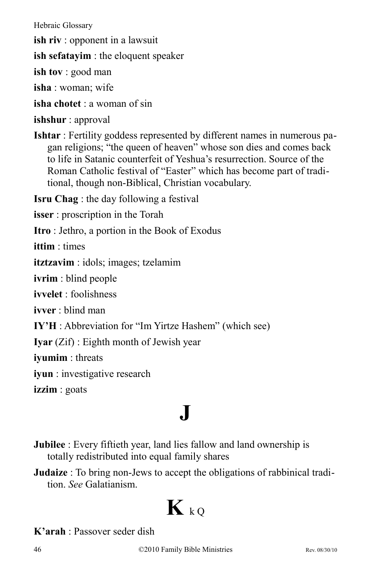**ish riv** : opponent in a lawsuit

**ish sefatayim** : the eloquent speaker

**ish tov** : good man

**isha** : woman; wife

**isha chotet** : a woman of sin

**ishshur** : approval

**Ishtar** : Fertility goddess represented by different names in numerous pagan religions; "the queen of heaven" whose son dies and comes back to life in Satanic counterfeit of Yeshua's resurrection. Source of the Roman Catholic festival of "Easter" which has become part of traditional, though non-Biblical, Christian vocabulary.

**Isru Chag** : the day following a festival

**isser** : proscription in the Torah

**Itro** : Jethro, a portion in the Book of Exodus

**ittim** : times

**itztzavim** : idols; images; tzelamim

**ivrim** : blind people

**ivvelet** : foolishness

**ivver** : blind man

**IY'H** : Abbreviation for "Im Yirtze Hashem" (which see)

**Iyar** (Zif) : Eighth month of Jewish year

**iyumim** : threats

**iyun** : investigative research

**izzim** : goats

## **J**

- **Jubilee** : Every fiftieth year, land lies fallow and land ownership is totally redistributed into equal family shares
- **Judaize**: To bring non-Jews to accept the obligations of rabbinical tradition. *See* Galatianism.

## $\mathbf{K}$  ko

**K'arah** : Passover seder dish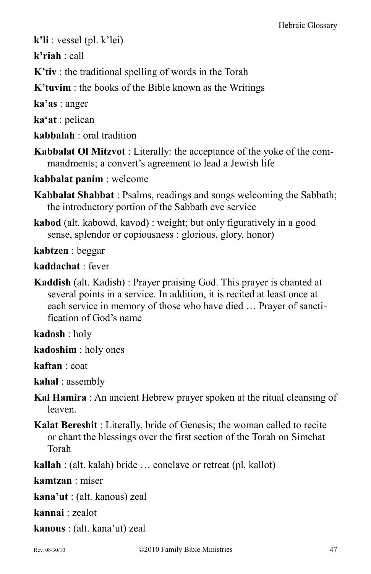**k'li** : vessel (pl. k'lei)

**k'riah** : call

**K'tiv** : the traditional spelling of words in the Torah

**K'tuvim** : the books of the Bible known as the Writings

**ka'as** : anger

**ka'at** : pelican

- **kabbalah** : oral tradition
- **Kabbalat Ol Mitzvot** : Literally: the acceptance of the yoke of the commandments; a convert's agreement to lead a Jewish life
- **kabbalat panim** : welcome
- **Kabbalat Shabbat** : Psalms, readings and songs welcoming the Sabbath; the introductory portion of the Sabbath eve service
- **kabod** (alt. kabowd, kavod) : weight; but only figuratively in a good sense, splendor or copiousness : glorious, glory, honor)

**kabtzen** : beggar

**kaddachat** : fever

**Kaddish** (alt. Kadish) : Prayer praising God. This prayer is chanted at several points in a service. In addition, it is recited at least once at each service in memory of those who have died … Prayer of sanctification of God's name

**kadosh** : holy

- **kadoshim** : holy ones
- **kaftan** : coat

**kahal** : assembly

- **Kal Hamira** : An ancient Hebrew prayer spoken at the ritual cleansing of leaven.
- **Kalat Bereshit** : Literally, bride of Genesis; the woman called to recite or chant the blessings over the first section of the Torah on Simchat Torah
- **kallah** : (alt. kalah) bride … conclave or retreat (pl. kallot)

**kamtzan** : miser

**kana'ut** : (alt. kanous) zeal

- **kannai** : zealot
- **kanous** : (alt. kana'ut) zeal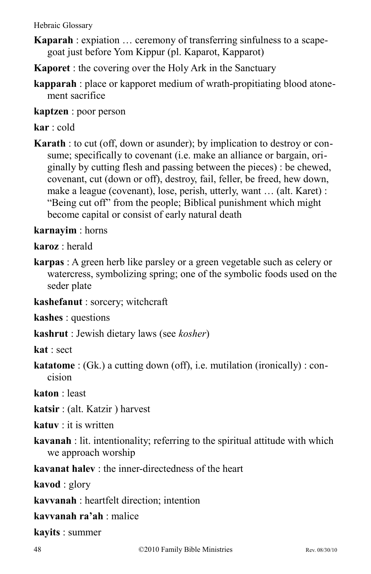- **Kaparah** : expiation … ceremony of transferring sinfulness to a scapegoat just before Yom Kippur (pl. Kaparot, Kapparot)
- **Kaporet** : the covering over the Holy Ark in the Sanctuary
- **kapparah** : place or kapporet medium of wrath-propitiating blood atonement sacrifice
- **kaptzen** : poor person
- **kar** : cold
- **Karath**: to cut (off, down or asunder); by implication to destroy or consume; specifically to covenant (i.e. make an alliance or bargain, originally by cutting flesh and passing between the pieces) : be chewed, covenant, cut (down or off), destroy, fail, feller, be freed, hew down, make a league (covenant), lose, perish, utterly, want … (alt. Karet) : "Being cut off" from the people; Biblical punishment which might become capital or consist of early natural death

**karnayim** : horns

**karoz** : herald

- **karpas** : A green herb like parsley or a green vegetable such as celery or watercress, symbolizing spring; one of the symbolic foods used on the seder plate
- **kashefanut** : sorcery; witchcraft

**kashes** : questions

**kashrut** : Jewish dietary laws (see *kosher*)

**kat** : sect

**katatome** : (Gk.) a cutting down (off), i.e. mutilation (ironically) : concision

**katon** : least

**katsir** : (alt. Katzir ) harvest

**katuv** : it is written

- **kavanah** : lit. intentionality; referring to the spiritual attitude with which we approach worship
- **kavanat halev** : the inner-directedness of the heart

**kavod** : glory

**kavvanah** : heartfelt direction; intention

**kavvanah ra'ah** : malice

**kayits** : summer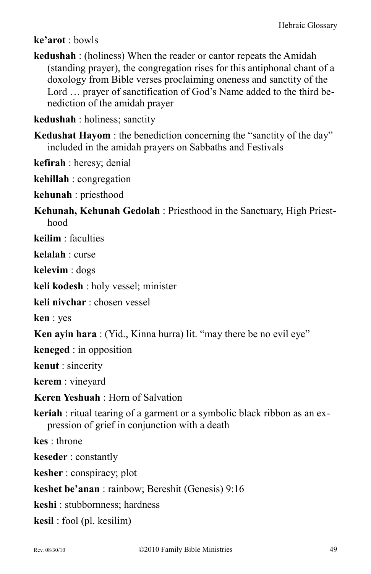### **ke'arot** : bowls

- **kedushah** : (holiness) When the reader or cantor repeats the Amidah (standing prayer), the congregation rises for this antiphonal chant of a doxology from Bible verses proclaiming oneness and sanctity of the Lord ... prayer of sanctification of God's Name added to the third benediction of the amidah prayer
- **kedushah** : holiness; sanctity
- **Kedushat Hayom** : the benediction concerning the "sanctity of the day" included in the amidah prayers on Sabbaths and Festivals
- **kefirah** : heresy; denial
- **kehillah** : congregation
- **kehunah** : priesthood
- **Kehunah, Kehunah Gedolah** : Priesthood in the Sanctuary, High Priesthood
- **keilim** : faculties
- **kelalah** : curse
- **kelevim** : dogs
- **keli kodesh** : holy vessel; minister
- **keli nivchar** : chosen vessel
- **ken** : yes
- **Ken avin hara** : (Yid., Kinna hurra) lit. "may there be no evil eye"
- **keneged** : in opposition
- **kenut** : sincerity
- **kerem** : vineyard
- **Keren Yeshuah** : Horn of Salvation
- **keriah** : ritual tearing of a garment or a symbolic black ribbon as an expression of grief in conjunction with a death
- **kes** : throne
- **keseder** : constantly
- **kesher** : conspiracy; plot
- **keshet be'anan** : rainbow; Bereshit (Genesis) 9:16
- **keshi** : stubbornness; hardness
- **kesil** : fool (pl. kesilim)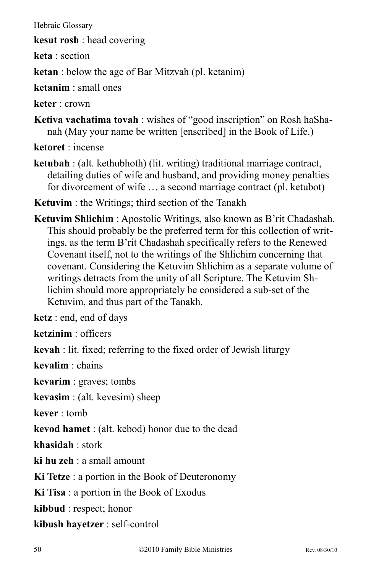**kesut rosh** : head covering

**keta** : section

**ketan** : below the age of Bar Mitzvah (pl. ketanim)

**ketanim** : small ones

**keter** : crown

**Ketiva vachatima tovah** : wishes of "good inscription" on Rosh haShanah (May your name be written [enscribed] in the Book of Life.)

**ketoret** : incense

**ketubah** : (alt. kethubhoth) (lit. writing) traditional marriage contract, detailing duties of wife and husband, and providing money penalties for divorcement of wife … a second marriage contract (pl. ketubot)

**Ketuvim** : the Writings; third section of the Tanakh

**Ketuvim Shlichim** : Apostolic Writings, also known as B'rit Chadashah. This should probably be the preferred term for this collection of writings, as the term B'rit Chadashah specifically refers to the Renewed Covenant itself, not to the writings of the Shlichim concerning that covenant. Considering the Ketuvim Shlichim as a separate volume of writings detracts from the unity of all Scripture. The Ketuvim Shlichim should more appropriately be considered a sub-set of the Ketuvim, and thus part of the Tanakh.

**ketz** : end, end of days

**ketzinim** : officers

**kevah** : lit. fixed; referring to the fixed order of Jewish liturgy

**kevalim** : chains

**kevarim** : graves; tombs

**kevasim** : (alt. kevesim) sheep

**kever** : tomb

**kevod hamet** : (alt. kebod) honor due to the dead

**khasidah** : stork

**ki hu zeh** : a small amount

**Ki Tetze** : a portion in the Book of Deuteronomy

**Ki Tisa** : a portion in the Book of Exodus

**kibbud** : respect; honor

**kibush hayetzer** : self-control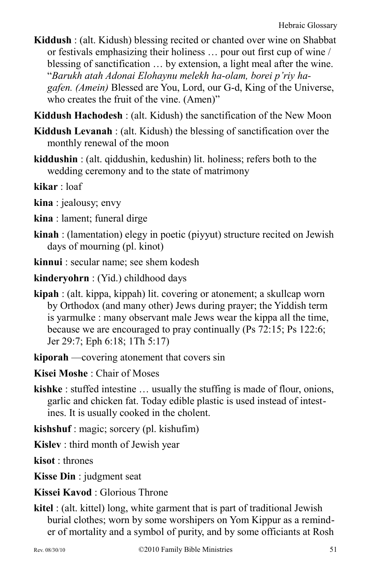- **Kiddush** : (alt. Kidush) blessing recited or chanted over wine on Shabbat or festivals emphasizing their holiness … pour out first cup of wine / blessing of sanctification … by extension, a light meal after the wine. "*Barukh atah Adonai Elohaynu melekh ha-olam, borei p'riy hagafen. (Amein)* Blessed are You, Lord, our G-d, King of the Universe, who creates the fruit of the vine. (Amen)"
- **Kiddush Hachodesh** : (alt. Kidush) the sanctification of the New Moon
- **Kiddush Levanah** : (alt. Kidush) the blessing of sanctification over the monthly renewal of the moon
- **kiddushin** : (alt. qiddushin, kedushin) lit. holiness; refers both to the wedding ceremony and to the state of matrimony
- **kikar** : loaf
- **kina** : jealousy; envy
- **kina** : lament; funeral dirge
- **kinah** : (lamentation) elegy in poetic (piyyut) structure recited on Jewish days of mourning (pl. kinot)
- **kinnui** : secular name; see shem kodesh
- **kinderyohrn** : (Yid.) childhood days
- **kipah** : (alt. kippa, kippah) lit. covering or atonement; a skullcap worn by Orthodox (and many other) Jews during prayer; the Yiddish term is yarmulke : many observant male Jews wear the kippa all the time, because we are encouraged to pray continually (Ps 72:15; Ps 122:6; Jer 29:7; Eph 6:18; 1Th 5:17)
- **kiporah** —covering atonement that covers sin
- **Kisei Moshe** : Chair of Moses
- **kishke** : stuffed intestine … usually the stuffing is made of flour, onions, garlic and chicken fat. Today edible plastic is used instead of intestines. It is usually cooked in the cholent.
- **kishshuf** : magic; sorcery (pl. kishufim)
- **Kislev** : third month of Jewish year
- **kisot** : thrones
- **Kisse Din** : judgment seat
- **Kissei Kavod** : Glorious Throne
- **kitel** : (alt. kittel) long, white garment that is part of traditional Jewish burial clothes; worn by some worshipers on Yom Kippur as a reminder of mortality and a symbol of purity, and by some officiants at Rosh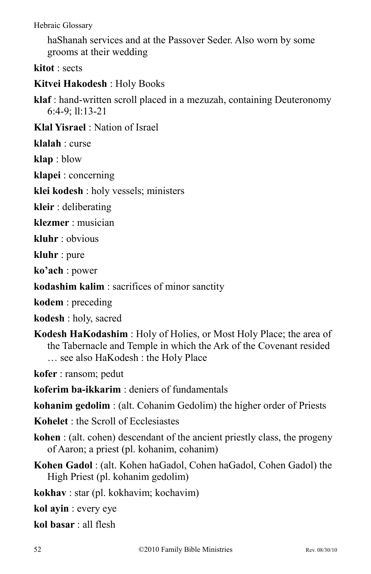haShanah services and at the Passover Seder. Also worn by some grooms at their wedding

**kitot** : sects

**Kitvei Hakodesh** : Holy Books

**klaf** : hand-written scroll placed in a mezuzah, containing Deuteronomy 6:4-9; ll:13-21

**Klal Yisrael** : Nation of Israel

**klalah** : curse

**klap** : blow

**klapei** : concerning

**klei kodesh** : holy vessels; ministers

**kleir** : deliberating

**klezmer** : musician

**kluhr** : obvious

**kluhr** : pure

**ko'ach** : power

**kodashim kalim** : sacrifices of minor sanctity

**kodem** : preceding

**kodesh** : holy, sacred

**Kodesh HaKodashim** : Holy of Holies, or Most Holy Place; the area of the Tabernacle and Temple in which the Ark of the Covenant resided … see also HaKodesh : the Holy Place

**kofer** : ransom; pedut

**koferim ba-ikkarim** : deniers of fundamentals

**kohanim gedolim** : (alt. Cohanim Gedolim) the higher order of Priests

**Kohelet** : the Scroll of Ecclesiastes

**kohen** : (alt. cohen) descendant of the ancient priestly class, the progeny of Aaron; a priest (pl. kohanim, cohanim)

**Kohen Gadol** : (alt. Kohen haGadol, Cohen haGadol, Cohen Gadol) the High Priest (pl. kohanim gedolim)

**kokhav** : star (pl. kokhavim; kochavim)

**kol ayin** : every eye

**kol basar** : all flesh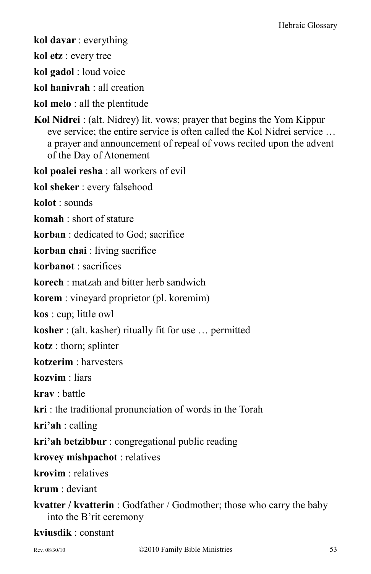**kol davar** : everything

**kol etz** : every tree

**kol gadol** : loud voice

**kol hanivrah** : all creation

**kol melo** : all the plentitude

**Kol Nidrei** : (alt. Nidrey) lit. vows; prayer that begins the Yom Kippur eve service; the entire service is often called the Kol Nidrei service … a prayer and announcement of repeal of vows recited upon the advent of the Day of Atonement

**kol poalei resha** : all workers of evil

**kol sheker** : every falsehood

**kolot** : sounds

**komah** : short of stature

**korban** : dedicated to God; sacrifice

**korban chai** : living sacrifice

**korbanot** : sacrifices

**korech** : matzah and bitter herb sandwich

**korem** : vineyard proprietor (pl. koremim)

**kos** : cup; little owl

**kosher** : (alt. kasher) ritually fit for use … permitted

**kotz** : thorn; splinter

**kotzerim** : harvesters

**kozvim** : liars

**krav** : battle

**kri** : the traditional pronunciation of words in the Torah

**kri'ah** : calling

**kri'ah betzibbur** : congregational public reading

**krovey mishpachot** : relatives

**krovim** : relatives

**krum** : deviant

**kvatter / kvatterin** : Godfather / Godmother; those who carry the baby into the B'rit ceremony

**kviusdik** : constant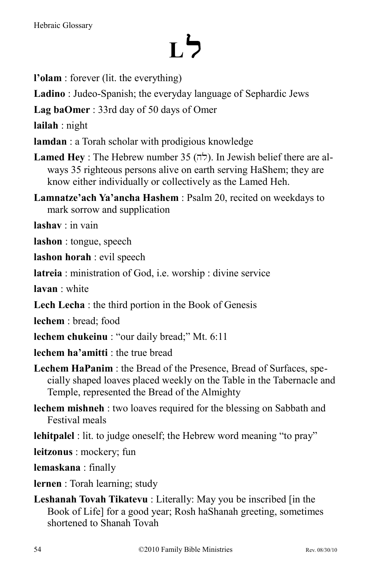# **L**l

**l'olam** : forever (lit. the everything)

**Ladino** : Judeo-Spanish; the everyday language of Sephardic Jews

**Lag baOmer** : 33rd day of 50 days of Omer

**lailah** : night

**lamdan** : a Torah scholar with prodigious knowledge

**Lamed Hey**: The Hebrew number 35 ( $\uparrow$ ). In Jewish belief there are always 35 righteous persons alive on earth serving HaShem; they are know either individually or collectively as the Lamed Heh.

**Lamnatze'ach Ya'ancha Hashem** : Psalm 20, recited on weekdays to mark sorrow and supplication

**lashav** : in vain

**lashon** : tongue, speech

**lashon horah** : evil speech

**latreia** : ministration of God, i.e. worship : divine service

**lavan** : white

**Lech Lecha** : the third portion in the Book of Genesis

**lechem** : bread; food

**lechem chukeinu** : "our daily bread;" Mt. 6:11

**lechem ha'amitti** : the true bread

**Lechem HaPanim** : the Bread of the Presence, Bread of Surfaces, specially shaped loaves placed weekly on the Table in the Tabernacle and Temple, represented the Bread of the Almighty

**lechem mishneh** : two loaves required for the blessing on Sabbath and Festival meals

**lehitpalel** : lit. to judge oneself; the Hebrew word meaning "to pray"

**leitzonus** : mockery; fun

**lemaskana** : finally

**lernen** : Torah learning; study

**Leshanah Tovah Tikatevu** : Literally: May you be inscribed [in the Book of Life] for a good year; Rosh haShanah greeting, sometimes shortened to Shanah Tovah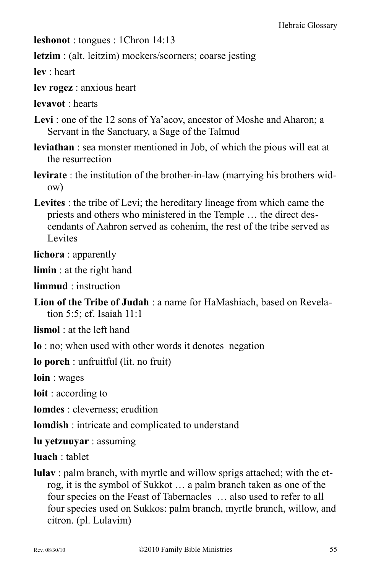**leshonot** : tongues : 1Chron 14:13

**letzim** : (alt. leitzim) mockers/scorners; coarse jesting

**lev** : heart

**lev rogez** : anxious heart

**levavot** : hearts

Levi : one of the 12 sons of Ya'acov, ancestor of Moshe and Aharon; a Servant in the Sanctuary, a Sage of the Talmud

- **leviathan** : sea monster mentioned in Job, of which the pious will eat at the resurrection
- **levirate** : the institution of the brother-in-law (marrying his brothers widow)
- **Levites** : the tribe of Levi; the hereditary lineage from which came the priests and others who ministered in the Temple … the direct descendants of Aahron served as cohenim, the rest of the tribe served as Levites
- **lichora** : apparently

**limin** : at the right hand

**limmud** : instruction

**Lion of the Tribe of Judah** : a name for HaMashiach, based on Revelation 5:5; cf. Isaiah 11:1

**lismol** : at the left hand

**lo** : no; when used with other words it denotes negation

**lo poreh** : unfruitful (lit. no fruit)

**loin** : wages

**loit** : according to

**lomdes** : cleverness; erudition

**lomdish** : intricate and complicated to understand

**lu yetzuuyar** : assuming

**luach** : tablet

**lulav** : palm branch, with myrtle and willow sprigs attached; with the etrog, it is the symbol of Sukkot … a palm branch taken as one of the four species on the Feast of Tabernacles … also used to refer to all four species used on Sukkos: palm branch, myrtle branch, willow, and citron. (pl. Lulavim)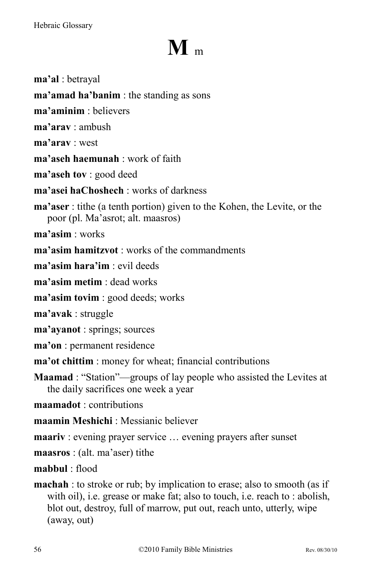# **M** <sup>m</sup>

**ma'al** : betrayal

**ma'amad ha'banim** : the standing as sons

**ma'aminim** : believers

**ma'arav** : ambush

**ma'arav** : west

**ma'aseh haemunah** : work of faith

**ma'aseh tov** : good deed

**ma'asei haChoshech** : works of darkness

**ma'aser** : tithe (a tenth portion) given to the Kohen, the Levite, or the poor (pl. Ma'asrot; alt. maasros)

**ma'asim** : works

**ma'asim hamitzvot** : works of the commandments

**ma'asim hara'im** : evil deeds

**ma'asim metim** : dead works

**ma'asim tovim** : good deeds; works

**ma'avak** : struggle

**ma'ayanot** : springs; sources

**ma'on** : permanent residence

**ma'ot chittim** : money for wheat; financial contributions

**Maamad** : "Station"—groups of lay people who assisted the Levites at the daily sacrifices one week a year

**maamadot** : contributions

**maamin Meshichi** : Messianic believer

**maariv** : evening prayer service … evening prayers after sunset

**maasros** : (alt. ma'aser) tithe

**mabbul** : flood

**machah** : to stroke or rub; by implication to erase; also to smooth (as if with oil), i.e. grease or make fat; also to touch, i.e. reach to : abolish, blot out, destroy, full of marrow, put out, reach unto, utterly, wipe (away, out)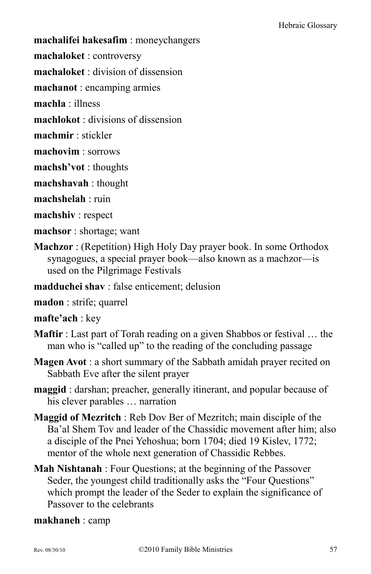**machalifei hakesafim** : moneychangers

**machaloket** : controversy

**machaloket** : division of dissension

**machanot**: encamping armies

**machla** : illness

**machlokot** : divisions of dissension

**machmir** : stickler

**machovim** : sorrows

**machsh'vot** : thoughts

**machshavah** : thought

**machshelah** : ruin

**machshiv** : respect

**machsor** : shortage; want

**Machzor** : (Repetition) High Holy Day prayer book. In some Orthodox synagogues, a special prayer book—also known as a machzor—is used on the Pilgrimage Festivals

**madduchei shav** : false enticement; delusion

**madon** : strife; quarrel

**mafte'ach** : key

**Maftir** : Last part of Torah reading on a given Shabbos or festival … the man who is "called up" to the reading of the concluding passage

**Magen Avot** : a short summary of the Sabbath amidah prayer recited on Sabbath Eve after the silent prayer

**maggid** : [darshan;](#page-28-0) preacher, generally itinerant, and popular because of his clever parables … narration

**Maggid of Mezritch** : Reb Dov Ber of Mezritch; main disciple of the Ba'al Shem Tov and leader of the Chassidic movement after him; also a disciple of the Pnei Yehoshua; born 1704; died 19 Kislev, 1772; mentor of the whole next generation of Chassidic Rebbes.

**Mah Nishtanah** : Four Questions; at the beginning of the Passover [Seder,](#page-78-0) the youngest child traditionally asks the "Four Questions" which prompt the leader of the Seder to explain the significance of Passover to the celebrants

**makhaneh** : camp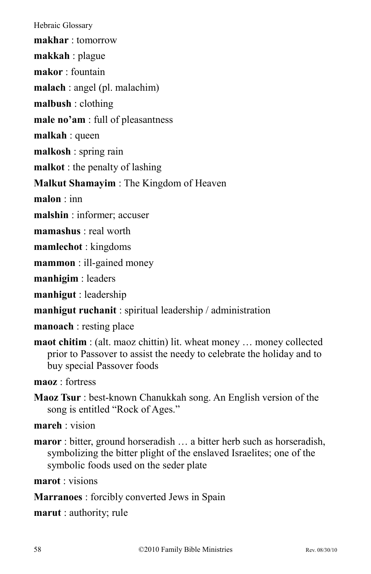Hebraic Glossary **makhar** : tomorrow **makkah** : plague **makor** : fountain **malach** : angel (pl. malachim) **malbush** : clothing **male no'am** : full of pleasantness **malkah** : queen **malkosh** : spring rain **malkot** : the penalty of lashing **Malkut Shamayim** : The Kingdom of Heaven **malon** : inn **malshin** : informer; accuser **mamashus** : real worth **mamlechot** : kingdoms

**mammon** : ill-gained money

**manhigim** : leaders

**manhigut** : leadership

**manhigut ruchanit** : spiritual leadership / administration

**manoach** : resting place

**maot chitim** : (alt. maoz chittin) lit. wheat money … money collected prior to Passover to assist the needy to celebrate the holiday and to buy special Passover foods

**maoz** : fortress

**Maoz Tsur** : best-known Chanukkah song. An English version of the song is entitled "Rock of Ages."

**mareh** : vision

**maror** : bitter, ground horseradish ... a bitter herb such as horseradish, symbolizing the bitter plight of the enslaved Israelites; one of the symbolic foods used on the seder plate

**marot** : visions

**Marranoes** : forcibly converted Jews in Spain

**marut** : authority; rule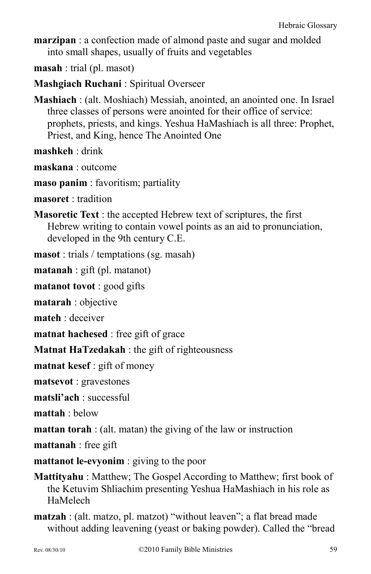**marzipan** : a confection made of almond paste and sugar and molded into small shapes, usually of fruits and vegetables

**masah** : trial (pl. masot)

**Mashgiach Ruchani** : Spiritual Overseer

**Mashiach** : (alt. Moshiach) Messiah, anointed, an anointed one. In Israel three classes of persons were anointed for their office of service: prophets, priests, and kings. Yeshua HaMashiach is all three: Prophet, Priest, and King, hence The Anointed One

**mashkeh** : drink

**maskana** : outcome

**maso panim** : favoritism; partiality

**masoret** : tradition

- **Masoretic Text** : the accepted Hebrew text of scriptures, the first Hebrew writing to contain vowel points as an aid to pronunciation, developed in the 9th century C.E.
- **masot** : trials / temptations (sg. masah)

**matanah** : gift (pl. matanot)

**matanot tovot** : good gifts

**matarah** : objective

**mateh** : deceiver

**matnat hachesed** : free gift of grace

**Matnat HaTzedakah** : the gift of righteousness

**matnat kesef** : gift of money

**matsevot** : gravestones

**matsli'ach** : successful

**mattah** : below

**mattan torah** : (alt. matan) the giving of the law or instruction

**mattanah** : free gift

- **mattanot le-evyonim** : giving to the poor
- **Mattityahu** : Matthew; The Gospel According to Matthew; first book of the Ketuvim Shliachim presenting Yeshua HaMashiach in his role as HaMelech
- **matzah** : (alt. matzo, pl. matzot) "without leaven"; a flat bread made without adding leavening (yeast or baking powder). Called the "bread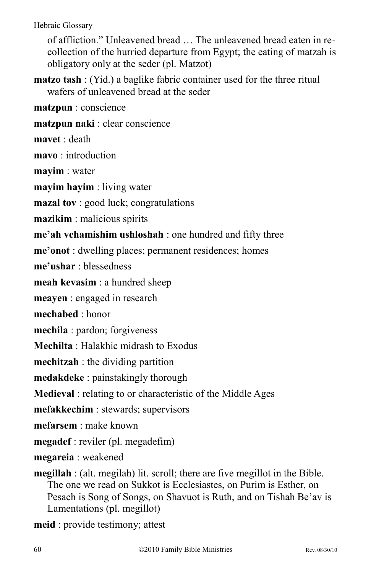of affliction." Unleavened bread … The unleavened bread eaten in recollection of the hurried departure from Egypt; the eating of matzah is obligatory only at the seder (pl. Matzot)

**matzo tash** : (Yid.) a baglike fabric container used for the three ritual wafers of unleavened bread at the seder

**matzpun** : conscience

**matzpun naki** : clear conscience

**mavet** : death

**mavo** : introduction

**mayim** : water

**mayim hayim** : living water

**mazal tov** : good luck; congratulations

**mazikim** : malicious spirits

**me'ah vchamishim ushloshah** : one hundred and fifty three

**me'onot** : dwelling places; permanent residences; homes

**me'ushar** : blessedness

**meah kevasim** : a hundred sheep

**meayen** : engaged in research

**mechabed** : honor

**mechila** : pardon; forgiveness

**Mechilta** : Halakhic midrash to Exodus

**mechitzah** : the dividing partition

**medakdeke** : painstakingly thorough

**Medieval** : relating to or characteristic of the Middle Ages

**mefakkechim** : stewards; supervisors

**mefarsem** : make known

**megadef** : reviler (pl. megadefim)

**megareia** : weakened

**megillah** : (alt. megilah) lit. scroll; there are five megillot in the Bible. The one we read on Sukkot is Ecclesiastes, on Purim is Esther, on Pesach is Song of Songs, on Shavuot is Ruth, and on Tishah Be'av is Lamentations (pl. megillot)

**meid** : provide testimony; attest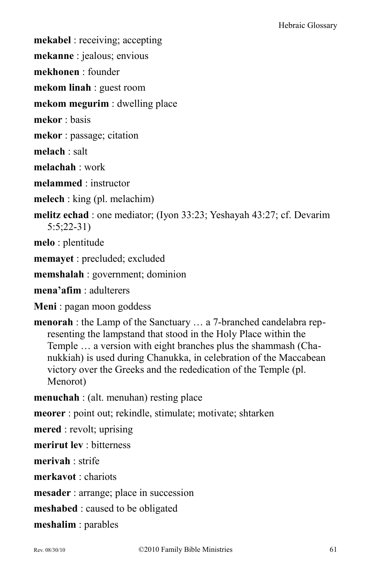**mekabel** : receiving; accepting

**mekanne** : jealous; envious

**mekhonen** : founder

**mekom linah** : guest room

**mekom megurim** : dwelling place

**mekor** : basis

**mekor** : passage; citation

**melach** : salt

**melachah** : work

**melammed** : instructor

**melech** : king (pl. melachim)

**melitz echad** : one mediator; (Iyon 33:23; Yeshayah 43:27; cf. Devarim 5:5;22-31)

**melo** : plentitude

**memayet** : precluded; excluded

**memshalah** : government; dominion

**mena'afim** : adulterers

**Meni** : pagan moon goddess

- **menorah** : the Lamp of the Sanctuary … a 7-branched candelabra representing the lampstand that stood in the Holy Place within the Temple … a version with eight branches plus the shammash (Chanukkiah) is used during Chanukka, in celebration of the Maccabean victory over the Greeks and the rededication of the Temple (pl. Menorot)
- **menuchah** : (alt. menuhan) resting place

**meorer** : point out; rekindle, stimulate; motivate; shtarken

**mered** : revolt; uprising

**merirut lev** : bitterness

**merivah** : strife

**merkavot** : chariots

**mesader** : arrange; place in succession

**meshabed** : caused to be obligated

**meshalim** : parables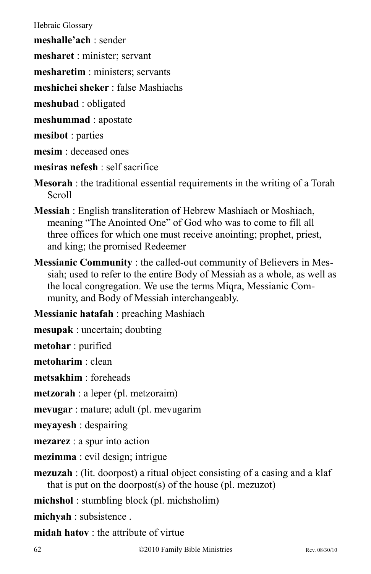**meshalle'ach** : sender

**mesharet** : minister; servant

**mesharetim** : ministers; servants

**meshichei sheker** : false Mashiachs

**meshubad** : obligated

**meshummad** : apostate

**mesibot** : parties

**mesim** : deceased ones

**mesiras nefesh** : self sacrifice

**Mesorah** : the traditional essential requirements in the writing of a Torah Scroll

- **Messiah** : English transliteration of Hebrew Mashiach or Moshiach, meaning "The Anointed One" of God who was to come to fill all three offices for which one must receive anointing; prophet, priest, and king; the promised Redeemer
- **Messianic Community** : the called-out community of Believers in Messiah; used to refer to the entire Body of Messiah as a whole, as well as the local congregation. We use the terms Miqra, Messianic Community, and Body of Messiah interchangeably.

**Messianic hatafah** : preaching Mashiach

**mesupak** : uncertain; doubting

**metohar** : purified

**metoharim** : clean

**metsakhim** : foreheads

**metzorah** : a leper (pl. metzoraim)

**mevugar** : mature; adult (pl. mevugarim

**meyayesh** : despairing

**mezarez** : a spur into action

**mezimma** : evil design; intrigue

**mezuzah** : (lit. doorpost) a ritual object consisting of a casing and a klaf that is put on the doorpost(s) of the house (pl. mezuzot)

**michshol** : stumbling block (pl. michsholim)

**michyah** : subsistence .

**midah hatov** : the attribute of virtue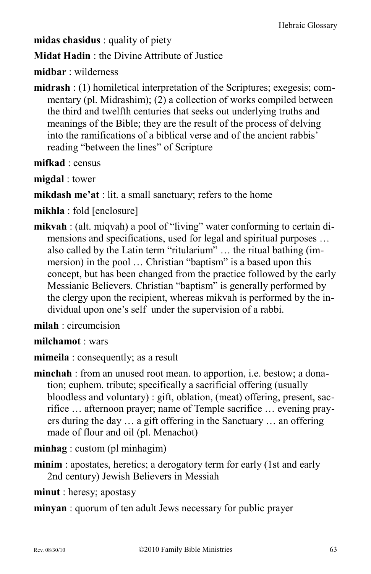**midas chasidus** : quality of piety

### **Midat Hadin** : the Divine Attribute of Justice

**midbar** : wilderness

- **midrash** : (1) homiletical interpretation of the Scriptures; exegesis; commentary (pl. Midrashim); (2) a collection of works compiled between the third and twelfth centuries that seeks out underlying truths and meanings of the Bible; they are the result of the process of delving into the ramifications of a biblical verse and of the ancient rabbis' reading "between the lines" of Scripture
- **mifkad** : census
- **migdal** : tower
- **mikdash me'at** : lit. a small sanctuary; refers to the home
- **mikhla** : fold [enclosure]
- **mikvah** : (alt. migvah) a pool of "living" water conforming to certain dimensions and specifications, used for legal and spiritual purposes … also called by the Latin term "ritularium" … the ritual bathing (immersion) in the pool … Christian "baptism" is a based upon this concept, but has been changed from the practice followed by the early Messianic Believers. Christian "baptism" is generally performed by the clergy upon the recipient, whereas mikvah is performed by the individual upon one's self under the supervision of a rabbi.

**milah** : circumcision

- **milchamot** : wars
- **mimeila** : consequently; as a result
- **minchah** : from an unused root mean, to apportion, i.e. bestow; a donation; euphem. tribute; specifically a sacrificial offering (usually bloodless and voluntary) : gift, oblation, (meat) offering, present, sacrifice … afternoon prayer; name of Temple sacrifice … evening prayers during the day … a gift offering in the Sanctuary … an offering made of flour and oil (pl. Menachot)
- **minhag** : custom (pl minhagim)
- **minim**: apostates, heretics; a derogatory term for early (1st and early 2nd century) Jewish Believers in Messiah
- **minut** : heresy; apostasy
- **minyan** : quorum of ten adult Jews necessary for public prayer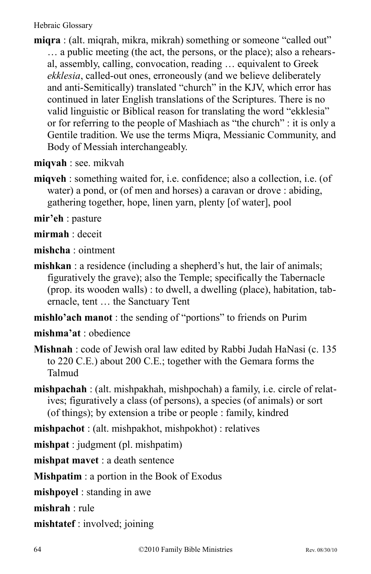- **miqra** : (alt. miqrah, mikra, mikrah) something or someone "called out" … a public meeting (the act, the persons, or the place); also a rehearsal, assembly, calling, convocation, reading … equivalent to Greek *ekklesia*, called-out ones, erroneously (and we believe deliberately and anti-Semitically) translated "church" in the KJV, which error has continued in later English translations of the Scriptures. There is no valid linguistic or Biblical reason for translating the word "ekklesia" or for referring to the people of Mashiach as "the church" : it is only a Gentile tradition. We use the terms Miqra, Messianic Community, and Body of Messiah interchangeably.
- **miqvah** : see. mikvah
- **miqveh** : something waited for, i.e. confidence; also a collection, i.e. (of water) a pond, or (of men and horses) a caravan or drove : abiding, gathering together, hope, linen yarn, plenty [of water], pool
- **mir'eh** : pasture
- **mirmah** : deceit
- **mishcha** : ointment
- **mishkan** : a residence (including a shepherd's hut, the lair of animals; figuratively the grave); also the Temple; specifically the Tabernacle (prop. its wooden walls) : to dwell, a dwelling (place), habitation, tabernacle, tent … the Sanctuary Tent
- **mishlo'ach manot** : the sending of "portions" to friends on Purim
- **mishma'at** : obedience
- **Mishnah** : code of Jewish oral law edited by Rabbi Judah HaNasi (c. 135 to 220 C.E.) about 200 C.E.; together with the Gemara forms the Talmud
- **mishpachah** : (alt. mishpakhah, mishpochah) a family, i.e. circle of relatives; figuratively a class (of persons), a species (of animals) or sort (of things); by extension a tribe or people : family, kindred
- **mishpachot** : (alt. mishpakhot, mishpokhot) : relatives
- **mishpat** : judgment (pl. mishpatim)
- **mishpat mavet** : a death sentence
- **Mishpatim** : a portion in the Book of Exodus
- **mishpoyel** : standing in awe
- **mishrah** : rule
- **mishtatef** : involved; joining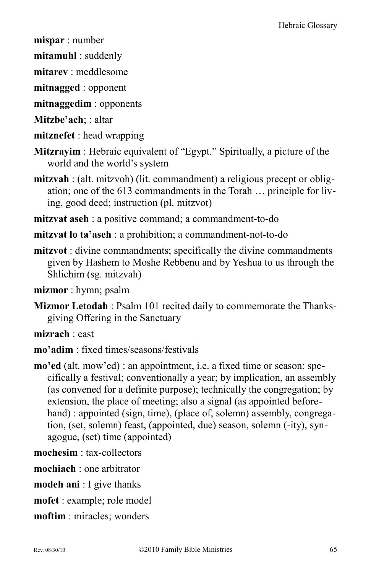**mispar** : number

**mitamuhl** : suddenly

**mitarev** : meddlesome

**mitnagged** : opponent

**mitnaggedim** : opponents

**Mitzbe'ach**; : altar

**mitznefet** : head wrapping

**Mitzrayim** : Hebraic equivalent of "Egypt." Spiritually, a picture of the world and the world's system

**mitzvah** : (alt. mitzvoh) (lit. commandment) a religious precept or obligation; one of the 613 commandments in the Torah … principle for living, good deed; instruction (pl. mitzvot)

**mitzvat aseh** : a positive command; a commandment-to-do

**mitzvat lo ta'aseh** : a prohibition; a commandment-not-to-do

**mitzvot** : divine commandments; specifically the divine commandments given by Hashem to Moshe Rebbenu and by Yeshua to us through the Shlichim (sg. mitzvah)

**mizmor** : hymn; psalm

**Mizmor Letodah** : Psalm 101 recited daily to commemorate the Thanksgiving Offering in the Sanctuary

**mizrach** : east

**mo'adim** : fixed times/seasons/festivals

**mo'ed** (alt. mow'ed) : an appointment, i.e. a fixed time or season; specifically a festival; conventionally a year; by implication, an assembly (as convened for a definite purpose); technically the congregation; by extension, the place of meeting; also a signal (as appointed beforehand) : appointed (sign, time), (place of, solemn) assembly, congregation, (set, solemn) feast, (appointed, due) season, solemn (-ity), synagogue, (set) time (appointed)

**mochesim** : tax-collectors

**mochiach** : one arbitrator

**modeh ani** : I give thanks

- **mofet** : example; role model
- **moftim** : miracles; wonders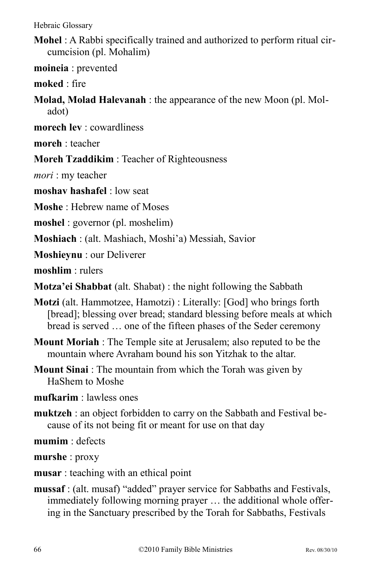- **Mohel** : A Rabbi specifically trained and authorized to perform ritual circumcision (pl. Mohalim)
- **moineia** : prevented
- **moked** : fire
- **Molad, Molad Halevanah** : the appearance of the new Moon (pl. Moladot)

**morech lev** : cowardliness

**moreh** : teacher

**Moreh Tzaddikim** : Teacher of Righteousness

*mori* : my teacher

**moshav hashafel** : low seat

**Moshe** : Hebrew name of Moses

**moshel** : governor (pl. moshelim)

**Moshiach** : (alt. Mashiach, Moshi'a) Messiah, Savior

**Moshieynu** : our Deliverer

**moshlim** : rulers

**Motza'ei Shabbat** (alt. Shabat) : the night following the Sabbath

- **Motzi** (alt. Hammotzee, Hamotzi) : Literally: [God] who brings forth [bread]; blessing over bread; standard blessing before meals at which bread is served … one of the fifteen phases of the Seder ceremony
- **Mount Moriah** : The Temple site at Jerusalem; also reputed to be the mountain where Avraham bound his son Yitzhak to the altar.
- **Mount Sinai** : The mountain from which the Torah was given by HaShem to Moshe
- **mufkarim** : lawless ones
- **muktzeh** : an object forbidden to carry on the Sabbath and Festival because of its not being fit or meant for use on that day
- **mumim** : defects

**murshe** : proxy

- **musar** : teaching with an ethical point
- **mussaf** : (alt. musaf) "added" prayer service for Sabbaths and Festivals, immediately following morning prayer … the additional whole offering in the Sanctuary prescribed by the Torah for Sabbaths, Festivals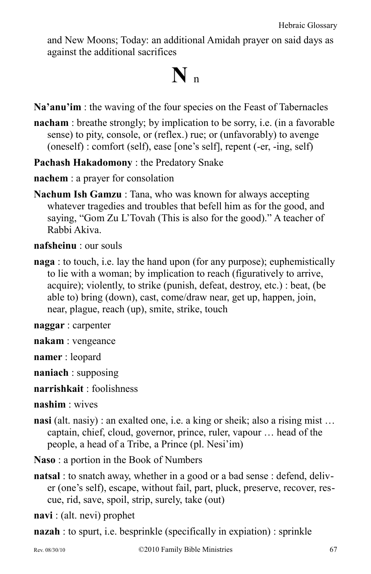and New Moons; Today: an additional Amidah prayer on said days as against the additional sacrifices

### **N** <sup>n</sup>

**Na'anu'im** : the waving of the four species on the Feast of Tabernacles

**nacham** : breathe strongly; by implication to be sorry, i.e. (in a favorable sense) to pity, console, or (reflex.) rue; or (unfavorably) to avenge (oneself) : comfort (self), ease [one's self], repent (-er, -ing, self)

**Pachash Hakadomony** : the Predatory Snake

**nachem** : a prayer for consolation

**Nachum Ish Gamzu** : Tana, who was known for always accepting whatever tragedies and troubles that befell him as for the good, and saying, "Gom Zu L'Tovah (This is also for the good)." A teacher of Rabbi Akiva.

**nafsheinu** : our souls

**naga** : to touch, i.e. lay the hand upon (for any purpose); euphemistically to lie with a woman; by implication to reach (figuratively to arrive, acquire); violently, to strike (punish, defeat, destroy, etc.) : beat, (be able to) bring (down), cast, come/draw near, get up, happen, join, near, plague, reach (up), smite, strike, touch

**naggar** : carpenter

- **nakam** : vengeance
- **namer** : leopard
- **naniach** : supposing
- **narrishkait** : foolishness
- **nashim** : wives
- **nasi** (alt. nasiy) : an exalted one, i.e. a king or sheik; also a rising mist ... captain, chief, cloud, governor, prince, ruler, vapour … head of the people, a head of a Tribe, a Prince (pl. Nesi'im)
- **Naso** : a portion in the Book of Numbers
- **natsal** : to snatch away, whether in a good or a bad sense : defend, deliver (one's self), escape, without fail, part, pluck, preserve, recover, rescue, rid, save, spoil, strip, surely, take (out)

**navi** : (alt. nevi) prophet

**nazah** : to spurt, i.e. besprinkle (specifically in expiation) : sprinkle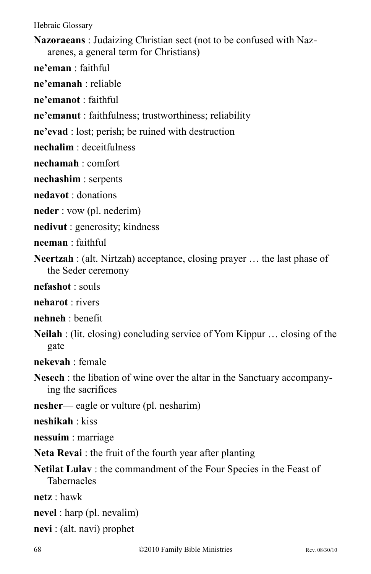- **Nazoraeans** : Judaizing Christian sect (not to be confused with Nazarenes, a general term for Christians)
- **ne'eman** : faithful
- **ne'emanah** : reliable
- **ne'emanot** : faithful
- **ne'emanut** : faithfulness; trustworthiness; reliability
- **ne'evad** : lost; perish; be ruined with destruction
- **nechalim** : deceitfulness
- **nechamah** : comfort
- **nechashim** : serpents
- **nedavot** : donations
- **neder** : vow (pl. nederim)
- **nedivut** : generosity; kindness
- **neeman** : faithful
- **Neertzah** : (alt. Nirtzah) acceptance, closing prayer … the last phase of the Seder ceremony
- **nefashot** : souls
- **neharot** : rivers
- **nehneh** : benefit
- **Neilah** : (lit. closing) concluding service of Yom Kippur … closing of the gate
- **nekevah** : female
- **Nesech** : the libation of wine over the altar in the Sanctuary accompanying the sacrifices
- **nesher** eagle or vulture (pl. nesharim)
- **neshikah** : kiss
- **nessuim** : marriage
- **Neta Revai** : the fruit of the fourth year after planting
- **Netilat Lulav** : the commandment of the Four Species in the Feast of **Tabernacles**
- **netz** : hawk
- **nevel** : harp (pl. nevalim)
- **nevi** : (alt. navi) prophet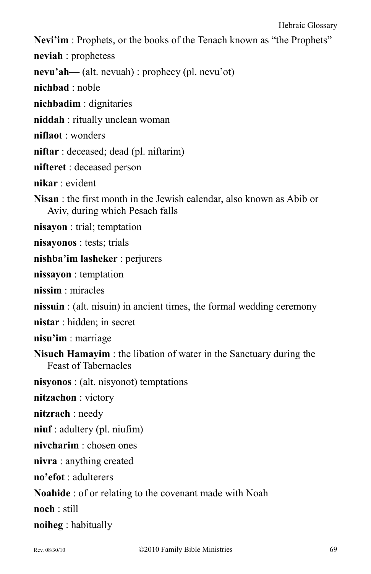**Nevi'im** : Prophets, or the books of the Tenach known as "the Prophets"

**neviah** : prophetess

**nevu'ah**— (alt. nevuah) : prophecy (pl. nevu'ot)

**nichbad** : noble

**nichbadim** : dignitaries

**niddah** : ritually unclean woman

**niflaot** : wonders

**niftar** : deceased; dead (pl. niftarim)

**nifteret** : deceased person

**nikar** : evident

**Nisan** : the first month in the Jewish calendar, also known as Abib or Aviv, during which Pesach falls

**nisayon** : trial; temptation

**nisayonos** : tests; trials

**nishba'im lasheker** : perjurers

**nissayon** : temptation

**nissim** : miracles

**nissuin** : (alt. nisuin) in ancient times, the formal wedding ceremony

**nistar** : hidden; in secret

**nisu'im** : marriage

**Nisuch Hamayim** : the libation of water in the Sanctuary during the Feast of Tabernacles

**nisyonos** : (alt. nisyonot) temptations

**nitzachon** : victory

**nitzrach** : needy

**niuf** : adultery (pl. niufim)

**nivcharim** : chosen ones

**nivra** : anything created

**no'efot** : adulterers

**Noahide** : of or relating to the covenant made with Noah

**noch** : still

**noiheg** : habitually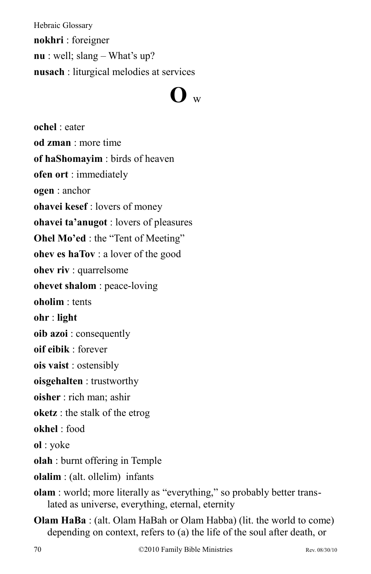Hebraic Glossary **nokhri** : foreigner **nu** : well; slang – What's up? **nusach** : liturgical melodies at services

### **O** <sup>w</sup>

**ochel** : eater **od zman** : more time **of haShomayim** : birds of heaven **ofen ort** : immediately **ogen** : anchor **ohavei kesef** : lovers of money **ohavei ta'anugot** : lovers of pleasures **Ohel Mo'ed** : the "Tent of Meeting" **ohev es haTov** : a lover of the good **ohev riv** : quarrelsome **ohevet shalom** : peace-loving **oholim** : tents **ohr** : **light oib azoi** : consequently **oif eibik** : forever **ois vaist** : ostensibly **oisgehalten** : trustworthy **oisher** : rich man; ashir **oketz** : the stalk of the etrog **okhel** : food **ol** : yoke **olah** : burnt offering in Temple **olalim** : (alt. ollelim) infants **olam** : world; more literally as "everything," so probably better translated as universe, everything, eternal, eternity

**Olam HaBa** : (alt. Olam HaBah or Olam Habba) (lit. the world to come) depending on context, refers to (a) the life of the soul after death, or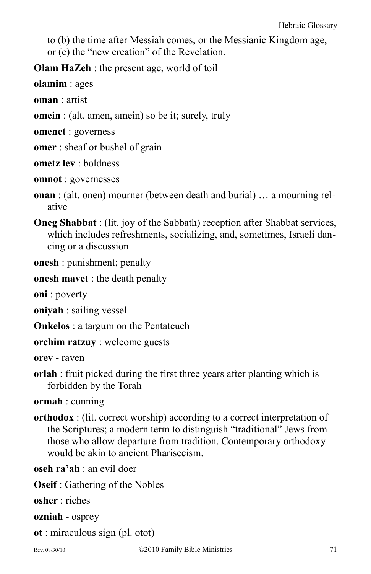to (b) the time after Messiah comes, or the Messianic Kingdom age,

or (c) the "new creation" of the Revelation.

**Olam HaZeh** : the present age, world of toil

**olamim** : ages

**oman** : artist

**omein** : (alt. amen, amein) so be it; surely, truly

**omenet** : governess

**omer** : sheaf or bushel of grain

**ometz lev** : boldness

**omnot** : governesses

- **onan** : (alt. onen) mourner (between death and burial) … a mourning relative
- **Oneg Shabbat** : (lit. joy of the Sabbath) reception after Shabbat services, which includes refreshments, socializing, and, sometimes, Israeli dancing or a discussion

**onesh** : punishment; penalty

**onesh mavet** : the death penalty

**oni** : poverty

**oniyah** : sailing vessel

**Onkelos** : a targum on the Pentateuch

**orchim ratzuy** : welcome guests

**orev** - raven

**orlah** : fruit picked during the first three years after planting which is forbidden by the Torah

**ormah** : cunning

**orthodox** : (lit. correct worship) according to a correct interpretation of the Scriptures; a modern term to distinguish "traditional" Jews from those who allow departure from tradition. Contemporary orthodoxy would be akin to ancient Phariseeism.

**oseh ra'ah** : an evil doer

**Oseif** : Gathering of the Nobles

**osher** : riches

**ozniah** - osprey

**ot** : miraculous sign (pl. otot)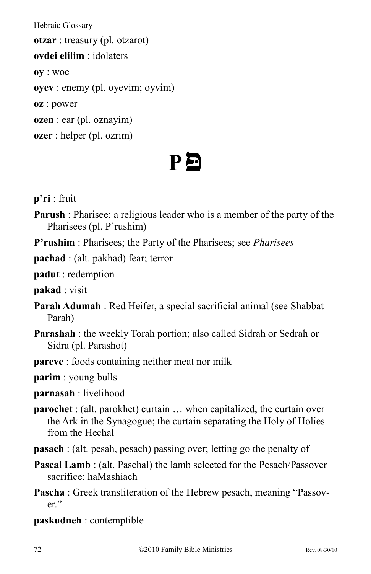**otzar** : treasury (pl. otzarot)

**ovdei elilim** : idolaters

**oy** : woe

**ovev** : enemy (pl. oyevim; oyvim)

**oz** : power

**ozen** : ear (pl. oznayim)

**ozer** : helper (pl. ozrim)

## **<sup>P</sup>**P

**p'ri** : fruit

**Parush**: Pharisee; a religious leader who is a member of the party of the Pharisees (pl. P'rushim)

**P'rushim** : Pharisees; the Party of the Pharisees; see *Pharisees*

**pachad** : (alt. pakhad) fear; terror

**padut** : redemption

**pakad** : visit

- **Parah Adumah** : Red Heifer, a special sacrificial animal (see Shabbat Parah)
- **Parashah** : the weekly Torah portion; also called Sidrah or Sedrah or Sidra (pl. Parashot)
- **pareve** : foods containing neither meat nor milk

**parim** : young bulls

**parnasah** : livelihood

**parochet** : (alt. parokhet) curtain ... when capitalized, the curtain over the Ark in the Synagogue; the curtain separating the Holy of Holies from the Hechal

**pasach** : (alt. pesah, pesach) passing over; letting go the penalty of

- **Pascal Lamb** : (alt. Paschal) the lamb selected for the Pesach/Passover sacrifice; haMashiach
- **Pascha** : Greek transliteration of the Hebrew pesach, meaning "Passover"

**paskudneh** : contemptible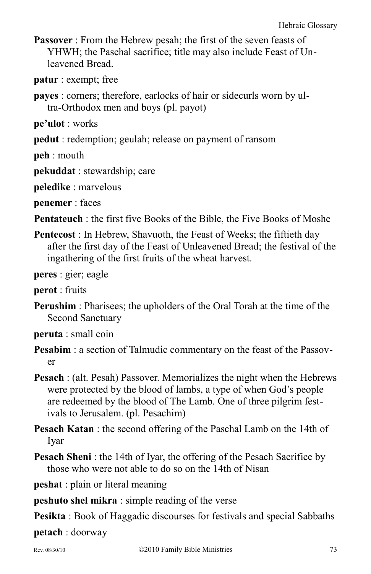- **Passover** : From the Hebrew pesah; the first of the seven feasts of YHWH; the Paschal sacrifice; title may also include Feast of Unleavened Bread.
- **patur** : exempt; free
- **payes** : corners; therefore, earlocks of hair or sidecurls worn by ultra-Orthodox men and boys (pl. payot)
- **pe'ulot** : works
- **pedut** : redemption; geulah; release on payment of ransom
- **peh** : mouth
- **pekuddat** : stewardship; care
- **peledike** : marvelous
- **penemer** : faces
- **Pentateuch** : the first five Books of the Bible, the Five Books of Moshe
- **Pentecost** : In Hebrew, Shavuoth, the Feast of Weeks; the fiftieth day after the first day of the Feast of Unleavened Bread; the festival of the ingathering of the first fruits of the wheat harvest.
- **peres** : gier; eagle
- **perot** : fruits
- **Perushim**: Pharisees; the upholders of the Oral Torah at the time of the Second Sanctuary
- **peruta** : small coin
- **Pesabim**: a section of Talmudic commentary on the feast of the Passover
- **Pesach** : (alt. Pesah) Passover. Memorializes the night when the Hebrews were protected by the blood of lambs, a type of when God's people are redeemed by the blood of The Lamb. One of three pilgrim festivals to Jerusalem. (pl. Pesachim)
- **Pesach Katan** : the second offering of the Paschal Lamb on the 14th of Iyar
- **Pesach Sheni**: the 14th of Iyar, the offering of the Pesach Sacrifice by those who were not able to do so on the 14th of Nisan
- **peshat** : plain or literal meaning
- **peshuto shel mikra** : simple reading of the verse

**Pesikta** : Book of Haggadic discourses for festivals and special Sabbaths

**petach** : doorway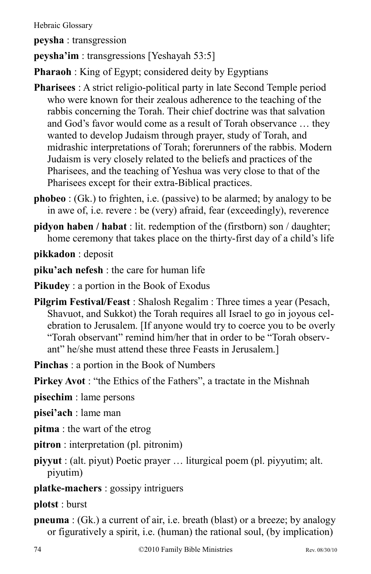**peysha** : transgression

**peysha'im** : transgressions [Yeshayah 53:5]

**Pharaoh** : King of Egypt; considered deity by Egyptians

- **Pharisees** : A strict religio-political party in late Second Temple period who were known for their zealous adherence to the teaching of the rabbis concerning the Torah. Their chief doctrine was that salvation and God's favor would come as a result of Torah observance … they wanted to develop Judaism through prayer, study of Torah, and midrashic interpretations of Torah; forerunners of the rabbis. Modern Judaism is very closely related to the beliefs and practices of the Pharisees, and the teaching of Yeshua was very close to that of the Pharisees except for their extra-Biblical practices.
- **phobeo** : (Gk.) to frighten, i.e. (passive) to be alarmed; by analogy to be in awe of, i.e. revere : be (very) afraid, fear (exceedingly), reverence
- **pidyon haben / habat** : lit. redemption of the (firstborn) son / daughter; home ceremony that takes place on the thirty-first day of a child's life
- **pikkadon** : deposit
- **piku'ach nefesh** : the care for human life
- **Pikudey** : a portion in the Book of Exodus
- **Pilgrim Festival/Feast** : Shalosh Regalim : Three times a year (Pesach, Shavuot, and Sukkot) the Torah requires all Israel to go in joyous celebration to Jerusalem. [If anyone would try to coerce you to be overly "Torah observant" remind him/her that in order to be "Torah observant" he/she must attend these three Feasts in Jerusalem.]
- **Pinchas** : a portion in the Book of Numbers
- **Pirkey Avot**: "the Ethics of the Fathers", a tractate in the Mishnah
- **pisechim** : lame persons
- **pisei'ach** : lame man
- **pitma** : the wart of the etrog
- **pitron** : interpretation (pl. pitronim)
- **piyyut** : (alt. piyut) Poetic prayer … liturgical poem (pl. piyyutim; alt. piyutim)
- **platke-machers** : gossipy intriguers
- **plotst** : burst
- **pneuma** : (Gk.) a current of air, i.e. breath (blast) or a breeze; by analogy or figuratively a spirit, i.e. (human) the rational soul, (by implication)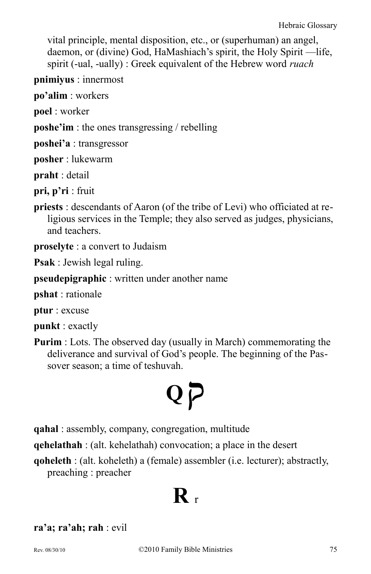vital principle, mental disposition, etc., or (superhuman) an angel, daemon, or (divine) God, HaMashiach's spirit, the Holy Spirit —life, spirit (-ual, -ually) : Greek equivalent of the Hebrew word *ruach*

**pnimiyus** : innermost

**po'alim** : workers

**poel** : worker

**poshe'im** : the ones transgressing / rebelling

**poshei'a** : transgressor

**posher** : lukewarm

**praht** : detail

**pri, p'ri** : fruit

**priests** : descendants of Aaron (of the tribe of Levi) who officiated at religious services in the Temple; they also served as judges, physicians, and teachers.

**proselyte** : a convert to Judaism

**Psak** : Jewish legal ruling.

**pseudepigraphic** : written under another name

**pshat** : rationale

**ptur** : excuse

**punkt** : exactly

**Purim** : Lots. The observed day (usually in March) commemorating the deliverance and survival of God's people. The beginning of the Passover season; a time of teshuvah.

# $Q$  $\bar{Q}$

**qahal** : assembly, company, congregation, multitude

**qehelathah** : (alt. kehelathah) convocation; a place in the desert

**qoheleth** : (alt. koheleth) a (female) assembler (i.e. lecturer); abstractly, preaching : preacher

# **R** <sup>r</sup>

#### **ra'a; ra'ah; rah** : evil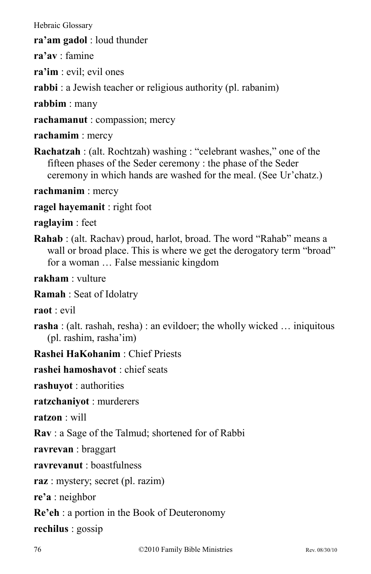**ra'am gadol** : loud thunder

**ra'av** : famine

**ra'im** : evil; evil ones

**rabbi** : a Jewish teacher or religious authority (pl. rabanim)

**rabbim** : many

**rachamanut** : compassion; mercy

**rachamim** : mercy

**Rachatzah** : (alt. Rochtzah) washing : "celebrant washes," one of the fifteen phases of the Seder ceremony : the phase of the Seder ceremony in which hands are washed for the meal. (See Ur'chatz.)

**rachmanim** : mercy

**ragel hayemanit** : right foot

**raglayim** : feet

**Rahab** : (alt. Rachav) proud, harlot, broad. The word "Rahab" means a wall or broad place. This is where we get the derogatory term "broad" for a woman … False messianic kingdom

**rakham** : vulture

**Ramah** : Seat of Idolatry

**raot** : evil

**rasha** : (alt. rashah, resha) : an evildoer; the wholly wicked … iniquitous (pl. rashim, rasha'im)

**Rashei HaKohanim** : Chief Priests

**rashei hamoshavot** : chief seats

**rashuyot** : authorities

**ratzchaniyot** : murderers

**ratzon** : will

**Rav** : a Sage of the Talmud; shortened for of Rabbi

**ravrevan** : braggart

**ravrevanut** : boastfulness

**raz** : mystery; secret (pl. razim)

**re'a** : neighbor

**Re'eh** : a portion in the Book of Deuteronomy

**rechilus** : gossip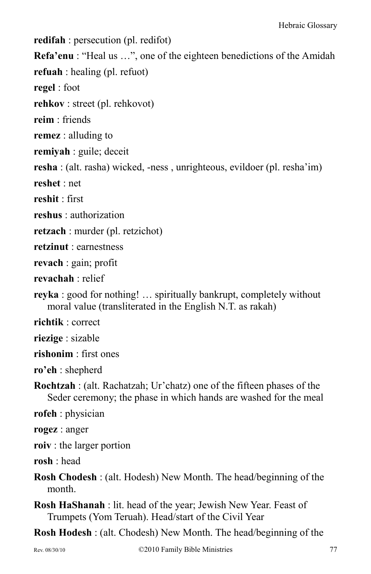**redifah** : persecution (pl. redifot)

**Refa'enu** : "Heal us ...", one of the eighteen benedictions of the Amidah

**refuah** : healing (pl. refuot)

**regel** : foot

**rehkov** : street (pl. rehkovot)

**reim** : friends

**remez** : alluding to

**remiyah** : guile; deceit

**resha** : (alt. rasha) wicked, -ness , unrighteous, evildoer (pl. resha'im)

**reshet** : net

**reshit** : first

**reshus** : authorization

**retzach** : murder (pl. retzichot)

**retzinut** : earnestness

**revach** : gain; profit

**revachah** : relief

**reyka** : good for nothing! … spiritually bankrupt, completely without moral value (transliterated in the English N.T. as rakah)

**richtik** : correct

**riezige** : sizable

**rishonim** : first ones

**ro'eh** : shepherd

**Rochtzah** : (alt. Rachatzah; Ur'chatz) one of the fifteen phases of the Seder ceremony; the phase in which hands are washed for the meal

**rofeh** : physician

**rogez** : anger

**roiv** : the larger portion

**rosh** : head

**Rosh Chodesh** : (alt. Hodesh) New Month. The head/beginning of the month.

**Rosh HaShanah** : lit. head of the year; Jewish New Year. Feast of Trumpets (Yom Teruah). Head/start of the Civil Year

**Rosh Hodesh** : (alt. Chodesh) New Month. The head/beginning of the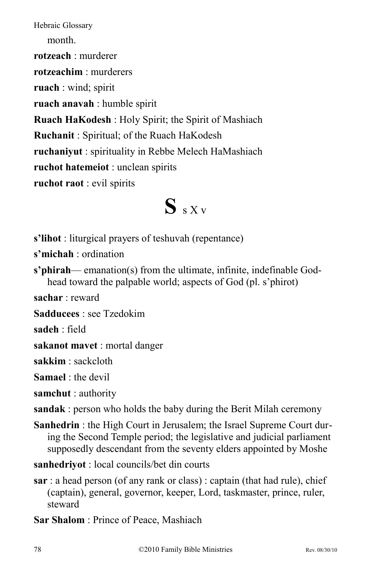Hebraic Glossary month. **rotzeach** : murderer **rotzeachim** : murderers **ruach** : wind; spirit **ruach anavah** : humble spirit **Ruach HaKodesh** : Holy Spirit; the Spirit of Mashiach **Ruchanit** : Spiritual; of the Ruach HaKodesh **ruchaniyut** : spirituality in Rebbe Melech HaMashiach **ruchot hatemeiot** : unclean spirits **ruchot raot** : evil spirits



**s'lihot** : liturgical prayers of teshuvah (repentance)

**s'michah** : ordination

**s'phirah**— emanation(s) from the ultimate, infinite, indefinable Godhead toward the palpable world; aspects of God (pl. s'phirot)

**sachar** : reward

**Sadducees** : see Tzedokim

**sadeh** : field

**sakanot mavet** : mortal danger

**sakkim** : sackcloth

**Samael** : the devil

**samchut** : authority

**sandak** : person who holds the baby during the Berit Milah ceremony

- **Sanhedrin** : the High Court in Jerusalem; the Israel Supreme Court during the Second Temple period; the legislative and judicial parliament supposedly descendant from the seventy elders appointed by Moshe
- **sanhedriyot** : local councils/bet din courts
- **sar** : a head person (of any rank or class) : captain (that had rule), chief (captain), general, governor, keeper, Lord, taskmaster, prince, ruler, steward

**Sar Shalom** : Prince of Peace, Mashiach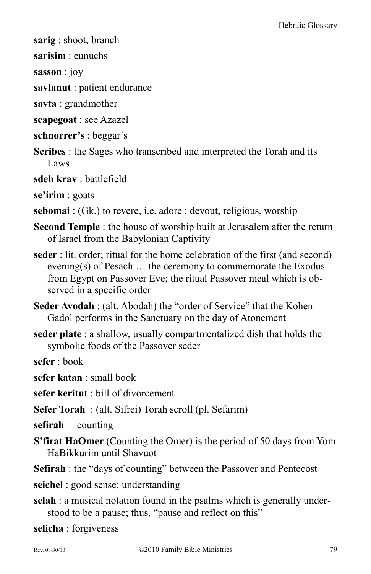**sarig** : shoot; branch

**sarisim** : eunuchs

**sasson** : joy

**savlanut** : patient endurance

**savta** : grandmother

**scapegoat** : see Azazel

- **schnorrer's** : beggar's
- **Scribes** : the Sages who transcribed and interpreted the Torah and its Laws
- **sdeh krav** : battlefield

**se'irim** : goats

- **sebomai** : (Gk.) to revere, i.e. adore : devout, religious, worship
- **Second Temple** : the house of worship built at Jerusalem after the return of Israel from the Babylonian Captivity
- **seder** : lit. order; ritual for the home celebration of the first (and second) evening(s) of Pesach … the ceremony to commemorate the Exodus from Egypt on Passover Eve; the ritual Passover meal which is observed in a specific order
- **Seder Avodah** : (alt. Abodah) the "order of Service" that the Kohen Gadol performs in the Sanctuary on the day of Atonement
- **seder plate** : a shallow, usually compartmentalized dish that holds the symbolic foods of the Passover seder

**sefer** : book

**sefer katan** : small book

**sefer keritut** : bill of divorcement

**Sefer Torah** : (alt. Sifrei) Torah scroll (pl. Sefarim)

**sefirah** —counting

**S'firat HaOmer** (Counting the Omer) is the period of 50 days from Yom HaBikkurim until Shavuot

**Sefirah** : the "days of counting" between the Passover and Pentecost

**seichel** : good sense; understanding

**selah** : a musical notation found in the psalms which is generally understood to be a pause; thus, "pause and reflect on this"

**selicha** : forgiveness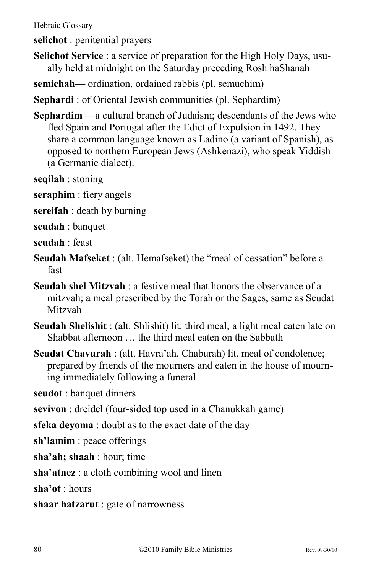**selichot** : penitential prayers

**Selichot Service** : a service of preparation for the High Holy Days, usually held at midnight on the Saturday preceding Rosh haShanah

**semichah**— ordination, ordained rabbis (pl. semuchim)

**Sephardi** : of Oriental Jewish communities (pl. Sephardim)

**Sephardim** —a cultural branch of Judaism; descendants of the Jews who fled Spain and Portugal after the Edict of Expulsion in 1492. They share a common language known as Ladino (a variant of Spanish), as opposed to northern European Jews (Ashkenazi), who speak Yiddish (a Germanic dialect).

**seqilah** : stoning

**seraphim** : fiery angels

**sereifah** : death by burning

**seudah** : banquet

**seudah** : feast

- **Seudah Mafseket** : (alt. Hemafseket) the "meal of cessation" before a fast
- **Seudah shel Mitzvah** : a festive meal that honors the observance of a mitzvah; a meal prescribed by the Torah or the Sages, same as Seudat Mitzvah
- **Seudah Shelishit** : (alt. Shlishit) lit. third meal; a light meal eaten late on Shabbat afternoon … the third meal eaten on the Sabbath
- **Seudat Chavurah** : (alt. Havra'ah, Chaburah) lit. meal of condolence; prepared by friends of the mourners and eaten in the house of mourning immediately following a funeral

**seudot** : banquet dinners

**sevivon** : dreidel (four-sided top used in a Chanukkah game)

**sfeka deyoma** : doubt as to the exact date of the day

**sh'lamim** : peace offerings

**sha'ah; shaah** : hour; time

**sha'atnez** : a cloth combining wool and linen

**sha'ot** : hours

**shaar hatzarut** : gate of narrowness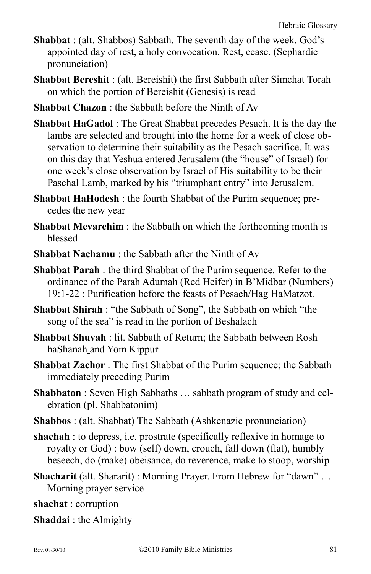- **Shabbat** : (alt. Shabbos) Sabbath. The seventh day of the week. God's appointed day of rest, a holy convocation. Rest, cease. (Sephardic pronunciation)
- **Shabbat Bereshit** : (alt. Bereishit) the first Sabbath after Simchat Torah on which the portion of Bereishit (Genesis) is read
- **Shabbat Chazon** : the Sabbath before the Ninth of Av
- **Shabbat HaGadol** : The Great Shabbat precedes Pesach. It is the day the lambs are selected and brought into the home for a week of close observation to determine their suitability as the Pesach sacrifice. It was on this day that Yeshua entered Jerusalem (the "house" of Israel) for one week's close observation by Israel of His suitability to be their Paschal Lamb, marked by his "triumphant entry" into Jerusalem.
- **Shabbat HaHodesh** : the fourth Shabbat of the Purim sequence; precedes the new year
- **Shabbat Mevarchim**: the Sabbath on which the forthcoming month is blessed
- **Shabbat Nachamu** : the Sabbath after the Ninth of Av
- **Shabbat Parah** : the third Shabbat of the Purim sequence. Refer to the ordinance of the Parah Adumah (Red Heifer) in B'Midbar (Numbers) 19:1-22 : Purification before the feasts of Pesach/Hag HaMatzot.
- **Shabbat Shirah** : "the Sabbath of Song", the Sabbath on which "the song of the sea" is read in the portion of Beshalach
- **Shabbat Shuvah** : lit. Sabbath of Return; the Sabbath between Rosh haShanah and Yom Kippur
- **Shabbat Zachor** : The first Shabbat of the Purim sequence; the Sabbath immediately preceding Purim
- **Shabbaton** : Seven High Sabbaths … sabbath program of study and celebration (pl. Shabbatonim)
- **Shabbos** : (alt. Shabbat) The Sabbath (Ashkenazic pronunciation)
- **shachah** : to depress, i.e. prostrate (specifically reflexive in homage to royalty or God) : bow (self) down, crouch, fall down (flat), humbly beseech, do (make) obeisance, do reverence, make to stoop, worship
- **Shacharit** (alt. Shararit) : Morning Prayer. From Hebrew for "dawn" … Morning prayer service
- **shachat** : corruption
- **Shaddai** : the Almighty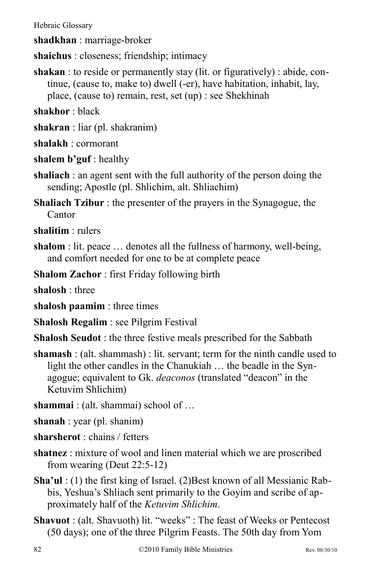**shadkhan** : marriage-broker

**shaichus** : closeness; friendship; intimacy

**shakan** : to reside or permanently stay (lit. or figuratively) : abide, continue, (cause to, make to) dwell (-er), have habitation, inhabit, lay, place, (cause to) remain, rest, set (up) : see Shekhinah

**shakhor** : black

- **shakran** : liar (pl. shakranim)
- **shalakh** : cormorant
- **shalem b'guf** : healthy
- **shaliach** : an agent sent with the full authority of the person doing the sending; Apostle (pl. Shlichim, alt. Shliachim)
- **Shaliach Tzibur** : the presenter of the prayers in the Synagogue, the Cantor
- **shalitim** : rulers
- **shalom**: lit. peace ... denotes all the fullness of harmony, well-being, and comfort needed for one to be at complete peace
- **Shalom Zachor** : first Friday following birth
- **shalosh** : three
- **shalosh paamim** : three times
- **Shalosh Regalim** : see Pilgrim Festival
- **Shalosh Seudot** : the three festive meals prescribed for the Sabbath
- **shamash** : (alt. shammash) : lit. servant; term for the ninth candle used to light the other candles in the Chanukiah … the beadle in the Synagogue; equivalent to Gk. *deaconos* (translated "deacon" in the Ketuvim Shlichim)
- **shammai** : (alt. shammai) school of …
- **shanah** : year (pl. shanim)
- **sharsherot** : chains / fetters
- **shatnez** : mixture of wool and linen material which we are proscribed from wearing (Deut 22:5-12)
- **Sha'ul** : (1) the first king of Israel. (2) Best known of all Messianic Rabbis, Yeshua's Shliach sent primarily to the Goyim and scribe of approximately half of the *Ketuvim Shlichim*.
- **Shavuot** : (alt. Shavuoth) lit. "weeks" : The feast of Weeks or Pentecost (50 days); one of the three Pilgrim Feasts. The 50th day from Yom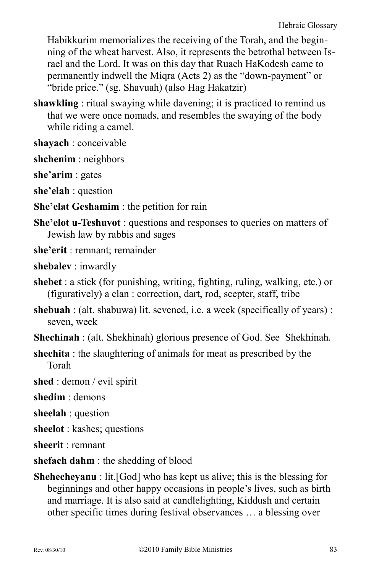Habikkurim memorializes the receiving of the Torah, and the beginning of the wheat harvest. Also, it represents the betrothal between Israel and the Lord. It was on this day that Ruach HaKodesh came to permanently indwell the Miqra (Acts 2) as the "down-payment" or "bride price." (sg. Shavuah) (also Hag Hakatzir)

**shawkling** : ritual swaying while davening; it is practiced to remind us that we were once nomads, and resembles the swaying of the body while riding a camel.

**shayach** : conceivable

**shchenim** : neighbors

**she'arim** : gates

**she'elah** : question

- **She'elat Geshamim** : the petition for rain
- **She'elot u-Teshuvot** : questions and responses to queries on matters of Jewish law by rabbis and sages

**she'erit** : remnant; remainder

**shebalev** : inwardly

- **shebet** : a stick (for punishing, writing, fighting, ruling, walking, etc.) or (figuratively) a clan : correction, dart, rod, scepter, staff, tribe
- **shebuah** : (alt. shabuwa) lit. sevened, i.e. a week (specifically of years) : seven, week
- **Shechinah** : (alt. Shekhinah) glorious presence of God. See Shekhinah.
- **shechita** : the slaughtering of animals for meat as prescribed by the Torah
- **shed** : demon / evil spirit
- **shedim** : demons

**sheelah** : question

**sheelot** : kashes; questions

**sheerit** : remnant

- **shefach dahm** : the shedding of blood
- **Shehecheyanu** : lit. [God] who has kept us alive; this is the blessing for beginnings and other happy occasions in people's lives, such as birth and marriage. It is also said at candlelighting, Kiddush and certain other specific times during festival observances … a blessing over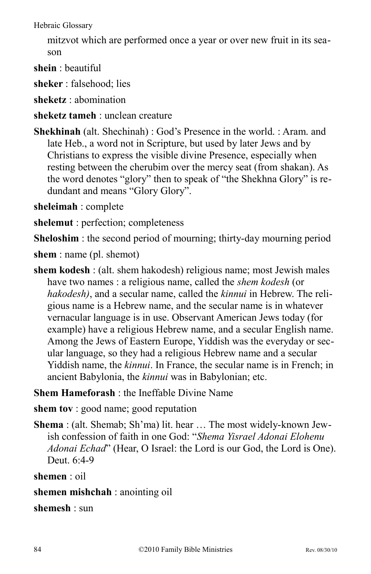mitzvot which are performed once a year or over new fruit in its season

**shein** : beautiful

**sheker** : falsehood; lies

**sheketz** : abomination

- **sheketz tameh** : unclean creature
- **Shekhinah** (alt. Shechinah) : God's Presence in the world. : Aram. and late Heb., a word not in Scripture, but used by later Jews and by Christians to express the visible divine Presence, especially when resting between the cherubim over the mercy seat (from shakan). As the word denotes "glory" then to speak of "the Shekhna Glory" is redundant and means "Glory Glory".

**sheleimah** : complete

**shelemut** : perfection; completeness

**Sheloshim**: the second period of mourning; thirty-day mourning period

**shem** : name (pl. shemot)

**shem kodesh** : (alt. shem hakodesh) religious name; most Jewish males have two names : a religious name, called the *shem kodesh* (or *hakodesh)*, and a secular name, called the *kinnui* in Hebrew. The religious name is a Hebrew name, and the secular name is in whatever vernacular language is in use. Observant American Jews today (for example) have a religious Hebrew name, and a secular English name. Among the Jews of Eastern Europe, Yiddish was the everyday or secular language, so they had a religious Hebrew name and a secular Yiddish name, the *kinnui*. In France, the secular name is in French; in ancient Babylonia, the *kinnui* was in Babylonian; etc.

**Shem Hameforash** : the Ineffable Divine Name

**shem tov** : good name; good reputation

**Shema** : (alt. Shemab; Sh'ma) lit. hear … The most widely-known Jewish confession of faith in one God: "*Shema Yisrael Adonai Elohenu Adonai Echad*" (Hear, O Israel: the Lord is our God, the Lord is One). Deut. 6:4-9

**shemen** : oil

**shemen mishchah** : anointing oil

**shemesh** : sun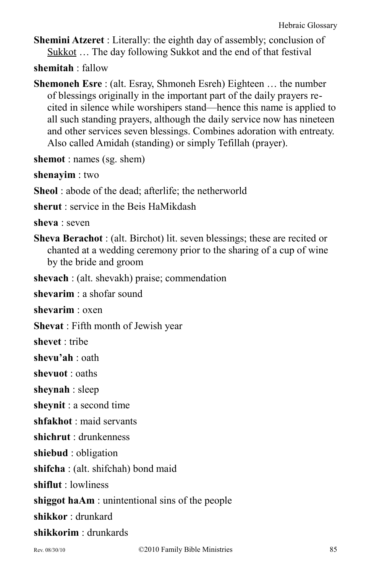**Shemini Atzeret** : Literally: the eighth day of assembly; conclusion of Sukkot … The day following Sukkot and the end of that festival

**shemitah** : fallow

**Shemoneh Esre** : (alt. Esray, Shmoneh Esreh) Eighteen … the number of blessings originally in the important part of the daily prayers recited in silence while worshipers stand—hence this name is applied to all such standing prayers, although the daily service now has nineteen and other services seven blessings. Combines adoration with entreaty. Also called Amidah (standing) or simply Tefillah (prayer).

**shemot** : names (sg. shem)

**shenayim** : two

**Sheol** : abode of the dead; afterlife; the netherworld

**sherut** : service in the Beis HaMikdash

**sheva** : seven

**Sheva Berachot** : (alt. Birchot) lit. seven blessings; these are recited or chanted at a wedding ceremony prior to the sharing of a cup of wine by the bride and groom

**shevach** : (alt. shevakh) praise; commendation

**shevarim** : a shofar sound

**shevarim** : oxen

**Shevat** : Fifth month of Jewish year

**shevet** : tribe

**shevu'ah** : oath

**shevuot** : oaths

**sheynah** : sleep

**sheynit** : a second time

**shfakhot** : maid servants

**shichrut** : drunkenness

**shiebud** : obligation

**shifcha** : (alt. shifchah) bond maid

**shiflut** : lowliness

**shiggot haAm** : unintentional sins of the people

**shikkor** : drunkard

**shikkorim** : drunkards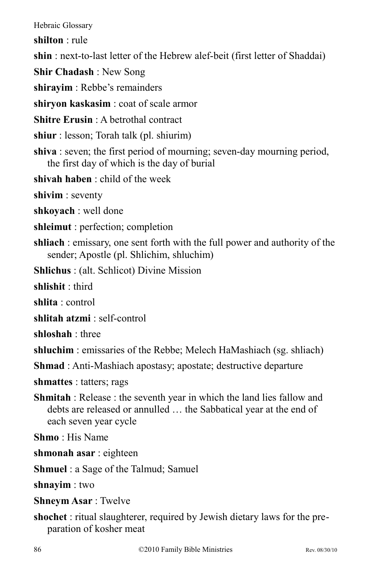**shilton** : rule

**shin** : next-to-last letter of the Hebrew alef-beit (first letter of Shaddai)

**Shir Chadash** : New Song

**shirayim** : Rebbe's remainders

**shiryon kaskasim** : coat of scale armor

**Shitre Erusin** : A betrothal contract

**shiur** : lesson; Torah talk (pl. shiurim)

- **shiva** : seven; the first period of mourning; seven-day mourning period, the first day of which is the day of burial
- **shivah haben** : child of the week

**shivim** : seventy

**shkoyach** : well done

**shleimut** : perfection; completion

**shliach** : emissary, one sent forth with the full power and authority of the sender; Apostle (pl. Shlichim, shluchim)

**Shlichus** : (alt. Schlicot) Divine Mission

**shlishit** : third

**shlita** : control

**shlitah atzmi** : self-control

**shloshah** : three

**shluchim** : emissaries of the Rebbe; Melech HaMashiach (sg. shliach)

**Shmad** : Anti-Mashiach apostasy; apostate; destructive departure

**shmattes** : tatters; rags

**Shmitah** : Release : the seventh year in which the land lies fallow and debts are released or annulled … the Sabbatical year at the end of each seven year cycle

**Shmo** : His Name

**shmonah asar** : eighteen

**Shmuel** : a Sage of the Talmud; Samuel

**shnayim** : two

**Shneym Asar** : Twelve

**shochet** : ritual slaughterer, required by Jewish dietary laws for the preparation of kosher meat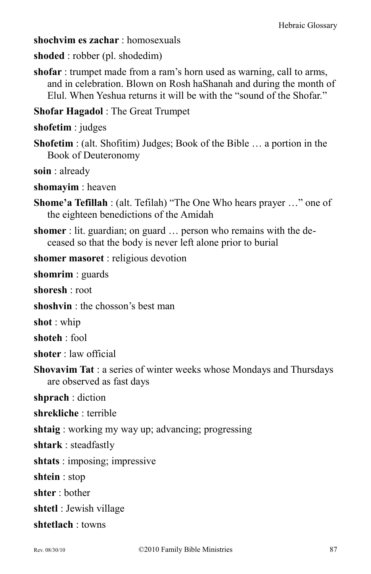#### **shochvim es zachar** : homosexuals

#### **shoded** : robber (pl. shodedim)

**shofar** : trumpet made from a ram's horn used as warning, call to arms, and in celebration. Blown on Rosh haShanah and during the month of Elul. When Yeshua returns it will be with the "sound of the Shofar."

#### **Shofar Hagadol** : The Great Trumpet

- **shofetim** : judges
- **Shofetim** : (alt. Shofitim) Judges; Book of the Bible … a portion in the Book of Deuteronomy
- **soin** : already
- **shomayim** : heaven
- **Shome'a Tefillah** : (alt. Tefilah) "The One Who hears prayer …" one of the eighteen benedictions of the Amidah
- **shomer** : lit. guardian; on guard … person who remains with the deceased so that the body is never left alone prior to burial
- **shomer masoret** : religious devotion
- **shomrim** : guards
- **shoresh** : root
- **shoshvin** : the chosson's best man
- **shot** : whip
- **shoteh** : fool
- **shoter** : law official
- **Shovavim Tat** : a series of winter weeks whose Mondays and Thursdays are observed as fast days
- **shprach** : diction
- **shrekliche** : terrible
- **shtaig** : working my way up; advancing; progressing
- **shtark** : steadfastly
- **shtats** : imposing; impressive
- **shtein** : stop
- **shter** : bother
- **shtetl** : Jewish village
- **shtetlach** : towns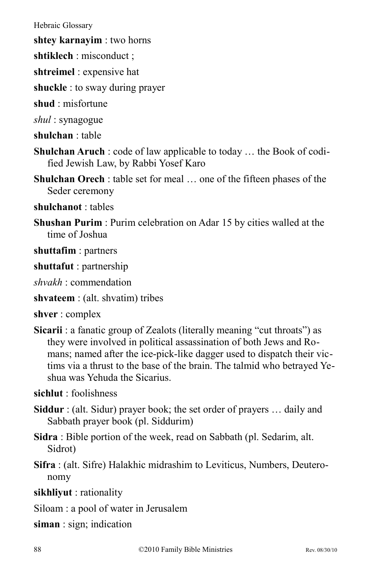- **shtey karnayim** : two horns
- **shtiklech** : misconduct ;
- **shtreimel** : expensive hat
- **shuckle** : to sway during prayer
- **shud** : misfortune
- *shul* : synagogue
- **shulchan** : table
- **Shulchan Aruch** : code of law applicable to today … the Book of codified Jewish Law, by Rabbi Yosef Karo
- **Shulchan Orech** : table set for meal … one of the fifteen phases of the Seder ceremony
- **shulchanot** : tables
- **Shushan Purim** : Purim celebration on Adar 15 by cities walled at the time of Joshua
- **shuttafim** : partners
- **shuttafut** : partnership
- *shvakh* : commendation
- **shvateem** : (alt. shvatim) tribes
- **shver** : complex
- **Sicarii**: a fanatic group of Zealots (literally meaning "cut throats") as they were involved in political assassination of both Jews and Romans; named after the ice-pick-like dagger used to dispatch their victims via a thrust to the base of the brain. The talmid who betrayed Yeshua was Yehuda the Sicarius.
- **sichlut** : foolishness
- **Siddur** : (alt. Sidur) prayer book; the set order of prayers … daily and Sabbath prayer book (pl. Siddurim)
- **Sidra** : Bible portion of the week, read on Sabbath (pl. Sedarim, alt. Sidrot)
- **Sifra** : (alt. Sifre) Halakhic midrashim to Leviticus, Numbers, Deuteronomy
- **sikhliyut** : rationality
- Siloam : a pool of water in Jerusalem
- **siman** : sign; indication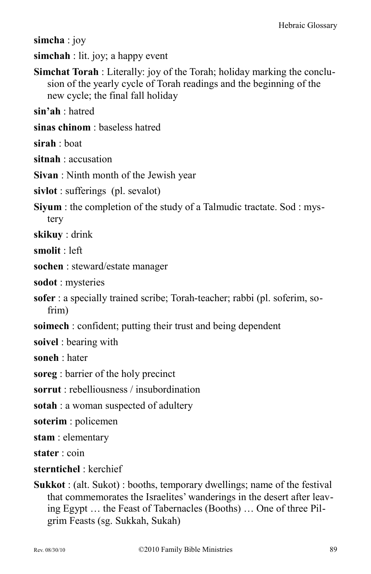**simcha** : joy

- **simchah** : lit. joy; a happy event
- **Simchat Torah** : Literally: joy of the Torah; holiday marking the conclusion of the yearly cycle of Torah readings and the beginning of the new cycle; the final fall holiday

**sin'ah** : hatred

**sinas chinom** : baseless hatred

**sirah** : boat

- **sitnah** : accusation
- **Sivan** : Ninth month of the Jewish year

**sivlot** : sufferings (pl. sevalot)

**Siyum**: the completion of the study of a Talmudic tractate. Sod: mystery

**skikuy** : drink

**smolit** : left

**sochen** : steward/estate manager

**sodot** : mysteries

- **sofer** : a specially trained scribe; Torah-teacher; rabbi (pl. soferim, sofrim)
- **soimech** : confident; putting their trust and being dependent

**soivel** : bearing with

**soneh** : hater

**soreg** : barrier of the holy precinct

**sorrut** : rebelliousness / insubordination

**sotah** : a woman suspected of adultery

**soterim** : policemen

**stam** : elementary

**stater** : coin

**sterntichel** : kerchief

**Sukkot** : (alt. Sukot) : booths, temporary dwellings; name of the festival that commemorates the Israelites' wanderings in the desert after leaving Egypt … the Feast of Tabernacles (Booths) … One of three Pilgrim Feasts (sg. Sukkah, Sukah)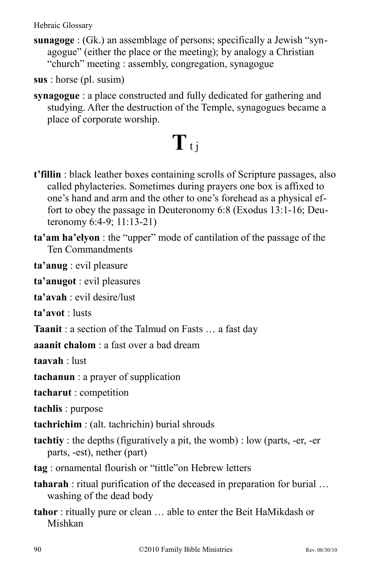- **sunagoge** : (Gk.) an assemblage of persons; specifically a Jewish "synagogue" (either the place or the meeting); by analogy a Christian "church" meeting : assembly, congregation, synagogue
- **sus** : horse (pl. susim)
- **synagogue** : a place constructed and fully dedicated for gathering and studying. After the destruction of the Temple, synagogues became a place of corporate worship.

# $T_{ti}$

- **t'fillin** : black leather boxes containing scrolls of Scripture passages, also called phylacteries. Sometimes during prayers one box is affixed to one's hand and arm and the other to one's forehead as a physical effort to obey the passage in Deuteronomy 6:8 (Exodus 13:1-16; Deuteronomy 6:4-9; 11:13-21)
- **ta'am ha'elyon** : the "upper" mode of cantilation of the passage of the Ten Commandments

**ta'anug** : evil pleasure

**ta'anugot** : evil pleasures

**ta'avah** : evil desire/lust

**ta'avot** : lusts

**Taanit** : a section of the Talmud on Fasts … a fast day

**aaanit chalom** : a fast over a bad dream

**taavah** : lust

**tachanun** : a prayer of supplication

**tacharut** : competition

**tachlis** : purpose

**tachrichim** : (alt. tachrichin) burial shrouds

- **tachtiy** : the depths (figuratively a pit, the womb) : low (parts, -er, -er parts, -est), nether (part)
- **tag** : ornamental flourish or "tittle"on Hebrew letters
- **taharah** : ritual purification of the deceased in preparation for burial … washing of the dead body
- **tahor** : ritually pure or clean … able to enter the Beit HaMikdash or Mishkan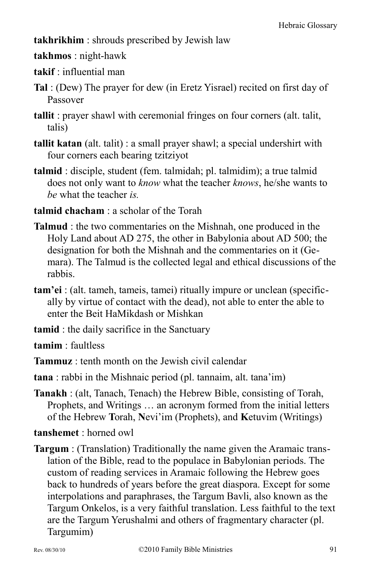**takhrikhim** : shrouds prescribed by Jewish law

**takhmos** : night-hawk

**takif** : influential man

- **Tal** : (Dew) The prayer for dew (in Eretz Yisrael) recited on first day of Passover
- **tallit** : prayer shawl with ceremonial fringes on four corners (alt. talit, talis)
- **tallit katan** (alt. talit) : a small prayer shawl; a special undershirt with four corners each bearing tzitziyot
- **talmid** : disciple, student (fem. talmidah; pl. talmidim); a true talmid does not only want to *know* what the teacher *knows*, he/she wants to *be* what the teacher *is.*
- **talmid chacham** : a scholar of the Torah
- **Talmud** : the two commentaries on the Mishnah, one produced in the Holy Land about AD 275, the other in Babylonia about AD 500; the designation for both the Mishnah and the commentaries on it (Gemara). The Talmud is the collected legal and ethical discussions of the rabbis.
- **tam'ei** : (alt. tameh, tameis, tamei) ritually impure or unclean (specifically by virtue of contact with the dead), not able to enter the able to enter the Beit HaMikdash or Mishkan
- **tamid** : the daily sacrifice in the Sanctuary
- **tamim** : faultless
- **Tammuz** : tenth month on the Jewish civil calendar
- **tana** : rabbi in the Mishnaic period (pl. tannaim, alt. tana'im)
- **Tanakh** : (alt, Tanach, Tenach) the Hebrew Bible, consisting of Torah, Prophets, and Writings … an acronym formed from the initial letters of the Hebrew **T**orah, **N**evi'im (Prophets), and **K**etuvim (Writings)

**tanshemet** : horned owl

**Targum** : (Translation) Traditionally the name given the Aramaic translation of the Bible, read to the populace in Babylonian periods. The custom of reading services in Aramaic following the Hebrew goes back to hundreds of years before the great diaspora. Except for some interpolations and paraphrases, the Targum Bavli, also known as the Targum Onkelos, is a very faithful translation. Less faithful to the text are the Targum Yerushalmi and others of fragmentary character (pl. Targumim)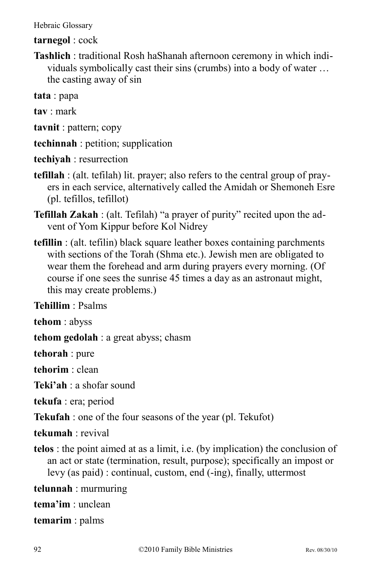**tarnegol** : cock

**Tashlich** : traditional Rosh haShanah afternoon ceremony in which individuals symbolically cast their sins (crumbs) into a body of water … the casting away of sin

**tata** : papa

**tav** : mark

**tavnit** : pattern; copy

**techinnah** : petition; supplication

**techiyah** : resurrection

- **tefillah** : (alt. tefilah) lit. prayer; also refers to the central group of prayers in each service, alternatively called the Amidah or Shemoneh Esre (pl. tefillos, tefillot)
- **Tefillah Zakah** : (alt. Tefilah) "a prayer of purity" recited upon the advent of Yom Kippur before Kol Nidrey
- **tefillin** : (alt. tefilin) black square leather boxes containing parchments with sections of the Torah (Shma etc.). Jewish men are obligated to wear them the forehead and arm during prayers every morning. (Of course if one sees the sunrise 45 times a day as an astronaut might, this may create problems.)

**Tehillim** : Psalms

**tehom** : abyss

**tehom gedolah** : a great abyss; chasm

**tehorah** : pure

**tehorim** : clean

**Teki'ah** : a shofar sound

**tekufa** : era; period

**Tekufah** : one of the four seasons of the year (pl. Tekufot)

**tekumah** : revival

**telos** : the point aimed at as a limit, i.e. (by implication) the conclusion of an act or state (termination, result, purpose); specifically an impost or levy (as paid) : continual, custom, end (-ing), finally, uttermost

**telunnah** : murmuring

**tema'im** : unclean

**temarim** : palms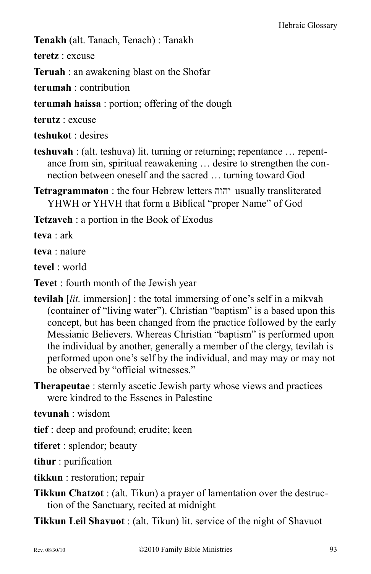**Tenakh** (alt. Tanach, Tenach) : Tanakh

**teretz** : excuse

**Teruah** : an awakening blast on the Shofar

**terumah** : contribution

**terumah haissa** : portion; offering of the dough

**terutz** : excuse

**teshukot** : desires

- **teshuvah** : (alt. teshuva) lit. turning or returning; repentance ... repentance from sin, spiritual reawakening … desire to strengthen the connection between oneself and the sacred … turning toward God
- **Tetragrammaton** : the four Hebrew letters hwhy usually transliterated YHWH or YHVH that form a Biblical "proper Name" of God

**Tetzaveh** : a portion in the Book of Exodus

**teva** : ark

**teva** : nature

**tevel** : world

- **Tevet** : fourth month of the Jewish year
- **tevilah** [*lit.* immersion] : the total immersing of one's self in a mikvah (container of "living water"). Christian "baptism" is a based upon this concept, but has been changed from the practice followed by the early Messianic Believers. Whereas Christian "baptism" is performed upon the individual by another, generally a member of the clergy, tevilah is performed upon one's self by the individual, and may may or may not be observed by "official witnesses."
- **Therapeutae** : sternly ascetic Jewish party whose views and practices were kindred to the Essenes in Palestine

**tevunah** : wisdom

**tief** : deep and profound; erudite; keen

**tiferet** : splendor; beauty

**tihur** : purification

**tikkun** : restoration; repair

**Tikkun Chatzot** : (alt. Tikun) a prayer of lamentation over the destruction of the Sanctuary, recited at midnight

**Tikkun Leil Shavuot** : (alt. Tikun) lit. service of the night of Shavuot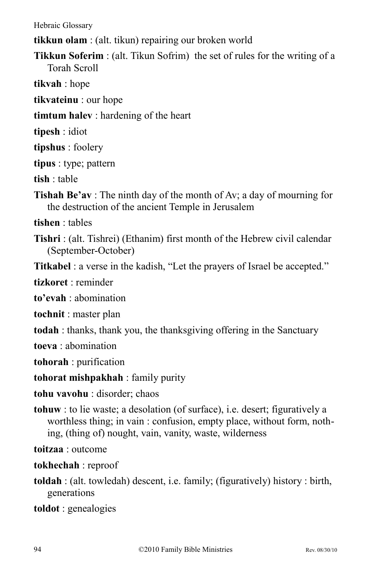- **tikkun olam** : (alt. tikun) repairing our broken world
- **Tikkun Soferim** : (alt. Tikun Sofrim) the set of rules for the writing of a Torah Scroll
- **tikvah** : hope
- **tikvateinu** : our hope
- **timtum halev** : hardening of the heart
- **tipesh** : idiot
- **tipshus** : foolery
- **tipus** : type; pattern

**tish** : table

- **Tishah Be'av** : The ninth day of the month of Av; a day of mourning for the destruction of the ancient Temple in Jerusalem
- **tishen** : tables
- **Tishri** : (alt. Tishrei) (Ethanim) first month of the Hebrew civil calendar (September-October)
- **Titkabel** : a verse in the kadish, "Let the prayers of Israel be accepted."

**tizkoret** : reminder

**to'evah** : abomination

- **tochnit** : master plan
- **todah** : thanks, thank you, the thanksgiving offering in the Sanctuary
- **toeva** : abomination
- **tohorah** : purification
- **tohorat mishpakhah** : family purity
- **tohu vavohu** : disorder; chaos
- **tohuw** : to lie waste; a desolation (of surface), i.e. desert; figuratively a worthless thing; in vain : confusion, empty place, without form, nothing, (thing of) nought, vain, vanity, waste, wilderness
- **toitzaa** : outcome
- **tokhechah** : reproof
- **toldah** : (alt. towledah) descent, i.e. family; (figuratively) history : birth, generations
- **toldot** : genealogies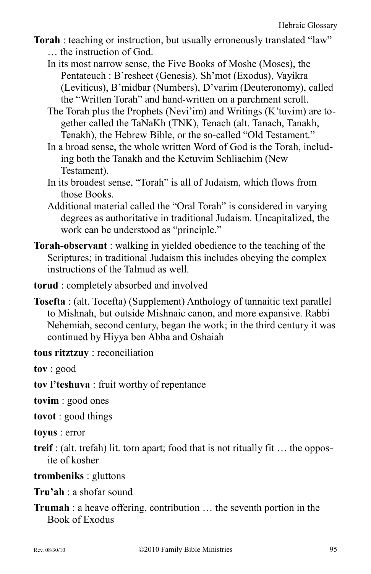- **Torah** : teaching or instruction, but usually erroneously translated "law" … the instruction of God.
	- In its most narrow sense, the Five Books of Moshe (Moses), the Pentateuch : B'resheet (Genesis), Sh'mot (Exodus), Vayikra (Leviticus), B'midbar (Numbers), D'varim (Deuteronomy), called the "Written Torah" and hand-written on a parchment scroll.
	- The Torah plus the Prophets (Nevi'im) and Writings (K'tuvim) are together called the TaNaKh (TNK), Tenach (alt. Tanach, Tanakh, Tenakh), the Hebrew Bible, or the so-called "Old Testament."
	- In a broad sense, the whole written Word of God is the Torah, including both the Tanakh and the Ketuvim Schliachim (New Testament).
	- In its broadest sense, "Torah" is all of Judaism, which flows from those Books.
	- Additional material called the "Oral Torah" is considered in varying degrees as authoritative in traditional Judaism. Uncapitalized, the work can be understood as "principle."
- **Torah-observant** : walking in yielded obedience to the teaching of the Scriptures; in traditional Judaism this includes obeying the complex instructions of the Talmud as well.
- **torud** : completely absorbed and involved
- **Tosefta** : (alt. Tocefta) (Supplement) Anthology of tannaitic text parallel to Mishnah, but outside Mishnaic canon, and more expansive. Rabbi Nehemiah, second century, began the work; in the third century it was continued by Hiyya ben Abba and Oshaiah

**tous ritztzuy** : reconciliation

**tov** : good

**tov l'teshuva** : fruit worthy of repentance

**tovim** : good ones

**tovot** : good things

**toyus** : error

**treif** : (alt. trefah) lit. torn apart; food that is not ritually fit … the opposite of kosher

**trombeniks** : gluttons

**Tru'ah** : a shofar sound

**Trumah** : a heave offering, contribution … the seventh portion in the Book of Exodus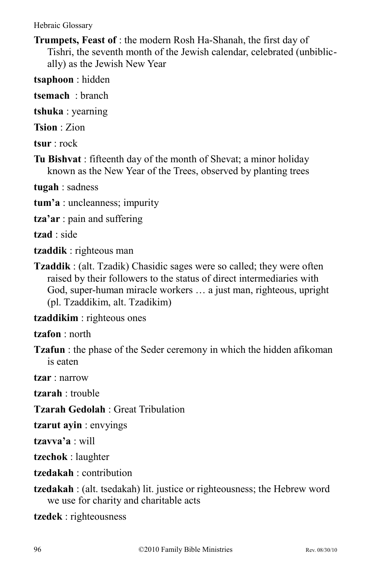**Trumpets, Feast of** : the modern Rosh Ha-Shanah, the first day of Tishri, the seventh month of the Jewish calendar, celebrated (unbiblically) as the Jewish New Year

**tsaphoon** : hidden

**tsemach** : branch

**tshuka** : yearning

**Tsion** : Zion

**tsur** : rock

**Tu Bishvat** : fifteenth day of the month of Shevat; a minor holiday known as the New Year of the Trees, observed by planting trees

**tugah** : sadness

**tum'a** : uncleanness; impurity

**tza'ar** : pain and suffering

**tzad** : side

**tzaddik** : righteous man

**Tzaddik** : (alt. Tzadik) Chasidic sages were so called; they were often raised by their followers to the status of direct intermediaries with God, super-human miracle workers … a just man, righteous, upright (pl. Tzaddikim, alt. Tzadikim)

**tzaddikim** : righteous ones

**tzafon** : north

**Tzafun** : the phase of the Seder ceremony in which the hidden afikoman is eaten

**tzar** : narrow

**tzarah** : trouble

**Tzarah Gedolah** : Great Tribulation

**tzarut ayin** : envyings

**tzavva'a** : will

**tzechok** : laughter

**tzedakah** : contribution

**tzedakah** : (alt. tsedakah) lit. justice or righteousness; the Hebrew word we use for charity and charitable acts

**tzedek** : righteousness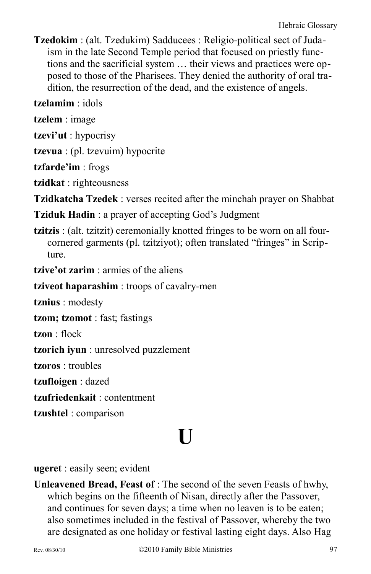**Tzedokim** : (alt. Tzedukim) Sadducees : Religio-political sect of Judaism in the late Second Temple period that focused on priestly functions and the sacrificial system … their views and practices were opposed to those of the Pharisees. They denied the authority of oral tradition, the resurrection of the dead, and the existence of angels.

**tzelamim** : idols

**tzelem** : image

**tzevi'ut** : hypocrisy

**tzevua** : (pl. tzevuim) hypocrite

**tzfarde'im** : frogs

**tzidkat** : righteousness

**Tzidkatcha Tzedek** : verses recited after the minchah prayer on Shabbat

**Tziduk Hadin** : a prayer of accepting God's Judgment

**tzitzis** : (alt. tzitzit) ceremonially knotted fringes to be worn on all fourcornered garments (pl. tzitziyot); often translated "fringes" in Scripture.

**tzive'ot zarim** : armies of the aliens

**tziveot haparashim** : troops of cavalry-men

**tznius** : modesty

**tzom; tzomot** : fast; fastings

**tzon** : flock

**tzorich iyun** : unresolved puzzlement

**tzoros** : troubles

**tzufloigen** : dazed

**tzufriedenkait** : contentment

**tzushtel** : comparison

## $\mathbf{I}$

#### **ugeret** : easily seen; evident

**Unleavened Bread, Feast of** : The second of the seven Feasts of hwhy, which begins on the fifteenth of Nisan, directly after the Passover, and continues for seven days; a time when no leaven is to be eaten; also sometimes included in the festival of Passover, whereby the two are designated as one holiday or festival lasting eight days. Also Hag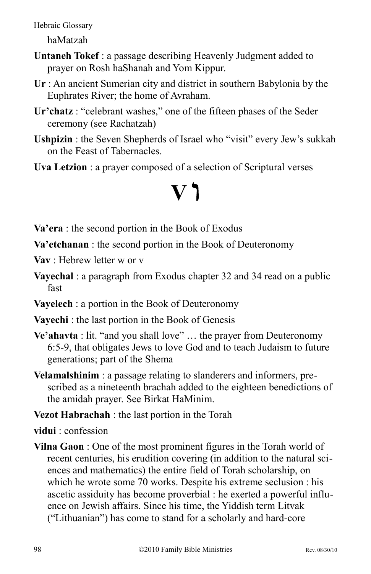haMatzah

- **Untaneh Tokef** : a passage describing Heavenly Judgment added to prayer on Rosh haShanah and Yom Kippur.
- **Ur** : An ancient Sumerian city and district in southern Babylonia by the Euphrates River; the home of Avraham.
- **Ur'chatz** : "celebrant washes," one of the fifteen phases of the Seder ceremony (see Rachatzah)
- **Ushpizin** : the Seven Shepherds of Israel who "visit" every Jew's sukkah on the Feast of Tabernacles.
- **Uva Letzion** : a prayer composed of a selection of Scriptural verses

# **V** w

**Va'era** : the second portion in the Book of Exodus

**Va'etchanan** : the second portion in the Book of Deuteronomy

**Vav** : Hebrew letter w or v

- **Vayechal** : a paragraph from Exodus chapter 32 and 34 read on a public fast
- **Vayelech** : a portion in the Book of Deuteronomy
- **Vayechi** : the last portion in the Book of Genesis
- **Ve'ahavta** : lit. "and you shall love" ... the prayer from Deuteronomy 6:5-9, that obligates Jews to love God and to teach Judaism to future generations; part of the Shema
- **Velamalshinim** : a passage relating to slanderers and informers, prescribed as a nineteenth brachah added to the eighteen benedictions of the amidah prayer. See Birkat HaMinim.
- **Vezot Habrachah** : the last portion in the Torah

**vidui** : confession

**Vilna Gaon** : One of the most prominent figures in the Torah world of recent centuries, his erudition covering (in addition to the natural sciences and mathematics) the entire field of Torah scholarship, on which he wrote some 70 works. Despite his extreme seclusion : his ascetic assiduity has become proverbial : he exerted a powerful influence on Jewish affairs. Since his time, the Yiddish term Litvak ("Lithuanian") has come to stand for a scholarly and hard-core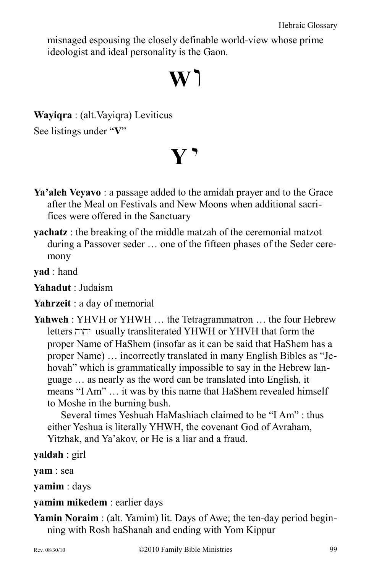misnaged espousing the closely definable world-view whose prime ideologist and ideal personality is the Gaon.

## **W**w

**Wayiqra** : (alt.Vayiqra) Leviticus See listings under "**V**"

### **Y** y

- **Ya'aleh Veyavo** : a passage added to the amidah prayer and to the Grace after the Meal on Festivals and New Moons when additional sacrifices were offered in the Sanctuary
- **yachatz** : the breaking of the middle matzah of the ceremonial matzot during a Passover seder … one of the fifteen phases of the Seder ceremony
- **yad** : hand

**Yahadut** : Judaism

**Yahrzeit** : a day of memorial

**Yahweh** : YHVH or YHWH … the Tetragrammatron … the four Hebrew letters hwhy usually transliterated YHWH or YHVH that form the proper Name of HaShem (insofar as it can be said that HaShem has a proper Name) … incorrectly translated in many English Bibles as "Jehovah" which is grammatically impossible to say in the Hebrew language … as nearly as the word can be translated into English, it means "I Am" … it was by this name that HaShem revealed himself to Moshe in the burning bush.

Several times Yeshuah HaMashiach claimed to be "I Am" : thus either Yeshua is literally YHWH, the covenant God of Avraham, Yitzhak, and Ya'akov, or He is a liar and a fraud.

**yaldah** : girl

**yam** : sea

**yamim** : days

#### **yamim mikedem** : earlier days

**Yamin Noraim**: (alt. Yamim) lit. Days of Awe; the ten-day period beginning with Rosh haShanah and ending with [Yom Kippur](#page-101-0)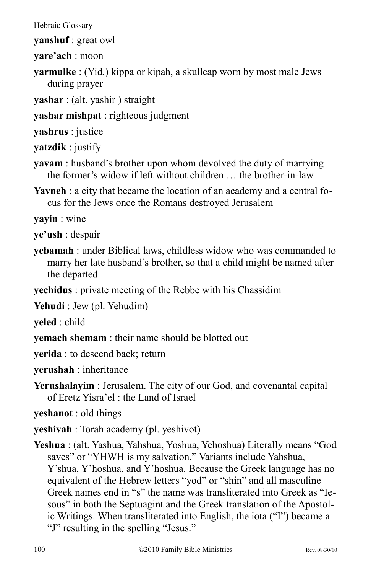**yanshuf** : great owl

**yare'ach** : moon

**yarmulke** : (Yid.) kippa or kipah, a skullcap worn by most male Jews during prayer

**yashar** : (alt. yashir ) straight

**yashar mishpat** : righteous judgment

**yashrus** : justice

**yatzdik** : justify

- **yavam** : husband's brother upon whom devolved the duty of marrying the former's widow if left without children … the brother-in-law
- **Yavneh**: a city that became the location of an academy and a central focus for the Jews once the Romans destroyed Jerusalem

**yayin** : wine

**ye'ush** : despair

- **yebamah** : under Biblical laws, childless widow who was commanded to marry her late husband's brother, so that a child might be named after the departed
- **yechidus** : private meeting of the Rebbe with his Chassidim

**Yehudi** : Jew (pl. Yehudim)

**yeled** : child

**yemach shemam** : their name should be blotted out

**yerida** : to descend back; return

**yerushah** : inheritance

- **Yerushalayim** : Jerusalem. The city of our God, and covenantal capital of Eretz Yisra'el : the Land of Israel
- **yeshanot** : old things
- **yeshivah** : Torah academy (pl. yeshivot)
- **Yeshua** : (alt. Yashua, Yahshua, Yoshua, Yehoshua) Literally means "God saves" or "YHWH is my salvation." Variants include Yahshua, Y'shua, Y'hoshua, and Y'hoshua. Because the Greek language has no equivalent of the Hebrew letters "yod" or "shin" and all masculine Greek names end in "s" the name was transliterated into Greek as "Iesous" in both the Septuagint and the Greek translation of the Apostolic Writings. When transliterated into English, the iota ("I") became a "J" resulting in the spelling "Jesus."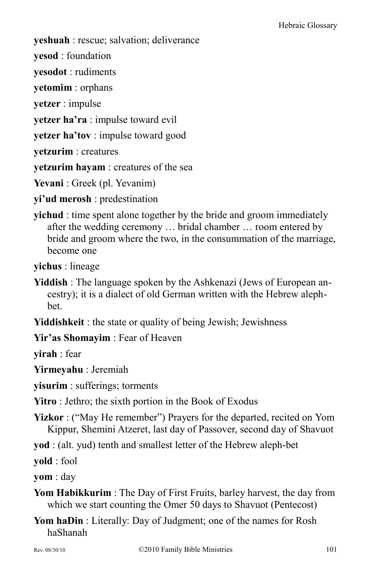**yeshuah** : rescue; salvation; deliverance

**yesod** : foundation

**yesodot** : rudiments

**yetomim** : orphans

**yetzer** : impulse

**yetzer ha'ra** : impulse toward evil

**yetzer ha'tov** : impulse toward good

**yetzurim** : creatures

**yetzurim hayam** : creatures of the sea

**Yevani** : Greek (pl. Yevanim)

**yi'ud merosh** : predestination

**yichud** : time spent alone together by the bride and groom immediately after the wedding ceremony … bridal chamber … room entered by bride and groom where the two, in the consummation of the marriage, become one

**yichus** : lineage

**Yiddish** : The language spoken by the Ashkenazi (Jews of European ancestry); it is a dialect of old German written with the Hebrew alephbet.

**Yiddishkeit** : the state or quality of being Jewish; Jewishness

**Yir'as Shomayim** : Fear of Heaven

**yirah** : fear

**Yirmeyahu** : Jeremiah

**yisurim** : sufferings; torments

**Yitro** : Jethro; the sixth portion in the Book of Exodus

Yizkor : ("May He remember") Prayers for the departed, recited on Yom Kippur, Shemini Atzeret, last day of Passover, second day of Shavuot

**yod** : (alt. yud) tenth and smallest letter of the Hebrew aleph-bet

**yold** : fool

**yom** : day

- **Yom Habikkurim** : The Day of First Fruits, barley harvest, the day from which we start counting the Omer 50 days to Shavuot (Pentecost)
- **Yom haDin** : Literally: Day of Judgment; one of the names for Rosh haShanah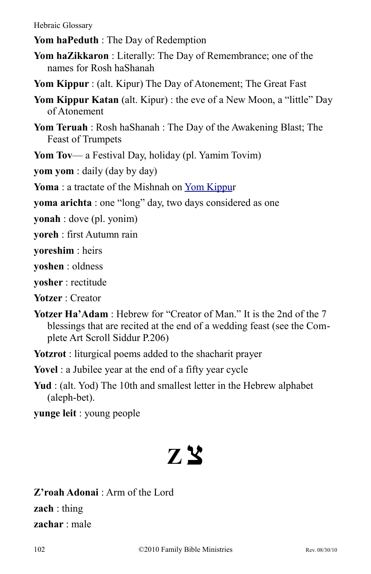- **Yom haPeduth** : The Day of Redemption
- **Yom haZikkaron** : Literally: The Day of Remembrance; one of the names for Rosh haShanah
- <span id="page-101-0"></span>**Yom Kippur** : (alt. Kipur) The Day of Atonement; The Great Fast
- **Yom Kippur Katan** (alt. Kipur) : the eve of a New Moon, a "little" Day of Atonement
- **Yom Teruah** : Rosh haShanah : The Day of the Awakening Blast; The Feast of Trumpets
- Yom Tov— a Festival Day, holiday (pl. Yamim Tovim)
- **yom yom** : daily (day by day)

Yoma : a tractate of the Mishnah on [Yom Kippur](#page-101-0)

**yoma arichta** : one "long" day, two days considered as one

**yonah** : dove (pl. yonim)

**yoreh** : first Autumn rain

**yoreshim** : heirs

**yoshen** : oldness

- **yosher** : rectitude
- **Yotzer** : Creator
- **Yotzer Ha'Adam** : Hebrew for "Creator of Man." It is the 2nd of the 7 blessings that are recited at the end of a wedding feast (see the Complete Art Scroll Siddur P.206)

**Yotzrot** : liturgical poems added to the shacharit prayer

**Yovel** : a Jubilee year at the end of a fifty year cycle

**Yud** : (alt. Yod) The 10th and smallest letter in the Hebrew alphabet (aleph-bet).

**yunge leit** : young people

# $Z$

**Z'roah Adonai** : Arm of the Lord **zach** : thing **zachar** : male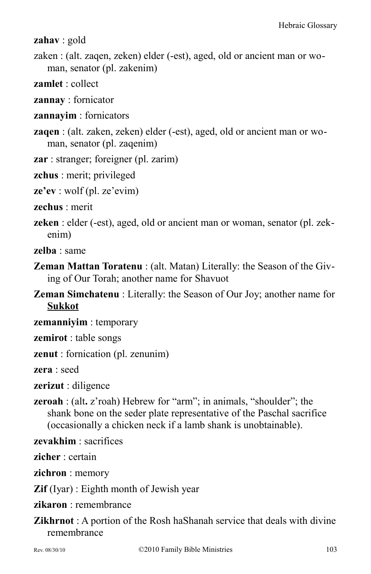**zahav** : gold

- zaken : (alt. zaqen, zeken) elder (-est), aged, old or ancient man or woman, senator (pl. zakenim)
- **zamlet** : collect
- **zannay** : fornicator
- **zannayim** : fornicators
- **zaqen** : (alt. zaken, zeken) elder (-est), aged, old or ancient man or woman, senator (pl. zaqenim)
- **zar** : stranger; foreigner (pl. zarim)
- **zchus** : merit; privileged
- **ze'ev** : wolf (pl. ze'evim)
- **zechus** : merit
- **zeken** : elder (-est), aged, old or ancient man or woman, senator (pl. zekenim)
- **zelba** : same
- **Zeman Mattan Toratenu** : (alt. Matan) Literally: the Season of the Giving of Our Torah; another name for Shavuot
- **Zeman Simchatenu** : Literally: the Season of Our Joy; another name for **Sukkot**
- **zemanniyim** : temporary
- **zemirot** : table songs
- **zenut** : fornication (pl. zenunim)
- **zera** : seed
- **zerizut** : diligence
- **zeroah** : (alt**.** z'roah) Hebrew for "arm"; in animals, "shoulder"; the shank bone on the seder plate representative of the Paschal sacrifice (occasionally a chicken neck if a lamb shank is unobtainable).
- **zevakhim** : sacrifices
- **zicher** : certain
- **zichron** : memory
- **Zif** (Iyar) : Eighth month of Jewish year
- **zikaron** : remembrance
- **Zikhrnot** : A portion of the Rosh haShanah service that deals with divine remembrance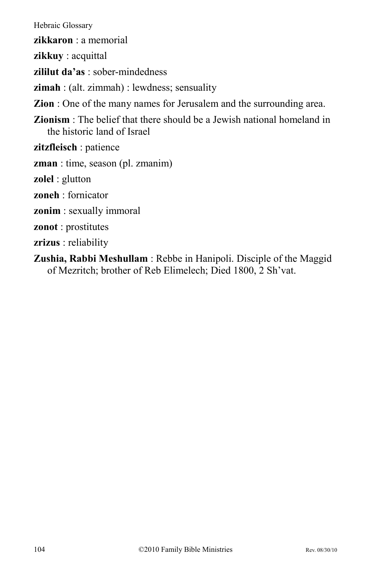**zikkaron** : a memorial

**zikkuy** : acquittal

**zililut da'as** : sober-mindedness

**zimah** : (alt. zimmah) : lewdness; sensuality

**Zion** : One of the many names for Jerusalem and the surrounding area.

**Zionism** : The belief that there should be a Jewish national homeland in the historic land of Israel

**zitzfleisch** : patience

**zman** : time, season (pl. zmanim)

**zolel** : glutton

**zoneh** : fornicator

**zonim** : sexually immoral

**zonot** : prostitutes

**zrizus** : reliability

**Zushia, Rabbi Meshullam** : Rebbe in Hanipoli. Disciple of the Maggid of Mezritch; brother of Reb Elimelech; Died 1800, 2 Sh'vat.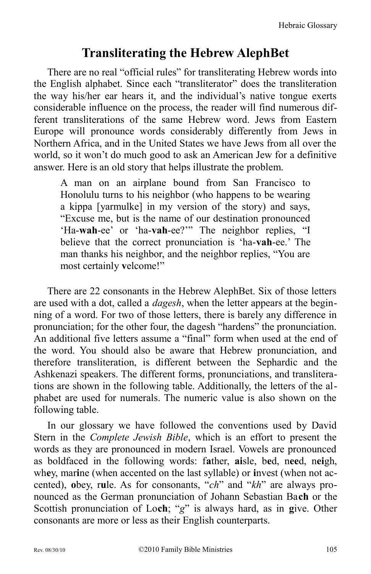#### **Transliterating the Hebrew AlephBet**

There are no real "official rules" for transliterating Hebrew words into the English alphabet. Since each "transliterator" does the transliteration the way his/her ear hears it, and the individual's native tongue exerts considerable influence on the process, the reader will find numerous different transliterations of the same Hebrew word. Jews from Eastern Europe will pronounce words considerably differently from Jews in Northern Africa, and in the United States we have Jews from all over the world, so it won't do much good to ask an American Jew for a definitive answer. Here is an old story that helps illustrate the problem.

A man on an airplane bound from San Francisco to Honolulu turns to his neighbor (who happens to be wearing a kippa [yarmulke] in my version of the story) and says, "Excuse me, but is the name of our destination pronounced 'Ha-**wah**-ee' or 'ha-**vah**-ee?'" The neighbor replies, "I believe that the correct pronunciation is 'ha-**vah**-ee.' The man thanks his neighbor, and the neighbor replies, "You are most certainly **v**elcome!"

There are 22 consonants in the Hebrew AlephBet. Six of those letters are used with a dot, called a *dagesh*, when the letter appears at the beginning of a word. For two of those letters, there is barely any difference in pronunciation; for the other four, the dagesh "hardens" the pronunciation. An additional five letters assume a "final" form when used at the end of the word. You should also be aware that Hebrew pronunciation, and therefore transliteration, is different between the Sephardic and the Ashkenazi speakers. The different forms, pronunciations, and transliterations are shown in the following table. Additionally, the letters of the alphabet are used for numerals. The numeric value is also shown on the following table.

In our glossary we have followed the conventions used by David Stern in the *Complete Jewish Bible*, which is an effort to present the words as they are pronounced in modern Israel. Vowels are pronounced as boldfaced in the following words: f**a**ther, **ai**sle, b**e**d, n**ee**d, n**ei**gh, wh**e**y, mar**i**ne (when accented on the last syllable) or **i**nvest (when not accented), **o**bey, r**u**le. As for consonants, "*ch*" and "*kh*" are always pronounced as the German pronunciation of Johann Sebastian Ba**ch** or the Scottish pronunciation of Lo**ch**; "*g*" is always hard, as in **g**ive. Other consonants are more or less as their English counterparts.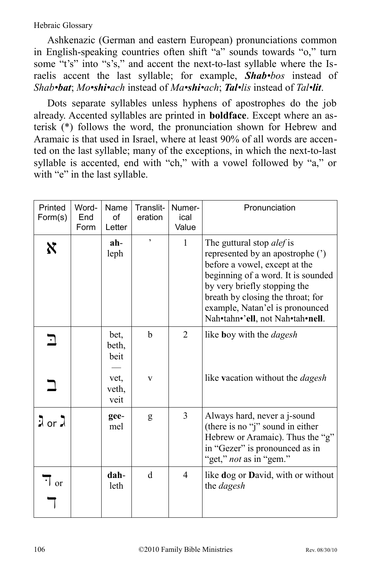Ashkenazic (German and eastern European) pronunciations common in English-speaking countries often shift "a" sounds towards "o," turn some "t's" into "s's," and accent the next-to-last syllable where the Israelis accent the last syllable; for example, *Shab•bos* instead of *Shab•bat*; *Mo•shi•ach* instead of *Ma•shi•ach*; *Tal•lis* instead of *Tal•lit*.

Dots separate syllables unless hyphens of apostrophes do the job already. Accented syllables are printed in **boldface**. Except where an asterisk (\*) follows the word, the pronunciation shown for Hebrew and Aramaic is that used in Israel, where at least 90% of all words are accented on the last syllable; many of the exceptions, in which the next-to-last syllable is accented, end with "ch," with a vowel followed by "a," or with "e" in the last syllable.

| Printed<br>Form(s) | Word-<br>End<br>Form | Name<br>οf<br>Letter  | Translit-<br>eration     | Numer-<br>ical<br>Value | Pronunciation                                                                                                                                                                                                                                                                           |
|--------------------|----------------------|-----------------------|--------------------------|-------------------------|-----------------------------------------------------------------------------------------------------------------------------------------------------------------------------------------------------------------------------------------------------------------------------------------|
|                    |                      | ah-<br>leph           | $\overline{\phantom{a}}$ | 1                       | The guttural stop <i>alef</i> is<br>represented by an apostrophe (')<br>before a vowel, except at the<br>beginning of a word. It is sounded<br>by very briefly stopping the<br>breath by closing the throat; for<br>example, Natan'el is pronounced<br>Nah•tahn•'ell, not Nah•tah•nell. |
|                    |                      | bet,<br>beth,<br>beit | b                        | $\overline{c}$          | like boy with the <i>dagesh</i>                                                                                                                                                                                                                                                         |
|                    |                      | vet.<br>veth.<br>veit | V                        |                         | like vacation without the <i>dagesh</i>                                                                                                                                                                                                                                                 |
| にor )              |                      | gee-<br>mel           | g                        | 3                       | Always hard, never a j-sound<br>(there is no "j" sound in either<br>Hebrew or Aramaic). Thus the "g"<br>in "Gezer" is pronounced as in<br>"get," not as in "gem."                                                                                                                       |
| $\alpha$           |                      | dah-<br>leth          | d                        | $\overline{4}$          | like dog or David, with or without<br>the <i>dagesh</i>                                                                                                                                                                                                                                 |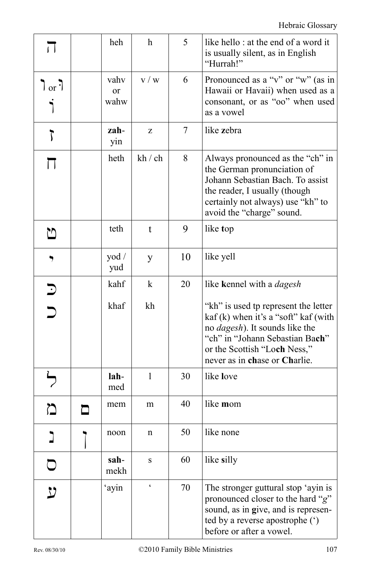| 戸              | heh                           | h            | 5  | like hello: at the end of a word it<br>is usually silent, as in English<br>"Hurrah!"                                                                                                                                        |
|----------------|-------------------------------|--------------|----|-----------------------------------------------------------------------------------------------------------------------------------------------------------------------------------------------------------------------------|
| $\log$         | vahv<br><sub>or</sub><br>wahw | v / w        | 6  | Pronounced as a "v" or "w" (as in<br>Hawaii or Havaii) when used as a<br>consonant, or as "oo" when used<br>as a vowel                                                                                                      |
| $\overline{S}$ | zah-<br>yin                   | Z            | 7  | like zebra                                                                                                                                                                                                                  |
| Π              | heth                          | kh / ch      | 8  | Always pronounced as the "ch" in<br>the German pronunciation of<br>Johann Sebastian Bach. To assist<br>the reader, I usually (though<br>certainly not always) use "kh" to<br>avoid the "charge" sound.                      |
| ආ              | teth                          | t            | 9  | like top                                                                                                                                                                                                                    |
| ,              | yod /<br>yud                  | y            | 10 | like yell                                                                                                                                                                                                                   |
| $\supset$      | kahf                          | k            | 20 | like kennel with a <i>dagesh</i>                                                                                                                                                                                            |
|                | khaf                          | kh           |    | "kh" is used tp represent the letter<br>$kaf(k)$ when it's a "soft" kaf (with<br>no <i>dagesh</i> ). It sounds like the<br>"ch" in "Johann Sebastian Bach"<br>or the Scottish "Loch Ness,"<br>never as in chase or Charlie. |
|                | lah-<br>med                   | $\mathbf{1}$ | 30 | like love                                                                                                                                                                                                                   |
| ∂              | mem                           | m            | 40 | like mom                                                                                                                                                                                                                    |
|                | noon                          | n            | 50 | like none                                                                                                                                                                                                                   |
|                | sah-<br>mekh                  | S            | 60 | like silly                                                                                                                                                                                                                  |
| U              | 'ayin                         | $\epsilon$   | 70 | The stronger guttural stop 'ayin is<br>pronounced closer to the hard "g"<br>sound, as in give, and is represen-<br>ted by a reverse apostrophe (')<br>before or after a vowel.                                              |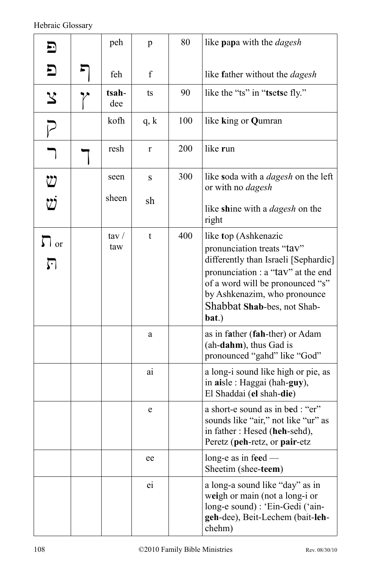Hebraic Glossary

|                     | peh                   | p            | 80  | like papa with the <i>dagesh</i>                                                                                                                                                                                                             |
|---------------------|-----------------------|--------------|-----|----------------------------------------------------------------------------------------------------------------------------------------------------------------------------------------------------------------------------------------------|
|                     | feh                   | $\mathbf{f}$ |     | like father without the <i>dagesh</i>                                                                                                                                                                                                        |
| $\mathbf{\ddot{x}}$ | tsah-<br>dee          | ts           | 90  | like the "ts" in "tsetse fly."                                                                                                                                                                                                               |
|                     | kofh                  | q, k         | 100 | like king or Qumran                                                                                                                                                                                                                          |
|                     | resh                  | $\mathbf{r}$ | 200 | like run                                                                                                                                                                                                                                     |
| $\omega$<br>زيع     | seen<br>sheen         | S<br>sh      | 300 | like soda with a <i>dagesh</i> on the left<br>or with no <i>dagesh</i><br>like shine with a <i>dagesh</i> on the<br>right                                                                                                                    |
| $\sqrt{2}$ or<br>Л  | tay $\sqrt{ }$<br>taw | t            | 400 | like top (Ashkenazic<br>pronunciation treats "tav"<br>differently than Israeli [Sephardic]<br>pronunciation : a "tav" at the end<br>of a word will be pronounced "s"<br>by Ashkenazim, who pronounce<br>Shabbat Shab-bes, not Shab-<br>bat.) |
|                     |                       | a            |     | as in father (fah-ther) or Adam<br>(ah-dahm), thus Gad is<br>pronounced "gahd" like "God"                                                                                                                                                    |
|                     |                       | ai           |     | a long-i sound like high or pie, as<br>in aisle : Haggai (hah-guy),<br>El Shaddai (el shah-die)                                                                                                                                              |
|                     |                       | e            |     | a short-e sound as in bed : "er"<br>sounds like "air," not like "ur" as<br>in father : Hesed (heh-sehd),<br>Peretz (peh-retz, or pair-etz                                                                                                    |
|                     |                       | ee           |     | long-e as in feed -<br>Sheetim (shee-teem)                                                                                                                                                                                                   |
|                     |                       | ei           |     | a long-a sound like "day" as in<br>weigh or main (not a long-i or<br>long-e sound) : 'Ein-Gedi ('ain-<br>geh-dee), Beit-Lechem (bait-leh-<br>chehm)                                                                                          |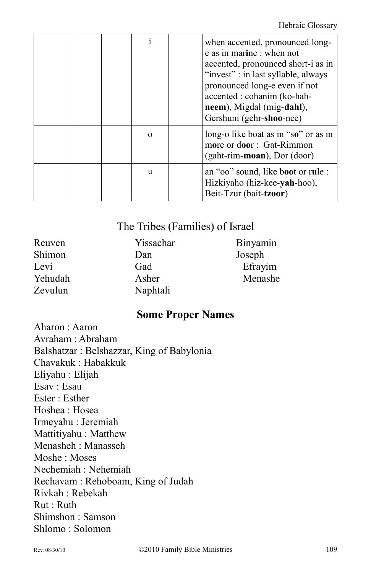|  | i        | when accented, pronounced long-<br>e as in marine : when not<br>accented, pronounced short-i as in<br>"invest": in last syllable, always<br>pronounced long-e even if not<br>accented : cohanim (ko-hah-<br>neem), Migdal (mig-dahl),<br>Gershuni (gehr-shoo-nee) |
|--|----------|-------------------------------------------------------------------------------------------------------------------------------------------------------------------------------------------------------------------------------------------------------------------|
|  | $\Omega$ | long-o like boat as in "so" or as in<br>more or door: Gat-Rimmon<br>(gaht-rim-moan), Dor (door)                                                                                                                                                                   |
|  | u        | an "oo" sound, like boot or rule :<br>Hizkiyaho (hiz-kee-yah-hoo),<br>Beit-Tzur (bait-tzoor)                                                                                                                                                                      |

The Tribes (Families) of Israel

| Reuven  | Yissachar | Binyamin |
|---------|-----------|----------|
| Shimon  | Dan       | Joseph   |
| Levi    | Gad       | Efrayim  |
| Yehudah | Asher     | Menashe  |
| Zevulun | Naphtali  |          |

## **Some Proper Names**

Aharon : Aaron Avraham : Abraham Balshatzar : Belshazzar, King of Babylonia Chavakuk : Habakkuk Eliyahu : Elijah Esav : Esau Ester : Esther Hoshea : Hosea Irmeyahu : Jeremiah Mattitiyahu : Matthew Menasheh : Manasseh Moshe : Moses Nechemiah : Nehemiah Rechavam : Rehoboam, King of Judah Rivkah : Rebekah Rut : Ruth Shimshon : Samson Shlomo : Solomon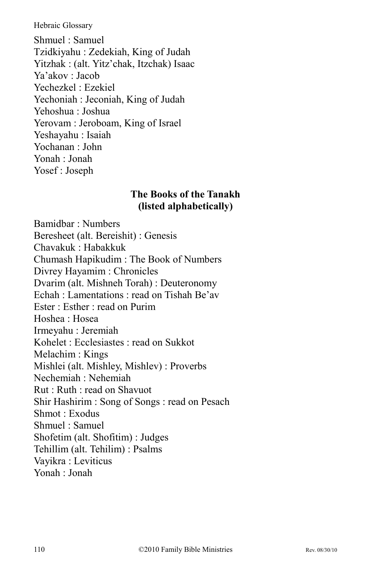#### Hebraic Glossary

Shmuel : Samuel Tzidkiyahu : Zedekiah, King of Judah Yitzhak : (alt. Yitz'chak, Itzchak) Isaac Ya'akov : Jacob Yechezkel : Ezekiel Yechoniah : Jeconiah, King of Judah Yehoshua : Joshua Yerovam : Jeroboam, King of Israel Yeshayahu : Isaiah Yochanan : John Yonah : Jonah Yosef : Joseph

### **The Books of the Tanakh (listed alphabetically)**

Bamidbar : Numbers Beresheet (alt. Bereishit) : Genesis Chavakuk : Habakkuk Chumash Hapikudim : The Book of Numbers Divrey Hayamim : Chronicles Dvarim (alt. Mishneh Torah) : Deuteronomy Echah : Lamentations : read on Tishah Be'av Ester : Esther : read on Purim Hoshea : Hosea Irmeyahu : Jeremiah Kohelet : Ecclesiastes : read on Sukkot Melachim : Kings Mishlei (alt. Mishley, Mishlev) : Proverbs Nechemiah : Nehemiah Rut : Ruth : read on Shavuot Shir Hashirim : Song of Songs : read on Pesach Shmot : Exodus Shmuel : Samuel Shofetim (alt. Shofitim) : Judges Tehillim (alt. Tehilim) : Psalms Vayikra : Leviticus Yonah : Jonah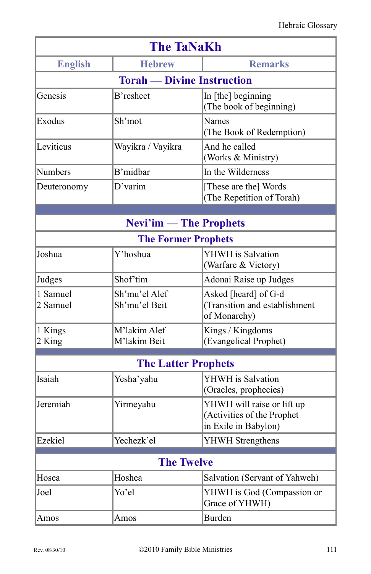| <b>The TaNaKh</b>                 |                                |                                                                                  |  |  |
|-----------------------------------|--------------------------------|----------------------------------------------------------------------------------|--|--|
| <b>English</b>                    | <b>Hebrew</b>                  | <b>Remarks</b>                                                                   |  |  |
| <b>Torah — Divine Instruction</b> |                                |                                                                                  |  |  |
| Genesis                           | <b>B</b> 'resheet              | In [the] beginning<br>(The book of beginning)                                    |  |  |
| Exodus                            | Sh'mot                         | <b>Names</b><br>(The Book of Redemption)                                         |  |  |
| Leviticus                         | Wayikra / Vayikra              | And he called<br>(Works & Ministry)                                              |  |  |
| Numbers                           | B'midbar                       | In the Wilderness                                                                |  |  |
| Deuteronomy                       | $D'$ varim                     | [These are the] Words<br>(The Repetition of Torah)                               |  |  |
|                                   |                                |                                                                                  |  |  |
|                                   | Nevi'im — The Prophets         |                                                                                  |  |  |
|                                   | <b>The Former Prophets</b>     |                                                                                  |  |  |
| Joshua                            | Y'hoshua                       | YHWH is Salvation<br>(Warfare & Victory)                                         |  |  |
| Judges                            | Shof'tim                       | Adonai Raise up Judges                                                           |  |  |
| 1 Samuel<br>2 Samuel              | Sh'mu'el Alef<br>Sh'mu'el Beit | Asked [heard] of G-d<br>(Transition and establishment<br>of Monarchy)            |  |  |
| 1 Kings<br>2 King                 | M'lakim Alef<br>M'lakim Beit   | Kings / Kingdoms<br>(Evangelical Prophet)                                        |  |  |
| <b>The Latter Prophets</b>        |                                |                                                                                  |  |  |
| Isaiah                            | Yesha'yahu                     | YHWH is Salvation<br>(Oracles, prophecies)                                       |  |  |
| Jeremiah                          | Yirmeyahu                      | YHWH will raise or lift up<br>(Activities of the Prophet<br>in Exile in Babylon) |  |  |
| Ezekiel                           | Yechezk'el                     | <b>YHWH</b> Strengthens                                                          |  |  |
| <b>The Twelve</b>                 |                                |                                                                                  |  |  |
| Hosea                             | Hoshea                         | Salvation (Servant of Yahweh)                                                    |  |  |
| Joel                              | Yo'el                          | YHWH is God (Compassion or<br>Grace of YHWH)                                     |  |  |
| Amos                              | Amos                           | Burden                                                                           |  |  |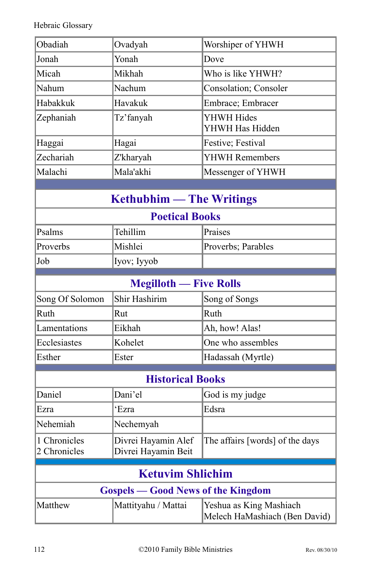Hebraic Glossary

| Obadiah                                   | Ovadyah                                    | Worshiper of YHWH                                        |  |  |
|-------------------------------------------|--------------------------------------------|----------------------------------------------------------|--|--|
| Jonah                                     | Yonah                                      | Dove                                                     |  |  |
| Micah                                     | Mikhah                                     | Who is like YHWH?                                        |  |  |
| Nahum                                     | Nachum                                     | Consolation; Consoler                                    |  |  |
| Habakkuk                                  | Havakuk                                    | Embrace; Embracer                                        |  |  |
| Zephaniah                                 | Tz'fanyah                                  | YHWH Hides<br>YHWH Has Hidden                            |  |  |
| Haggai                                    | Hagai                                      | Festive; Festival                                        |  |  |
| Zechariah                                 | Z'kharyah                                  | <b>YHWH Remembers</b>                                    |  |  |
| Malachi                                   | Mala'akhi                                  | Messenger of YHWH                                        |  |  |
|                                           |                                            |                                                          |  |  |
|                                           | <b>Kethubhim — The Writings</b>            |                                                          |  |  |
|                                           | <b>Poetical Books</b>                      |                                                          |  |  |
| Psalms                                    | Tehillim                                   | Praises                                                  |  |  |
| Proverbs                                  | Mishlei                                    | Proverbs; Parables                                       |  |  |
| Job                                       | Iyov; Iyyob                                |                                                          |  |  |
|                                           | <b>Megilloth — Five Rolls</b>              |                                                          |  |  |
| Song Of Solomon                           | Shir Hashirim                              | Song of Songs                                            |  |  |
| Ruth                                      | Rut                                        | Ruth                                                     |  |  |
| Lamentations                              | Eikhah                                     | Ah, how! Alas!                                           |  |  |
| Ecclesiastes                              | Kohelet                                    | One who assembles                                        |  |  |
| Esther                                    | Ester                                      | Hadassah (Myrtle)                                        |  |  |
|                                           | <b>Historical Books</b>                    |                                                          |  |  |
| Daniel                                    | Dani'el                                    | God is my judge                                          |  |  |
| Ezra                                      | 'Ezra                                      | Edsra                                                    |  |  |
| Nehemiah                                  | Nechemyah                                  |                                                          |  |  |
| 1 Chronicles<br>2 Chronicles              | Divrei Hayamin Alef<br>Divrei Hayamin Beit | The affairs [words] of the days                          |  |  |
| <b>Ketuvim Shlichim</b>                   |                                            |                                                          |  |  |
| <b>Gospels — Good News of the Kingdom</b> |                                            |                                                          |  |  |
| Matthew                                   | Mattityahu / Mattai                        | Yeshua as King Mashiach<br>Melech HaMashiach (Ben David) |  |  |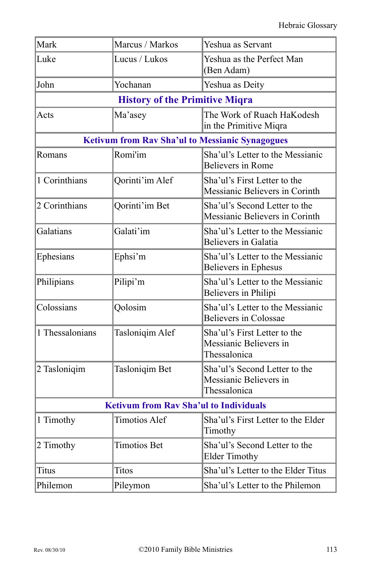| Mark            | Marcus / Markos                        | Yeshua as Servant                                                       |
|-----------------|----------------------------------------|-------------------------------------------------------------------------|
| Luke            | Lucus / Lukos                          | Yeshua as the Perfect Man<br>(Ben Adam)                                 |
| John            | Yochanan                               | Yeshua as Deity                                                         |
|                 | <b>History of the Primitive Miqra</b>  |                                                                         |
| Acts            | Ma'asey                                | The Work of Ruach HaKodesh<br>in the Primitive Miqra                    |
|                 |                                        | <b>Ketivum from Rav Sha'ul to Messianic Synagogues</b>                  |
| Romans          | Romi'im                                | Sha'ul's Letter to the Messianic<br>Believers in Rome                   |
| 1 Corinthians   | Qorinti'im Alef                        | Sha'ul's First Letter to the<br>Messianic Believers in Corinth          |
| 2 Corinthians   | Qorinti'im Bet                         | Sha'ul's Second Letter to the<br>Messianic Believers in Corinth         |
| Galatians       | Galati'im                              | Sha'ul's Letter to the Messianic<br>Believers in Galatia                |
| Ephesians       | Ephsi'm                                | Sha'ul's Letter to the Messianic<br><b>Believers in Ephesus</b>         |
| Philipians      | Pilipi'm                               | Sha'ul's Letter to the Messianic<br>Believers in Philipi                |
| Colossians      | Qolosim                                | Sha'ul's Letter to the Messianic<br>Believers in Colossae               |
| 1 Thessalonians | Tasloniqim Alef                        | Sha'ul's First Letter to the<br>Messianic Believers in<br>Thessalonica  |
| 2 Tasloniqim    | Tasloniqim Bet                         | Sha'ul's Second Letter to the<br>Messianic Believers in<br>Thessalonica |
|                 | Ketivum from Rav Sha'ul to Individuals |                                                                         |
| 1 Timothy       | <b>Timotios Alef</b>                   | Sha'ul's First Letter to the Elder<br>Timothy                           |
| 2 Timothy       | <b>Timotios Bet</b>                    | Sha'ul's Second Letter to the<br><b>Elder Timothy</b>                   |
| Titus           | Titos                                  | Sha'ul's Letter to the Elder Titus                                      |
| Philemon        | Pileymon                               | Sha'ul's Letter to the Philemon                                         |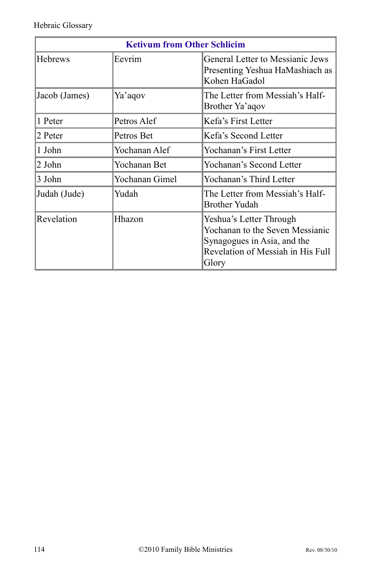| <b>Ketivum from Other Schlicim</b> |                |                                                                                                                                         |  |
|------------------------------------|----------------|-----------------------------------------------------------------------------------------------------------------------------------------|--|
| <b>Hebrews</b>                     | Eevrim         | General Letter to Messianic Jews<br>Presenting Yeshua HaMashiach as<br>Kohen HaGadol                                                    |  |
| Jacob (James)                      | Ya'aqov        | The Letter from Messiah's Half-<br>Brother Ya'aqov                                                                                      |  |
| 1 Peter                            | Petros Alef    | Kefa's First Letter                                                                                                                     |  |
| 2 Peter                            | Petros Bet     | Kefa's Second Letter                                                                                                                    |  |
| 1 John                             | Yochanan Alef  | Yochanan's First Letter                                                                                                                 |  |
| 2 John                             | Yochanan Bet   | Yochanan's Second Letter                                                                                                                |  |
| 3 John                             | Yochanan Gimel | Yochanan's Third Letter                                                                                                                 |  |
| Judah (Jude)                       | Yudah          | The Letter from Messiah's Half-<br>Brother Yudah                                                                                        |  |
| Revelation                         | Hhazon         | Yeshua's Letter Through<br>Yochanan to the Seven Messianic<br>Synagogues in Asia, and the<br>Revelation of Messiah in His Full<br>Glory |  |